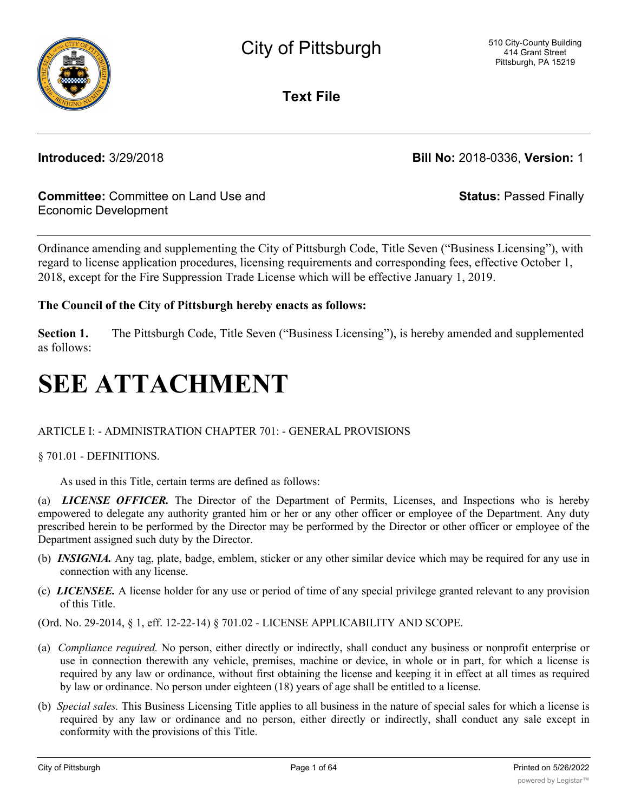

**Text File**

**Introduced:** 3/29/2018 **Bill No:** 2018-0336, **Version:** 1

# **Committee:** Committee on Land Use and Economic Development

**Status:** Passed Finally

Ordinance amending and supplementing the City of Pittsburgh Code, Title Seven ("Business Licensing"), with regard to license application procedures, licensing requirements and corresponding fees, effective October 1, 2018, except for the Fire Suppression Trade License which will be effective January 1, 2019.

# **The Council of the City of Pittsburgh hereby enacts as follows:**

**Section 1.** The Pittsburgh Code, Title Seven ("Business Licensing"), is hereby amended and supplemented as follows:

# **SEE ATTACHMENT**

# ARTICLE I: - ADMINISTRATION CHAPTER 701: - GENERAL PROVISIONS

## § 701.01 - DEFINITIONS.

As used in this Title, certain terms are defined as follows:

(a) *LICENSE OFFICER.* The Director of the Department of Permits, Licenses, and Inspections who is hereby empowered to delegate any authority granted him or her or any other officer or employee of the Department. Any duty prescribed herein to be performed by the Director may be performed by the Director or other officer or employee of the Department assigned such duty by the Director.

- (b) *INSIGNIA.* Any tag, plate, badge, emblem, sticker or any other similar device which may be required for any use in connection with any license.
- (c) *LICENSEE.* A license holder for any use or period of time of any special privilege granted relevant to any provision of this Title.

(Ord. No. 29-2014, § 1, eff. 12-22-14) § 701.02 - LICENSE APPLICABILITY AND SCOPE.

- (a) *Compliance required.* No person, either directly or indirectly, shall conduct any business or nonprofit enterprise or use in connection therewith any vehicle, premises, machine or device, in whole or in part, for which a license is required by any law or ordinance, without first obtaining the license and keeping it in effect at all times as required by law or ordinance. No person under eighteen (18) years of age shall be entitled to a license.
- (b) *Special sales.* This Business Licensing Title applies to all business in the nature of special sales for which a license is required by any law or ordinance and no person, either directly or indirectly, shall conduct any sale except in conformity with the provisions of this Title.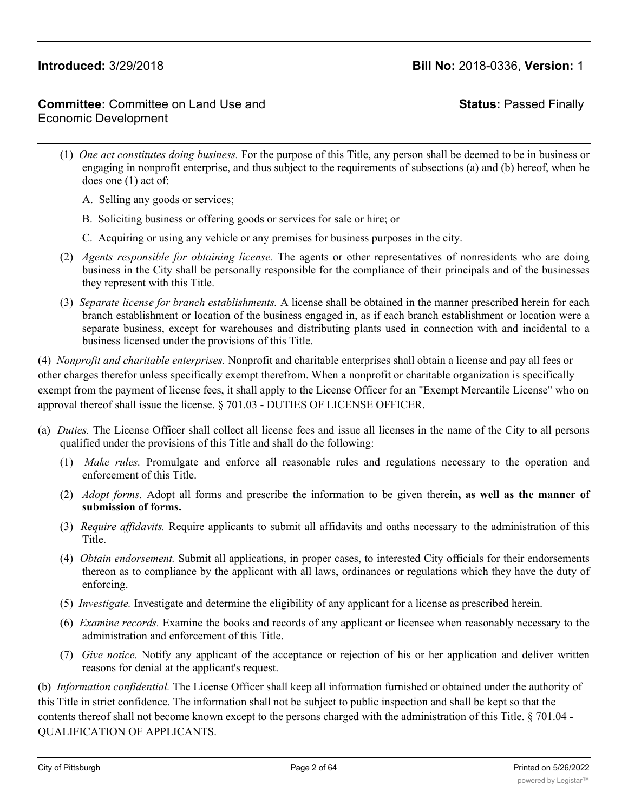**Status:** Passed Finally

- (1) *One act constitutes doing business.* For the purpose of this Title, any person shall be deemed to be in business or engaging in nonprofit enterprise, and thus subject to the requirements of subsections (a) and (b) hereof, when he does one (1) act of:
	- A. Selling any goods or services;
	- B. Soliciting business or offering goods or services for sale or hire; or
	- C. Acquiring or using any vehicle or any premises for business purposes in the city.
- (2) *Agents responsible for obtaining license.* The agents or other representatives of nonresidents who are doing business in the City shall be personally responsible for the compliance of their principals and of the businesses they represent with this Title.
- (3) *Separate license for branch establishments.* A license shall be obtained in the manner prescribed herein for each branch establishment or location of the business engaged in, as if each branch establishment or location were a separate business, except for warehouses and distributing plants used in connection with and incidental to a business licensed under the provisions of this Title.

(4) *Nonprofit and charitable enterprises.* Nonprofit and charitable enterprises shall obtain a license and pay all fees or other charges therefor unless specifically exempt therefrom. When a nonprofit or charitable organization is specifically exempt from the payment of license fees, it shall apply to the License Officer for an "Exempt Mercantile License" who on approval thereof shall issue the license. § 701.03 - DUTIES OF LICENSE OFFICER.

- (a) *Duties.* The License Officer shall collect all license fees and issue all licenses in the name of the City to all persons qualified under the provisions of this Title and shall do the following:
	- (1) *Make rules.* Promulgate and enforce all reasonable rules and regulations necessary to the operation and enforcement of this Title.
	- (2) *Adopt forms.* Adopt all forms and prescribe the information to be given therein**, as well as the manner of submission of forms.**
	- (3) *Require affidavits.* Require applicants to submit all affidavits and oaths necessary to the administration of this Title.
	- (4) *Obtain endorsement.* Submit all applications, in proper cases, to interested City officials for their endorsements thereon as to compliance by the applicant with all laws, ordinances or regulations which they have the duty of enforcing.
	- (5) *Investigate.* Investigate and determine the eligibility of any applicant for a license as prescribed herein.
	- (6) *Examine records.* Examine the books and records of any applicant or licensee when reasonably necessary to the administration and enforcement of this Title.
	- (7) *Give notice.* Notify any applicant of the acceptance or rejection of his or her application and deliver written reasons for denial at the applicant's request.

(b) *Information confidential.* The License Officer shall keep all information furnished or obtained under the authority of this Title in strict confidence. The information shall not be subject to public inspection and shall be kept so that the contents thereof shall not become known except to the persons charged with the administration of this Title. § 701.04 - QUALIFICATION OF APPLICANTS.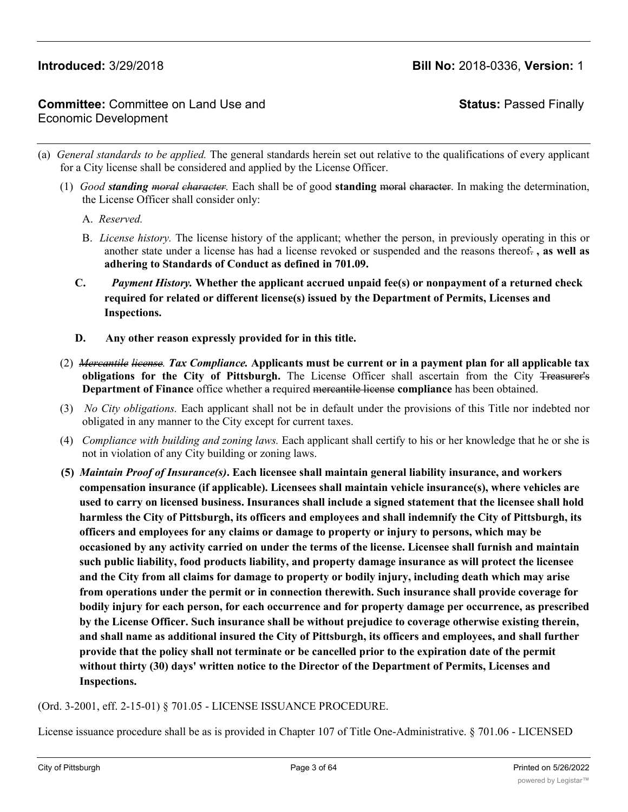# **Committee:** Committee on Land Use and Economic Development

**Status:** Passed Finally

- (a) *General standards to be applied.* The general standards herein set out relative to the qualifications of every applicant for a City license shall be considered and applied by the License Officer.
	- (1) *Good standing moral character.* Each shall be of good **standing** moral character. In making the determination, the License Officer shall consider only:
		- A. *Reserved.*
		- B. *License history.* The license history of the applicant; whether the person, in previously operating in this or another state under a license has had a license revoked or suspended and the reasons thereof. **, as well as adhering to Standards of Conduct as defined in 701.09.**
		- **C.** *Payment History.* **Whether the applicant accrued unpaid fee(s) or nonpayment of a returned check required for related or different license(s) issued by the Department of Permits, Licenses and Inspections.**
		- **D. Any other reason expressly provided for in this title.**
	- (2) *Mercantile license. Tax Compliance.* Applicants must be current or in a payment plan for all applicable tax **obligations for the City of Pittsburgh.** The License Officer shall ascertain from the City Treasurer's **Department of Finance** office whether a required mercantile license **compliance** has been obtained.
	- (3) *No City obligations.* Each applicant shall not be in default under the provisions of this Title nor indebted nor obligated in any manner to the City except for current taxes.
	- (4) *Compliance with building and zoning laws.* Each applicant shall certify to his or her knowledge that he or she is not in violation of any City building or zoning laws.
	- **(5)** *Maintain Proof of Insurance(s)***. Each licensee shall maintain general liability insurance, and workers compensation insurance (if applicable). Licensees shall maintain vehicle insurance(s), where vehicles are used to carry on licensed business. Insurances shall include a signed statement that the licensee shall hold harmless the City of Pittsburgh, its officers and employees and shall indemnify the City of Pittsburgh, its officers and employees for any claims or damage to property or injury to persons, which may be occasioned by any activity carried on under the terms of the license. Licensee shall furnish and maintain such public liability, food products liability, and property damage insurance as will protect the licensee and the City from all claims for damage to property or bodily injury, including death which may arise from operations under the permit or in connection therewith. Such insurance shall provide coverage for bodily injury for each person, for each occurrence and for property damage per occurrence, as prescribed by the License Officer. Such insurance shall be without prejudice to coverage otherwise existing therein, and shall name as additional insured the City of Pittsburgh, its officers and employees, and shall further provide that the policy shall not terminate or be cancelled prior to the expiration date of the permit without thirty (30) days' written notice to the Director of the Department of Permits, Licenses and Inspections.**

### (Ord. 3-2001, eff. 2-15-01) § 701.05 - LICENSE ISSUANCE PROCEDURE.

License issuance procedure shall be as is provided in Chapter 107 of Title One-Administrative. § 701.06 - LICENSED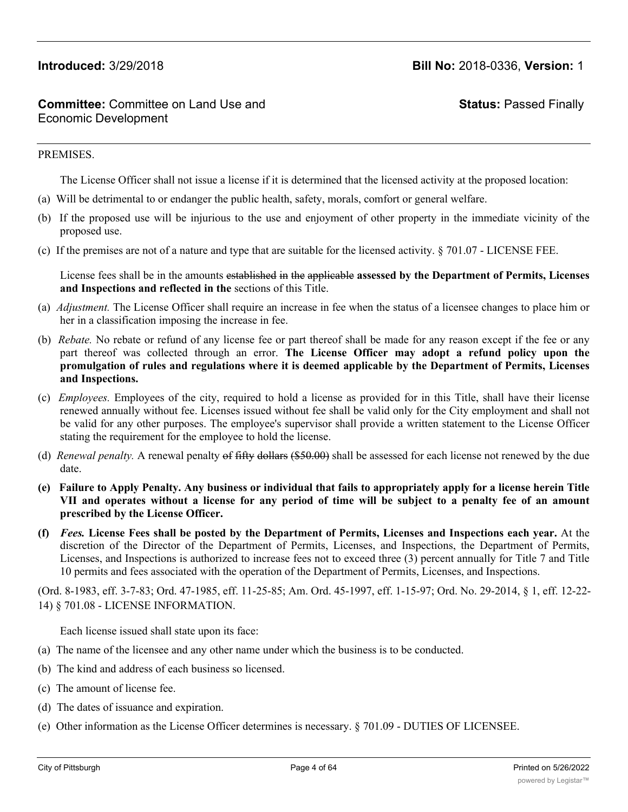**Status:** Passed Finally

### PREMISES.

The License Officer shall not issue a license if it is determined that the licensed activity at the proposed location:

- (a) Will be detrimental to or endanger the public health, safety, morals, comfort or general welfare.
- (b) If the proposed use will be injurious to the use and enjoyment of other property in the immediate vicinity of the proposed use.
- (c) If the premises are not of a nature and type that are suitable for the licensed activity.  $\S 701.07$  LICENSE FEE.

License fees shall be in the amounts established in the applicable **assessed by the Department of Permits, Licenses and Inspections and reflected in the** sections of this Title.

- (a) *Adjustment.* The License Officer shall require an increase in fee when the status of a licensee changes to place him or her in a classification imposing the increase in fee.
- (b) *Rebate.* No rebate or refund of any license fee or part thereof shall be made for any reason except if the fee or any part thereof was collected through an error. **The License Officer may adopt a refund policy upon the promulgation of rules and regulations where it is deemed applicable by the Department of Permits, Licenses and Inspections.**
- (c) *Employees.* Employees of the city, required to hold a license as provided for in this Title, shall have their license renewed annually without fee. Licenses issued without fee shall be valid only for the City employment and shall not be valid for any other purposes. The employee's supervisor shall provide a written statement to the License Officer stating the requirement for the employee to hold the license.
- (d) *Renewal penalty.* A renewal penalty of fifty dollars (\$50.00) shall be assessed for each license not renewed by the due date.
- (e) Failure to Apply Penalty. Any business or individual that fails to appropriately apply for a license herein Title VII and operates without a license for any period of time will be subject to a penalty fee of an amount **prescribed by the License Officer.**
- (f) Fees. License Fees shall be posted by the Department of Permits, Licenses and Inspections each year. At the discretion of the Director of the Department of Permits, Licenses, and Inspections, the Department of Permits, Licenses, and Inspections is authorized to increase fees not to exceed three (3) percent annually for Title 7 and Title 10 permits and fees associated with the operation of the Department of Permits, Licenses, and Inspections.

(Ord. 8-1983, eff. 3-7-83; Ord. 47-1985, eff. 11-25-85; Am. Ord. 45-1997, eff. 1-15-97; Ord. No. 29-2014, § 1, eff. 12-22- 14) § 701.08 - LICENSE INFORMATION.

Each license issued shall state upon its face:

- (a) The name of the licensee and any other name under which the business is to be conducted.
- (b) The kind and address of each business so licensed.
- (c) The amount of license fee.
- (d) The dates of issuance and expiration.
- (e) Other information as the License Officer determines is necessary. § 701.09 DUTIES OF LICENSEE.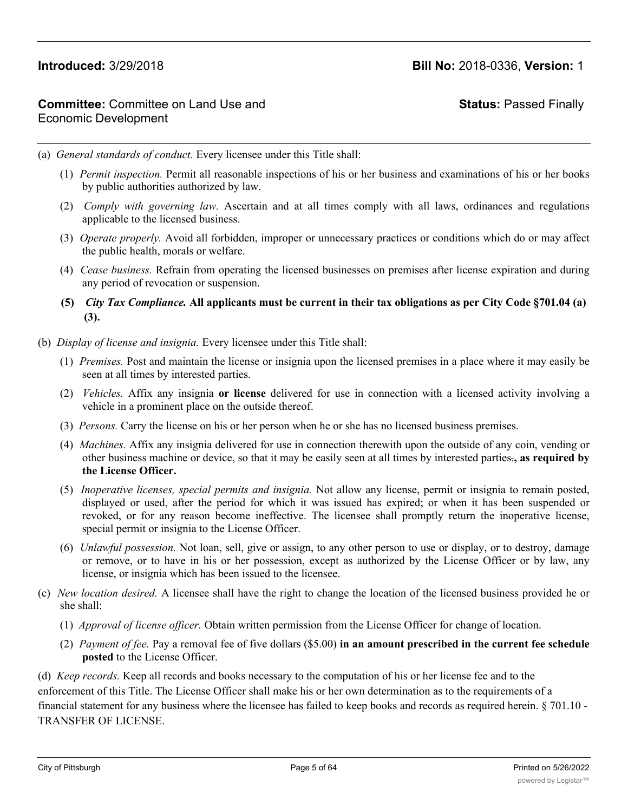# **Status:** Passed Finally

(a) *General standards of conduct.* Every licensee under this Title shall:

- (1) *Permit inspection.* Permit all reasonable inspections of his or her business and examinations of his or her books by public authorities authorized by law.
- (2) *Comply with governing law.* Ascertain and at all times comply with all laws, ordinances and regulations applicable to the licensed business.
- (3) *Operate properly.* Avoid all forbidden, improper or unnecessary practices or conditions which do or may affect the public health, morals or welfare.
- (4) *Cease business.* Refrain from operating the licensed businesses on premises after license expiration and during any period of revocation or suspension.
- **(5)** *City Tax Compliance.* **All applicants must be current in their tax obligations as per City Code §701.04 (a) (3).**
- (b) *Display of license and insignia.* Every licensee under this Title shall:
	- (1) *Premises.* Post and maintain the license or insignia upon the licensed premises in a place where it may easily be seen at all times by interested parties.
	- (2) *Vehicles.* Affix any insignia **or license** delivered for use in connection with a licensed activity involving a vehicle in a prominent place on the outside thereof.
	- (3) *Persons.* Carry the license on his or her person when he or she has no licensed business premises.
	- (4) *Machines.* Affix any insignia delivered for use in connection therewith upon the outside of any coin, vending or other business machine or device, so that it may be easily seen at all times by interested parties.**, as required by the License Officer.**
	- (5) *Inoperative licenses, special permits and insignia.* Not allow any license, permit or insignia to remain posted, displayed or used, after the period for which it was issued has expired; or when it has been suspended or revoked, or for any reason become ineffective. The licensee shall promptly return the inoperative license, special permit or insignia to the License Officer.
	- (6) *Unlawful possession.* Not loan, sell, give or assign, to any other person to use or display, or to destroy, damage or remove, or to have in his or her possession, except as authorized by the License Officer or by law, any license, or insignia which has been issued to the licensee.
- (c) *New location desired.* A licensee shall have the right to change the location of the licensed business provided he or she shall:
	- (1) *Approval of license officer.* Obtain written permission from the License Officer for change of location.
	- (2) *Payment of fee.* Pay a removal fee of five dollars (\$5.00) **in an amount prescribed in the current fee schedule posted** to the License Officer.

(d) *Keep records.* Keep all records and books necessary to the computation of his or her license fee and to the enforcement of this Title. The License Officer shall make his or her own determination as to the requirements of a financial statement for any business where the licensee has failed to keep books and records as required herein. § 701.10 - TRANSFER OF LICENSE.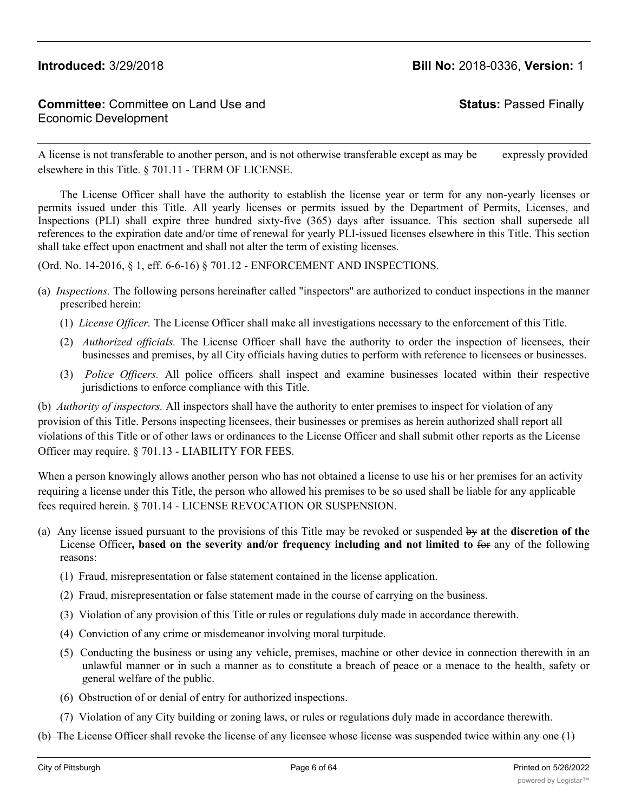# **Committee:** Committee on Land Use and Economic Development

**Status:** Passed Finally

A license is not transferable to another person, and is not otherwise transferable except as may be expressly provided elsewhere in this Title. § 701.11 - TERM OF LICENSE.

The License Officer shall have the authority to establish the license year or term for any non-yearly licenses or permits issued under this Title. All yearly licenses or permits issued by the Department of Permits, Licenses, and Inspections (PLI) shall expire three hundred sixty-five (365) days after issuance. This section shall supersede all references to the expiration date and/or time of renewal for yearly PLI-issued licenses elsewhere in this Title. This section shall take effect upon enactment and shall not alter the term of existing licenses.

(Ord. No. 14-2016, § 1, eff. 6-6-16) § 701.12 - ENFORCEMENT AND INSPECTIONS.

- (a) *Inspections.* The following persons hereinafter called "inspectors" are authorized to conduct inspections in the manner prescribed herein:
	- (1) *License Officer.* The License Officer shall make all investigations necessary to the enforcement of this Title.
	- (2) *Authorized officials.* The License Officer shall have the authority to order the inspection of licensees, their businesses and premises, by all City officials having duties to perform with reference to licensees or businesses.
	- (3) *Police Officers.* All police officers shall inspect and examine businesses located within their respective jurisdictions to enforce compliance with this Title.

(b) *Authority of inspectors.* All inspectors shall have the authority to enter premises to inspect for violation of any provision of this Title. Persons inspecting licensees, their businesses or premises as herein authorized shall report all violations of this Title or of other laws or ordinances to the License Officer and shall submit other reports as the License Officer may require. § 701.13 - LIABILITY FOR FEES.

When a person knowingly allows another person who has not obtained a license to use his or her premises for an activity requiring a license under this Title, the person who allowed his premises to be so used shall be liable for any applicable fees required herein. § 701.14 - LICENSE REVOCATION OR SUSPENSION.

- (a) Any license issued pursuant to the provisions of this Title may be revoked or suspended by **at** the **discretion of the** License Officer**, based on the severity and/or frequency including and not limited to** for any of the following reasons:
	- (1) Fraud, misrepresentation or false statement contained in the license application.
	- (2) Fraud, misrepresentation or false statement made in the course of carrying on the business.
	- (3) Violation of any provision of this Title or rules or regulations duly made in accordance therewith.
	- (4) Conviction of any crime or misdemeanor involving moral turpitude.
	- (5) Conducting the business or using any vehicle, premises, machine or other device in connection therewith in an unlawful manner or in such a manner as to constitute a breach of peace or a menace to the health, safety or general welfare of the public.
	- (6) Obstruction of or denial of entry for authorized inspections.
	- (7) Violation of any City building or zoning laws, or rules or regulations duly made in accordance therewith.
- (b) The License Officer shall revoke the license of any licensee whose license was suspended twice within any one (1)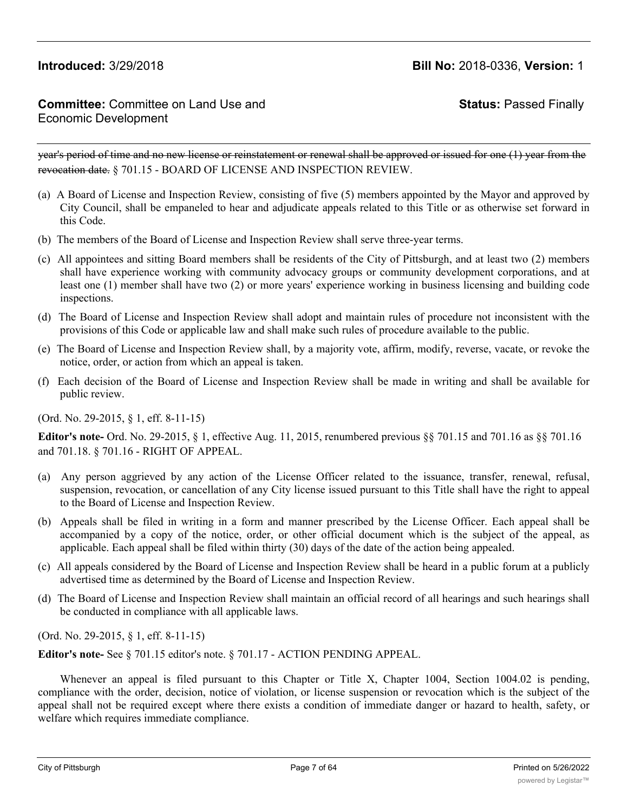# **Committee:** Committee on Land Use and Economic Development

**Status:** Passed Finally

year's period of time and no new license or reinstatement or renewal shall be approved or issued for one (1) year from the revocation date. § 701.15 - BOARD OF LICENSE AND INSPECTION REVIEW.

- (a) A Board of License and Inspection Review, consisting of five (5) members appointed by the Mayor and approved by City Council, shall be empaneled to hear and adjudicate appeals related to this Title or as otherwise set forward in this Code.
- (b) The members of the Board of License and Inspection Review shall serve three-year terms.
- (c) All appointees and sitting Board members shall be residents of the City of Pittsburgh, and at least two (2) members shall have experience working with community advocacy groups or community development corporations, and at least one (1) member shall have two (2) or more years' experience working in business licensing and building code inspections.
- (d) The Board of License and Inspection Review shall adopt and maintain rules of procedure not inconsistent with the provisions of this Code or applicable law and shall make such rules of procedure available to the public.
- (e) The Board of License and Inspection Review shall, by a majority vote, affirm, modify, reverse, vacate, or revoke the notice, order, or action from which an appeal is taken.
- (f) Each decision of the Board of License and Inspection Review shall be made in writing and shall be available for public review.

(Ord. No. 29-2015, § 1, eff. 8-11-15)

**Editor's note-** Ord. No. 29-2015, § 1, effective Aug. 11, 2015, renumbered previous §§ 701.15 and 701.16 as §§ 701.16 and 701.18. § 701.16 - RIGHT OF APPEAL.

- (a) Any person aggrieved by any action of the License Officer related to the issuance, transfer, renewal, refusal, suspension, revocation, or cancellation of any City license issued pursuant to this Title shall have the right to appeal to the Board of License and Inspection Review.
- (b) Appeals shall be filed in writing in a form and manner prescribed by the License Officer. Each appeal shall be accompanied by a copy of the notice, order, or other official document which is the subject of the appeal, as applicable. Each appeal shall be filed within thirty (30) days of the date of the action being appealed.
- (c) All appeals considered by the Board of License and Inspection Review shall be heard in a public forum at a publicly advertised time as determined by the Board of License and Inspection Review.
- (d) The Board of License and Inspection Review shall maintain an official record of all hearings and such hearings shall be conducted in compliance with all applicable laws.

(Ord. No. 29-2015, § 1, eff. 8-11-15)

**Editor's note-** See § 701.15 editor's note. § 701.17 - ACTION PENDING APPEAL.

Whenever an appeal is filed pursuant to this Chapter or Title X, Chapter 1004, Section 1004.02 is pending, compliance with the order, decision, notice of violation, or license suspension or revocation which is the subject of the appeal shall not be required except where there exists a condition of immediate danger or hazard to health, safety, or welfare which requires immediate compliance.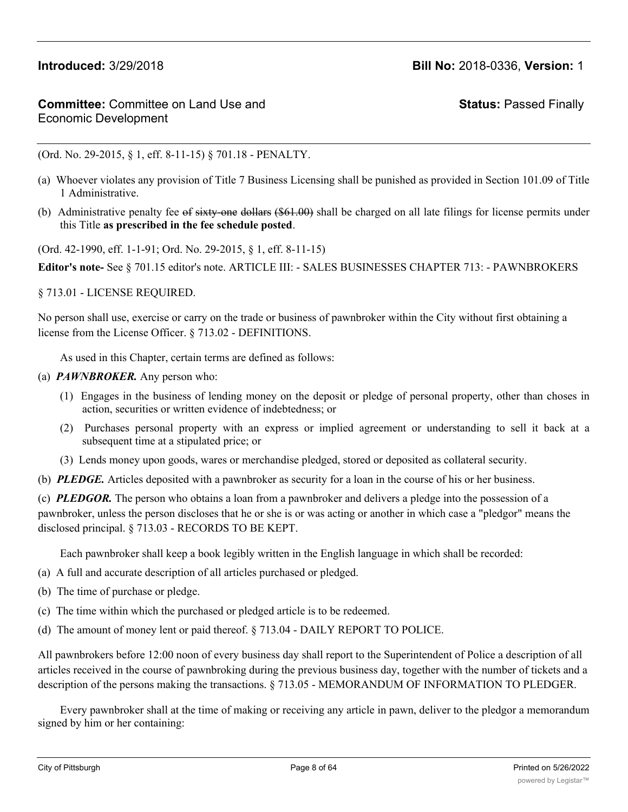**Status:** Passed Finally

(Ord. No. 29-2015, § 1, eff. 8-11-15) § 701.18 - PENALTY.

- (a) Whoever violates any provision of Title 7 Business Licensing shall be punished as provided in Section 101.09 of Title 1 Administrative.
- (b) Administrative penalty fee of sixty-one dollars (\$61.00) shall be charged on all late filings for license permits under this Title **as prescribed in the fee schedule posted**.

(Ord. 42-1990, eff. 1-1-91; Ord. No. 29-2015, § 1, eff. 8-11-15)

**Editor's note-** See § 701.15 editor's note. ARTICLE III: - SALES BUSINESSES CHAPTER 713: - PAWNBROKERS

§ 713.01 - LICENSE REQUIRED.

No person shall use, exercise or carry on the trade or business of pawnbroker within the City without first obtaining a license from the License Officer. § 713.02 - DEFINITIONS.

As used in this Chapter, certain terms are defined as follows:

### (a) *PAWNBROKER.* Any person who:

- (1) Engages in the business of lending money on the deposit or pledge of personal property, other than choses in action, securities or written evidence of indebtedness; or
- (2) Purchases personal property with an express or implied agreement or understanding to sell it back at a subsequent time at a stipulated price; or
- (3) Lends money upon goods, wares or merchandise pledged, stored or deposited as collateral security.
- (b) *PLEDGE.* Articles deposited with a pawnbroker as security for a loan in the course of his or her business.

(c) *PLEDGOR.* The person who obtains a loan from a pawnbroker and delivers a pledge into the possession of a pawnbroker, unless the person discloses that he or she is or was acting or another in which case a "pledgor" means the disclosed principal. § 713.03 - RECORDS TO BE KEPT.

Each pawnbroker shall keep a book legibly written in the English language in which shall be recorded:

- (a) A full and accurate description of all articles purchased or pledged.
- (b) The time of purchase or pledge.
- (c) The time within which the purchased or pledged article is to be redeemed.
- (d) The amount of money lent or paid thereof. § 713.04 DAILY REPORT TO POLICE.

All pawnbrokers before 12:00 noon of every business day shall report to the Superintendent of Police a description of all articles received in the course of pawnbroking during the previous business day, together with the number of tickets and a description of the persons making the transactions. § 713.05 - MEMORANDUM OF INFORMATION TO PLEDGER.

Every pawnbroker shall at the time of making or receiving any article in pawn, deliver to the pledgor a memorandum signed by him or her containing: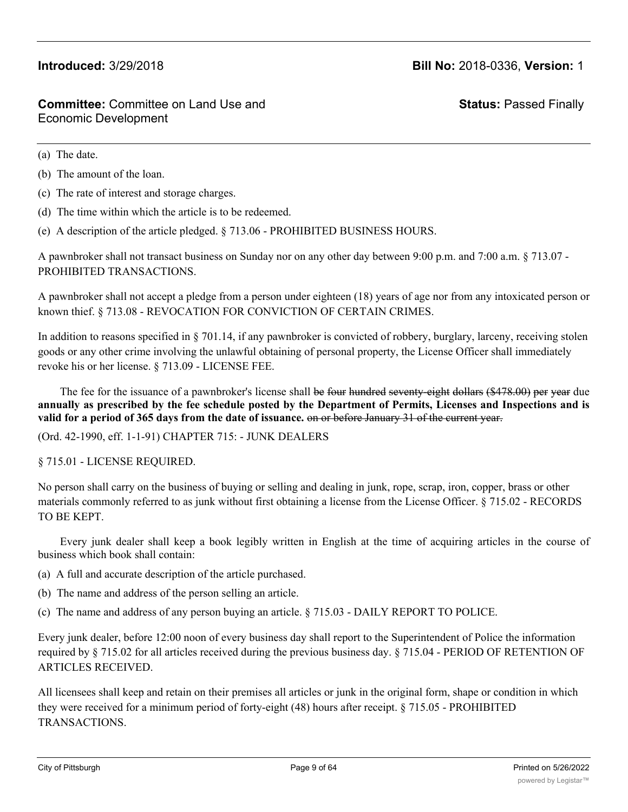**Status:** Passed Finally

(a) The date.

### (b) The amount of the loan.

- (c) The rate of interest and storage charges.
- (d) The time within which the article is to be redeemed.
- (e) A description of the article pledged. § 713.06 PROHIBITED BUSINESS HOURS.

A pawnbroker shall not transact business on Sunday nor on any other day between 9:00 p.m. and 7:00 a.m. § 713.07 - PROHIBITED TRANSACTIONS.

A pawnbroker shall not accept a pledge from a person under eighteen (18) years of age nor from any intoxicated person or known thief. § 713.08 - REVOCATION FOR CONVICTION OF CERTAIN CRIMES.

In addition to reasons specified in § 701.14, if any pawnbroker is convicted of robbery, burglary, larceny, receiving stolen goods or any other crime involving the unlawful obtaining of personal property, the License Officer shall immediately revoke his or her license. § 713.09 - LICENSE FEE.

The fee for the issuance of a pawnbroker's license shall be four hundred seventy-eight dollars (\$478.00) per year due annually as prescribed by the fee schedule posted by the Department of Permits, Licenses and Inspections and is **valid for a period of 365 days from the date of issuance.** on or before January 31 of the current year.

(Ord. 42-1990, eff. 1-1-91) CHAPTER 715: - JUNK DEALERS

§ 715.01 - LICENSE REQUIRED.

No person shall carry on the business of buying or selling and dealing in junk, rope, scrap, iron, copper, brass or other materials commonly referred to as junk without first obtaining a license from the License Officer. § 715.02 - RECORDS TO BE KEPT.

Every junk dealer shall keep a book legibly written in English at the time of acquiring articles in the course of business which book shall contain:

- (a) A full and accurate description of the article purchased.
- (b) The name and address of the person selling an article.
- (c) The name and address of any person buying an article. § 715.03 DAILY REPORT TO POLICE.

Every junk dealer, before 12:00 noon of every business day shall report to the Superintendent of Police the information required by § 715.02 for all articles received during the previous business day. § 715.04 - PERIOD OF RETENTION OF ARTICLES RECEIVED.

All licensees shall keep and retain on their premises all articles or junk in the original form, shape or condition in which they were received for a minimum period of forty-eight (48) hours after receipt. § 715.05 - PROHIBITED TRANSACTIONS.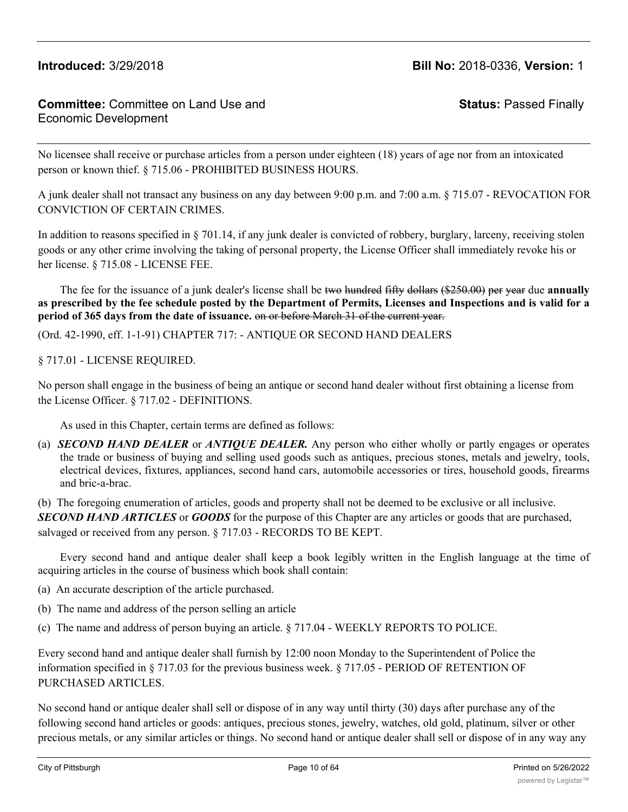**Status:** Passed Finally

No licensee shall receive or purchase articles from a person under eighteen (18) years of age nor from an intoxicated person or known thief. § 715.06 - PROHIBITED BUSINESS HOURS.

A junk dealer shall not transact any business on any day between 9:00 p.m. and 7:00 a.m. § 715.07 - REVOCATION FOR CONVICTION OF CERTAIN CRIMES.

In addition to reasons specified in § 701.14, if any junk dealer is convicted of robbery, burglary, larceny, receiving stolen goods or any other crime involving the taking of personal property, the License Officer shall immediately revoke his or her license. § 715.08 - LICENSE FEE.

The fee for the issuance of a junk dealer's license shall be two hundred fifty dollars (\$250.00) per year due **annually** as prescribed by the fee schedule posted by the Department of Permits, Licenses and Inspections and is valid for a **period of 365 days from the date of issuance.** on or before March 31 of the current year.

(Ord. 42-1990, eff. 1-1-91) CHAPTER 717: - ANTIQUE OR SECOND HAND DEALERS

### § 717.01 - LICENSE REQUIRED.

No person shall engage in the business of being an antique or second hand dealer without first obtaining a license from the License Officer. § 717.02 - DEFINITIONS.

As used in this Chapter, certain terms are defined as follows:

(a) *SECOND HAND DEALER* or *ANTIQUE DEALER.* Any person who either wholly or partly engages or operates the trade or business of buying and selling used goods such as antiques, precious stones, metals and jewelry, tools, electrical devices, fixtures, appliances, second hand cars, automobile accessories or tires, household goods, firearms and bric-a-brac.

(b) The foregoing enumeration of articles, goods and property shall not be deemed to be exclusive or all inclusive.

*SECOND HAND ARTICLES* or *GOODS* for the purpose of this Chapter are any articles or goods that are purchased, salvaged or received from any person. § 717.03 - RECORDS TO BE KEPT.

Every second hand and antique dealer shall keep a book legibly written in the English language at the time of acquiring articles in the course of business which book shall contain:

- (a) An accurate description of the article purchased.
- (b) The name and address of the person selling an article
- (c) The name and address of person buying an article. § 717.04 WEEKLY REPORTS TO POLICE.

Every second hand and antique dealer shall furnish by 12:00 noon Monday to the Superintendent of Police the information specified in § 717.03 for the previous business week. § 717.05 - PERIOD OF RETENTION OF PURCHASED ARTICLES.

No second hand or antique dealer shall sell or dispose of in any way until thirty (30) days after purchase any of the following second hand articles or goods: antiques, precious stones, jewelry, watches, old gold, platinum, silver or other precious metals, or any similar articles or things. No second hand or antique dealer shall sell or dispose of in any way any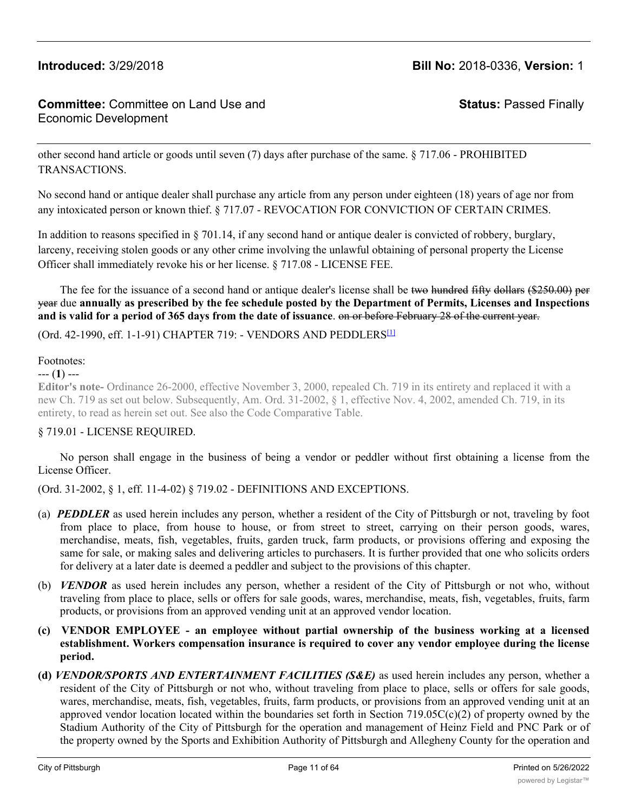# **Committee:** Committee on Land Use and Economic Development

**Status:** Passed Finally

other second hand article or goods until seven (7) days after purchase of the same. § 717.06 - PROHIBITED TRANSACTIONS.

No second hand or antique dealer shall purchase any article from any person under eighteen (18) years of age nor from any intoxicated person or known thief. § 717.07 - REVOCATION FOR CONVICTION OF CERTAIN CRIMES.

In addition to reasons specified in § 701.14, if any second hand or antique dealer is convicted of robbery, burglary, larceny, receiving stolen goods or any other crime involving the unlawful obtaining of personal property the License Officer shall immediately revoke his or her license. § 717.08 - LICENSE FEE.

The fee for the issuance of a second hand or antique dealer's license shall be two hundred fifty dollars (\$250.00) per year due annually as prescribed by the fee schedule posted by the Department of Permits, Licenses and Inspections **and is valid for a period of 365 days from the date of issuance**. on or before February 28 of the current year.

(Ord. 42-1990, eff. 1-1-91) CHAPTER 719: - VENDORS AND PEDDLERS[1]

### Footnotes:

### --- (**1**) ---

**Editor's note-** Ordinance 26-2000, effective November 3, 2000, repealed Ch. 719 in its entirety and replaced it with a new Ch. 719 as set out below. Subsequently, Am. Ord. 31-2002, § 1, effective Nov. 4, 2002, amended Ch. 719, in its entirety, to read as herein set out. See also the Code Comparative Table.

## § 719.01 - LICENSE REQUIRED.

No person shall engage in the business of being a vendor or peddler without first obtaining a license from the License Officer.

(Ord. 31-2002, § 1, eff. 11-4-02) § 719.02 - DEFINITIONS AND EXCEPTIONS.

- (a) *PEDDLER* as used herein includes any person, whether a resident of the City of Pittsburgh or not, traveling by foot from place to place, from house to house, or from street to street, carrying on their person goods, wares, merchandise, meats, fish, vegetables, fruits, garden truck, farm products, or provisions offering and exposing the same for sale, or making sales and delivering articles to purchasers. It is further provided that one who solicits orders for delivery at a later date is deemed a peddler and subject to the provisions of this chapter.
- (b) *VENDOR* as used herein includes any person, whether a resident of the City of Pittsburgh or not who, without traveling from place to place, sells or offers for sale goods, wares, merchandise, meats, fish, vegetables, fruits, farm products, or provisions from an approved vending unit at an approved vendor location.
- **(c) VENDOR EMPLOYEE - an employee without partial ownership of the business working at a licensed establishment. Workers compensation insurance is required to cover any vendor employee during the license period.**
- **(d)** *VENDOR/SPORTS AND ENTERTAINMENT FACILITIES (S&E)* as used herein includes any person, whether a resident of the City of Pittsburgh or not who, without traveling from place to place, sells or offers for sale goods, wares, merchandise, meats, fish, vegetables, fruits, farm products, or provisions from an approved vending unit at an approved vendor location located within the boundaries set forth in Section 719.05 $C(c)(2)$  of property owned by the Stadium Authority of the City of Pittsburgh for the operation and management of Heinz Field and PNC Park or of the property owned by the Sports and Exhibition Authority of Pittsburgh and Allegheny County for the operation and

management of the Consol Energy Center and the David L. Lawrence Convention Center or of any other property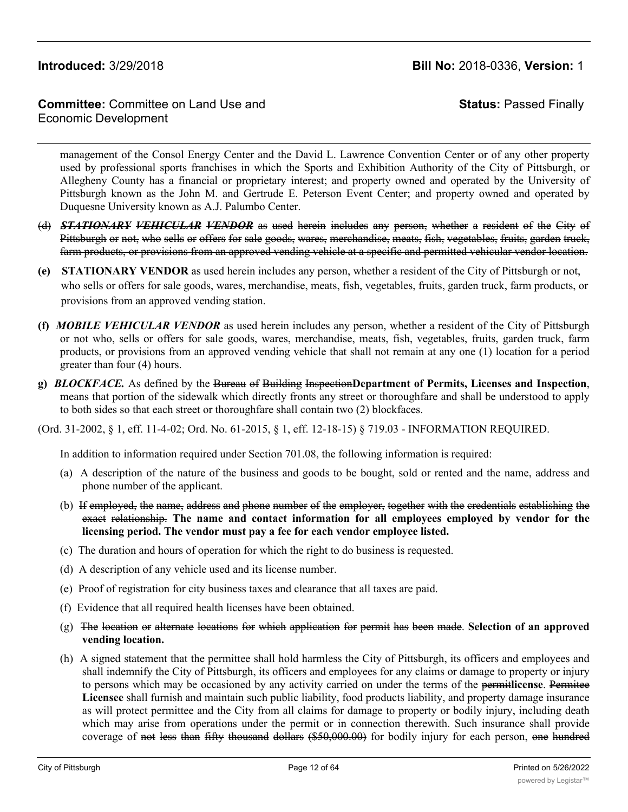# **Committee:** Committee on Land Use and Economic Development

**Status:** Passed Finally

management of the Consol Energy Center and the David L. Lawrence Convention Center or of any other property used by professional sports franchises in which the Sports and Exhibition Authority of the City of Pittsburgh, or Allegheny County has a financial or proprietary interest; and property owned and operated by the University of Pittsburgh known as the John M. and Gertrude E. Peterson Event Center; and property owned and operated by Duquesne University known as A.J. Palumbo Center.

- (d) *STATIONARY VEHICULAR VENDOR* as used herein includes any person, whether a resident of the City of Pittsburgh or not, who sells or offers for sale goods, wares, merchandise, meats, fish, vegetables, fruits, garden truck, farm products, or provisions from an approved vending vehicle at a specific and permitted vehicular vendor location.
- **(e) STATIONARY VENDOR** as used herein includes any person, whether a resident of the City of Pittsburgh or not, who sells or offers for sale goods, wares, merchandise, meats, fish, vegetables, fruits, garden truck, farm products, or provisions from an approved vending station.
- **(f)** *MOBILE VEHICULAR VENDOR* as used herein includes any person, whether a resident of the City of Pittsburgh or not who, sells or offers for sale goods, wares, merchandise, meats, fish, vegetables, fruits, garden truck, farm products, or provisions from an approved vending vehicle that shall not remain at any one (1) location for a period greater than four (4) hours.
- **g)** *BLOCKFACE.* As defined by the Bureau of Building Inspection**Department of Permits, Licenses and Inspection**, means that portion of the sidewalk which directly fronts any street or thoroughfare and shall be understood to apply to both sides so that each street or thoroughfare shall contain two (2) blockfaces.
- (Ord. 31-2002, § 1, eff. 11-4-02; Ord. No. 61-2015, § 1, eff. 12-18-15) § 719.03 INFORMATION REQUIRED.

In addition to information required under Section 701.08, the following information is required:

- (a) A description of the nature of the business and goods to be bought, sold or rented and the name, address and phone number of the applicant.
- (b) If employed, the name, address and phone number of the employer, together with the credentials establishing the exact relationship. **The name and contact information for all employees employed by vendor for the licensing period. The vendor must pay a fee for each vendor employee listed.**
- (c) The duration and hours of operation for which the right to do business is requested.
- (d) A description of any vehicle used and its license number.
- (e) Proof of registration for city business taxes and clearance that all taxes are paid.
- (f) Evidence that all required health licenses have been obtained.
- (g) The location or alternate locations for which application for permit has been made. **Selection of an approved vending location.**
- (h) A signed statement that the permittee shall hold harmless the City of Pittsburgh, its officers and employees and shall indemnify the City of Pittsburgh, its officers and employees for any claims or damage to property or injury to persons which may be occasioned by any activity carried on under the terms of the permit**license**. Permitee **Licensee** shall furnish and maintain such public liability, food products liability, and property damage insurance as will protect permittee and the City from all claims for damage to property or bodily injury, including death which may arise from operations under the permit or in connection therewith. Such insurance shall provide coverage of not less than fifty thousand dollars (\$50,000.00) for bodily injury for each person, one hundred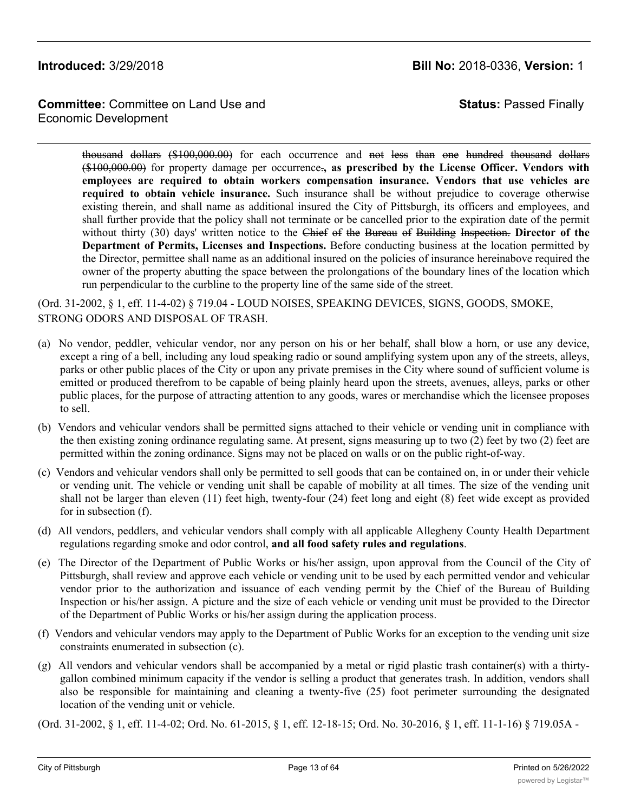**Committee:** Committee on Land Use and Economic Development

**Status:** Passed Finally

thousand dollars (\$100,000.00) for each occurrence and not less than one hundred thousand dollars (\$100,000.00) for property damage per occurrence.**, as prescribed by the License Officer. Vendors with employees are required to obtain workers compensation insurance. Vendors that use vehicles are required to obtain vehicle insurance.** Such insurance shall be without prejudice to coverage otherwise existing therein, and shall name as additional insured the City of Pittsburgh, its officers and employees, and shall further provide that the policy shall not terminate or be cancelled prior to the expiration date of the permit without thirty (30) days' written notice to the Chief of the Bureau of Building Inspection. **Director of the Department of Permits, Licenses and Inspections.** Before conducting business at the location permitted by the Director, permittee shall name as an additional insured on the policies of insurance hereinabove required the owner of the property abutting the space between the prolongations of the boundary lines of the location which run perpendicular to the curbline to the property line of the same side of the street.

(Ord. 31-2002, § 1, eff. 11-4-02) § 719.04 - LOUD NOISES, SPEAKING DEVICES, SIGNS, GOODS, SMOKE, STRONG ODORS AND DISPOSAL OF TRASH.

- (a) No vendor, peddler, vehicular vendor, nor any person on his or her behalf, shall blow a horn, or use any device, except a ring of a bell, including any loud speaking radio or sound amplifying system upon any of the streets, alleys, parks or other public places of the City or upon any private premises in the City where sound of sufficient volume is emitted or produced therefrom to be capable of being plainly heard upon the streets, avenues, alleys, parks or other public places, for the purpose of attracting attention to any goods, wares or merchandise which the licensee proposes to sell.
- (b) Vendors and vehicular vendors shall be permitted signs attached to their vehicle or vending unit in compliance with the then existing zoning ordinance regulating same. At present, signs measuring up to two (2) feet by two (2) feet are permitted within the zoning ordinance. Signs may not be placed on walls or on the public right-of-way.
- (c) Vendors and vehicular vendors shall only be permitted to sell goods that can be contained on, in or under their vehicle or vending unit. The vehicle or vending unit shall be capable of mobility at all times. The size of the vending unit shall not be larger than eleven (11) feet high, twenty-four (24) feet long and eight (8) feet wide except as provided for in subsection (f).
- (d) All vendors, peddlers, and vehicular vendors shall comply with all applicable Allegheny County Health Department regulations regarding smoke and odor control, **and all food safety rules and regulations**.
- (e) The Director of the Department of Public Works or his/her assign, upon approval from the Council of the City of Pittsburgh, shall review and approve each vehicle or vending unit to be used by each permitted vendor and vehicular vendor prior to the authorization and issuance of each vending permit by the Chief of the Bureau of Building Inspection or his/her assign. A picture and the size of each vehicle or vending unit must be provided to the Director of the Department of Public Works or his/her assign during the application process.
- (f) Vendors and vehicular vendors may apply to the Department of Public Works for an exception to the vending unit size constraints enumerated in subsection (c).
- (g) All vendors and vehicular vendors shall be accompanied by a metal or rigid plastic trash container(s) with a thirtygallon combined minimum capacity if the vendor is selling a product that generates trash. In addition, vendors shall also be responsible for maintaining and cleaning a twenty-five (25) foot perimeter surrounding the designated location of the vending unit or vehicle.

(Ord. 31-2002, § 1, eff. 11-4-02; Ord. No. 61-2015, § 1, eff. 12-18-15; Ord. No. 30-2016, § 1, eff. 11-1-16) § 719.05A -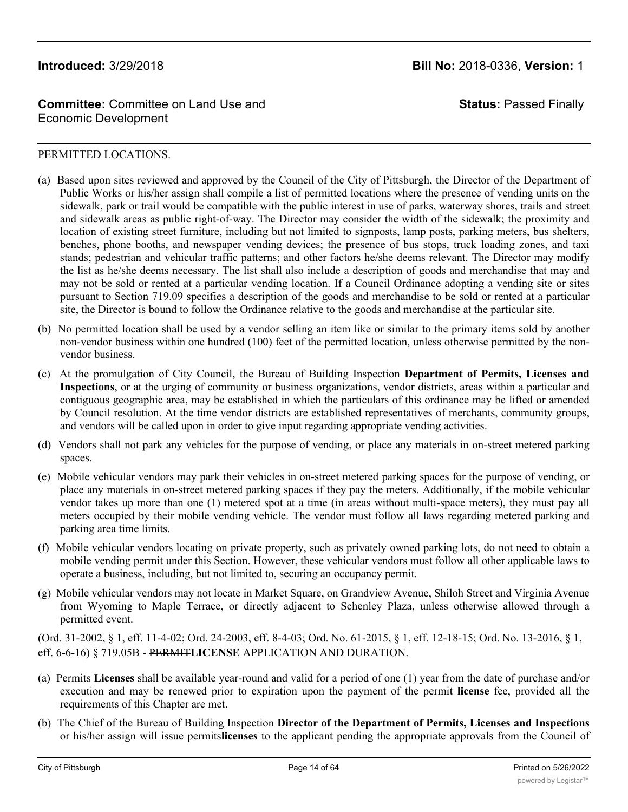**Status:** Passed Finally

### PERMITTED LOCATIONS.

- (a) Based upon sites reviewed and approved by the Council of the City of Pittsburgh, the Director of the Department of Public Works or his/her assign shall compile a list of permitted locations where the presence of vending units on the sidewalk, park or trail would be compatible with the public interest in use of parks, waterway shores, trails and street and sidewalk areas as public right-of-way. The Director may consider the width of the sidewalk; the proximity and location of existing street furniture, including but not limited to signposts, lamp posts, parking meters, bus shelters, benches, phone booths, and newspaper vending devices; the presence of bus stops, truck loading zones, and taxi stands; pedestrian and vehicular traffic patterns; and other factors he/she deems relevant. The Director may modify the list as he/she deems necessary. The list shall also include a description of goods and merchandise that may and may not be sold or rented at a particular vending location. If a Council Ordinance adopting a vending site or sites pursuant to Section 719.09 specifies a description of the goods and merchandise to be sold or rented at a particular site, the Director is bound to follow the Ordinance relative to the goods and merchandise at the particular site.
- (b) No permitted location shall be used by a vendor selling an item like or similar to the primary items sold by another non-vendor business within one hundred (100) feet of the permitted location, unless otherwise permitted by the nonvendor business.
- (c) At the promulgation of City Council, the Bureau of Building Inspection **Department of Permits, Licenses and Inspections**, or at the urging of community or business organizations, vendor districts, areas within a particular and contiguous geographic area, may be established in which the particulars of this ordinance may be lifted or amended by Council resolution. At the time vendor districts are established representatives of merchants, community groups, and vendors will be called upon in order to give input regarding appropriate vending activities.
- (d) Vendors shall not park any vehicles for the purpose of vending, or place any materials in on-street metered parking spaces.
- (e) Mobile vehicular vendors may park their vehicles in on-street metered parking spaces for the purpose of vending, or place any materials in on-street metered parking spaces if they pay the meters. Additionally, if the mobile vehicular vendor takes up more than one (1) metered spot at a time (in areas without multi-space meters), they must pay all meters occupied by their mobile vending vehicle. The vendor must follow all laws regarding metered parking and parking area time limits.
- (f) Mobile vehicular vendors locating on private property, such as privately owned parking lots, do not need to obtain a mobile vending permit under this Section. However, these vehicular vendors must follow all other applicable laws to operate a business, including, but not limited to, securing an occupancy permit.
- (g) Mobile vehicular vendors may not locate in Market Square, on Grandview Avenue, Shiloh Street and Virginia Avenue from Wyoming to Maple Terrace, or directly adjacent to Schenley Plaza, unless otherwise allowed through a permitted event.

(Ord. 31-2002, § 1, eff. 11-4-02; Ord. 24-2003, eff. 8-4-03; Ord. No. 61-2015, § 1, eff. 12-18-15; Ord. No. 13-2016, § 1, eff. 6-6-16) § 719.05B - PERMIT**LICENSE** APPLICATION AND DURATION.

- (a) Permits **Licenses** shall be available year-round and valid for a period of one (1) year from the date of purchase and/or execution and may be renewed prior to expiration upon the payment of the permit **license** fee, provided all the requirements of this Chapter are met.
- (b) The Chief of the Bureau of Building Inspection **Director of the Department of Permits, Licenses and Inspections** or his/her assign will issue permits**licenses** to the applicant pending the appropriate approvals from the Council of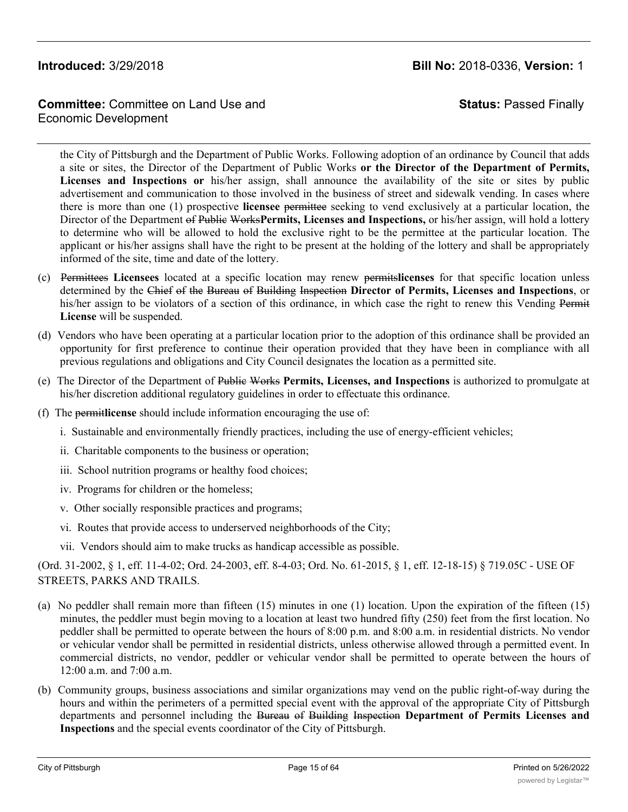# **Committee:** Committee on Land Use and Economic Development

**Status:** Passed Finally

the City of Pittsburgh and the Department of Public Works. Following adoption of an ordinance by Council that adds a site or sites, the Director of the Department of Public Works **or the Director of the Department of Permits, Licenses and Inspections or** his/her assign, shall announce the availability of the site or sites by public advertisement and communication to those involved in the business of street and sidewalk vending. In cases where there is more than one (1) prospective **licensee** permittee seeking to vend exclusively at a particular location, the Director of the Department of Public Works**Permits, Licenses and Inspections,** or his/her assign, will hold a lottery to determine who will be allowed to hold the exclusive right to be the permittee at the particular location. The applicant or his/her assigns shall have the right to be present at the holding of the lottery and shall be appropriately informed of the site, time and date of the lottery.

- (c) Permittees **Licensees** located at a specific location may renew permits**licenses** for that specific location unless determined by the Chief of the Bureau of Building Inspection **Director of Permits, Licenses and Inspections**, or his/her assign to be violators of a section of this ordinance, in which case the right to renew this Vending Permit **License** will be suspended.
- (d) Vendors who have been operating at a particular location prior to the adoption of this ordinance shall be provided an opportunity for first preference to continue their operation provided that they have been in compliance with all previous regulations and obligations and City Council designates the location as a permitted site.
- (e) The Director of the Department of Public Works **Permits, Licenses, and Inspections** is authorized to promulgate at his/her discretion additional regulatory guidelines in order to effectuate this ordinance.
- (f) The permit**license** should include information encouraging the use of:
	- i. Sustainable and environmentally friendly practices, including the use of energy-efficient vehicles;
	- ii. Charitable components to the business or operation;
	- iii. School nutrition programs or healthy food choices;
	- iv. Programs for children or the homeless;
	- v. Other socially responsible practices and programs;
	- vi. Routes that provide access to underserved neighborhoods of the City;
	- vii. Vendors should aim to make trucks as handicap accessible as possible.

(Ord. 31-2002, § 1, eff. 11-4-02; Ord. 24-2003, eff. 8-4-03; Ord. No. 61-2015, § 1, eff. 12-18-15) § 719.05C - USE OF STREETS, PARKS AND TRAILS.

- (a) No peddler shall remain more than fifteen (15) minutes in one (1) location. Upon the expiration of the fifteen (15) minutes, the peddler must begin moving to a location at least two hundred fifty (250) feet from the first location. No peddler shall be permitted to operate between the hours of 8:00 p.m. and 8:00 a.m. in residential districts. No vendor or vehicular vendor shall be permitted in residential districts, unless otherwise allowed through a permitted event. In commercial districts, no vendor, peddler or vehicular vendor shall be permitted to operate between the hours of 12:00 a.m. and 7:00 a.m.
- (b) Community groups, business associations and similar organizations may vend on the public right-of-way during the hours and within the perimeters of a permitted special event with the approval of the appropriate City of Pittsburgh departments and personnel including the Bureau of Building Inspection **Department of Permits Licenses and Inspections** and the special events coordinator of the City of Pittsburgh.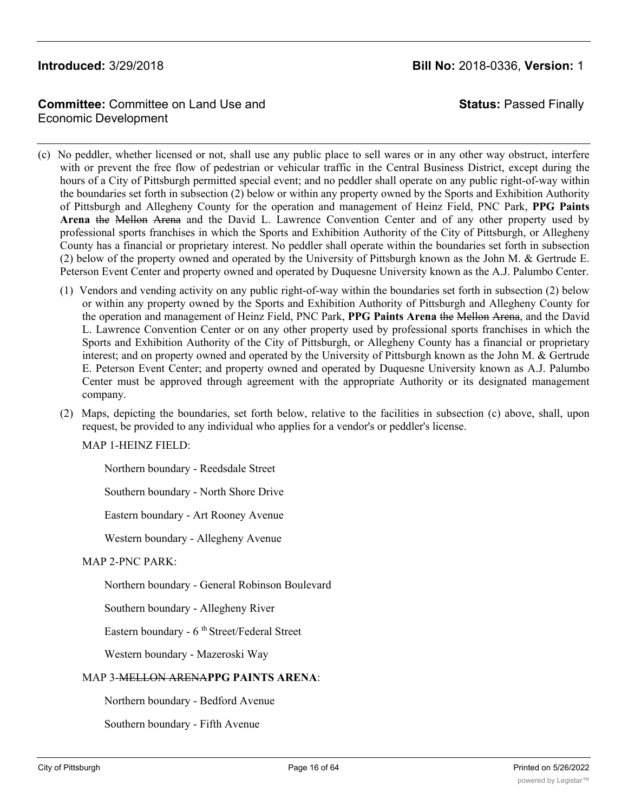# **Committee:** Committee on Land Use and Economic Development

**Status:** Passed Finally

- (c) No peddler, whether licensed or not, shall use any public place to sell wares or in any other way obstruct, interfere with or prevent the free flow of pedestrian or vehicular traffic in the Central Business District, except during the hours of a City of Pittsburgh permitted special event; and no peddler shall operate on any public right-of-way within the boundaries set forth in subsection (2) below or within any property owned by the Sports and Exhibition Authority of Pittsburgh and Allegheny County for the operation and management of Heinz Field, PNC Park, **PPG Paints Arena** the Mellon Arena and the David L. Lawrence Convention Center and of any other property used by professional sports franchises in which the Sports and Exhibition Authority of the City of Pittsburgh, or Allegheny County has a financial or proprietary interest. No peddler shall operate within the boundaries set forth in subsection (2) below of the property owned and operated by the University of Pittsburgh known as the John M. & Gertrude E. Peterson Event Center and property owned and operated by Duquesne University known as the A.J. Palumbo Center.
	- (1) Vendors and vending activity on any public right-of-way within the boundaries set forth in subsection (2) below or within any property owned by the Sports and Exhibition Authority of Pittsburgh and Allegheny County for the operation and management of Heinz Field, PNC Park, **PPG Paints Arena** the Mellon Arena, and the David L. Lawrence Convention Center or on any other property used by professional sports franchises in which the Sports and Exhibition Authority of the City of Pittsburgh, or Allegheny County has a financial or proprietary interest; and on property owned and operated by the University of Pittsburgh known as the John M. & Gertrude E. Peterson Event Center; and property owned and operated by Duquesne University known as A.J. Palumbo Center must be approved through agreement with the appropriate Authority or its designated management company.
	- (2) Maps, depicting the boundaries, set forth below, relative to the facilities in subsection (c) above, shall, upon request, be provided to any individual who applies for a vendor's or peddler's license.

MAP 1-HEINZ FIELD:

Northern boundary - Reedsdale Street

Southern boundary - North Shore Drive

Eastern boundary - Art Rooney Avenue

Western boundary - Allegheny Avenue

### MAP 2-PNC PARK:

Northern boundary - General Robinson Boulevard

Southern boundary - Allegheny River

Eastern boundary - 6<sup>th</sup> Street/Federal Street

Western boundary - Mazeroski Way

### MAP 3-MELLON ARENA**PPG PAINTS ARENA**:

Northern boundary - Bedford Avenue

Southern boundary - Fifth Avenue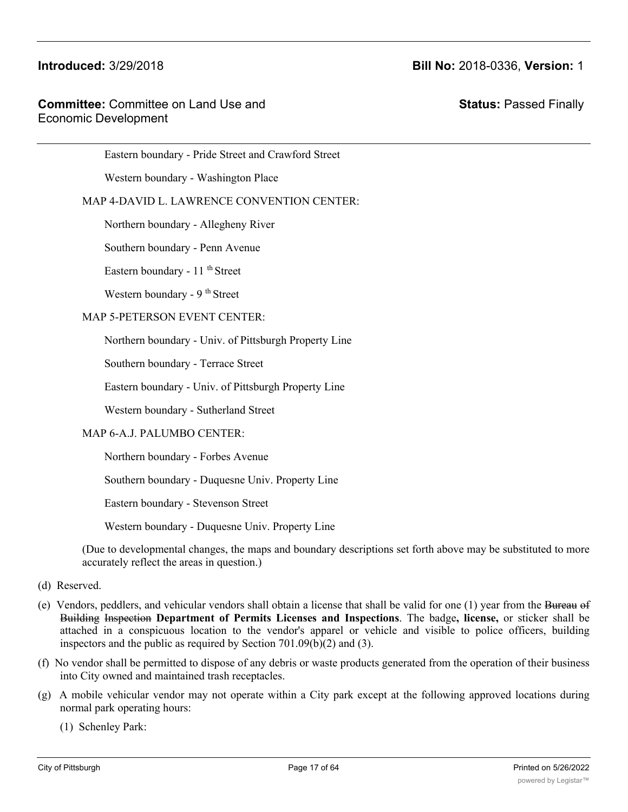Eastern boundary - Pride Street and Crawford Street

Western boundary - Washington Place

### MAP 4-DAVID L. LAWRENCE CONVENTION CENTER:

Northern boundary - Allegheny River

Southern boundary - Penn Avenue

Eastern boundary - 11<sup>th</sup> Street

Western boundary - 9<sup>th</sup> Street

### MAP 5-PETERSON EVENT CENTER:

Northern boundary - Univ. of Pittsburgh Property Line

Southern boundary - Terrace Street

Eastern boundary - Univ. of Pittsburgh Property Line

Western boundary - Sutherland Street

### MAP 6-A.J. PALUMBO CENTER:

Northern boundary - Forbes Avenue

Southern boundary - Duquesne Univ. Property Line

Eastern boundary - Stevenson Street

Western boundary - Duquesne Univ. Property Line

(Due to developmental changes, the maps and boundary descriptions set forth above may be substituted to more accurately reflect the areas in question.)

- (d) Reserved.
- (e) Vendors, peddlers, and vehicular vendors shall obtain a license that shall be valid for one  $(1)$  year from the Bureau of Building Inspection **Department of Permits Licenses and Inspections**. The badge**, license,** or sticker shall be attached in a conspicuous location to the vendor's apparel or vehicle and visible to police officers, building inspectors and the public as required by Section 701.09(b)(2) and (3).
- (f) No vendor shall be permitted to dispose of any debris or waste products generated from the operation of their business into City owned and maintained trash receptacles.
- (g) A mobile vehicular vendor may not operate within a City park except at the following approved locations during normal park operating hours:

(1) Schenley Park: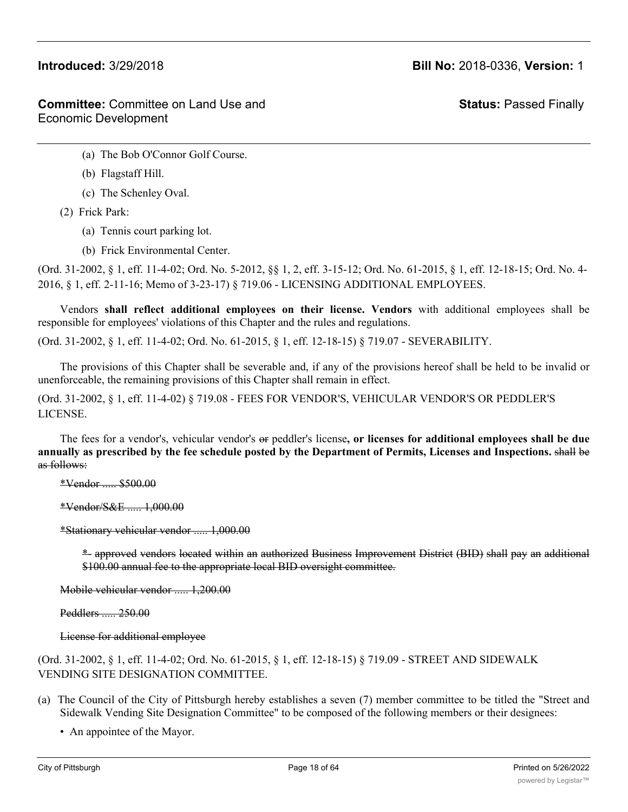**Status:** Passed Finally

- (a) The Bob O'Connor Golf Course.
- (b) Flagstaff Hill.
- (c) The Schenley Oval.
- (2) Frick Park:
	- (a) Tennis court parking lot.
	- (b) Frick Environmental Center.

(Ord. 31-2002, § 1, eff. 11-4-02; Ord. No. 5-2012, §§ 1, 2, eff. 3-15-12; Ord. No. 61-2015, § 1, eff. 12-18-15; Ord. No. 4- 2016, § 1, eff. 2-11-16; Memo of 3-23-17) § 719.06 - LICENSING ADDITIONAL EMPLOYEES.

Vendors **shall reflect additional employees on their license. Vendors** with additional employees shall be responsible for employees' violations of this Chapter and the rules and regulations.

(Ord. 31-2002, § 1, eff. 11-4-02; Ord. No. 61-2015, § 1, eff. 12-18-15) § 719.07 - SEVERABILITY.

The provisions of this Chapter shall be severable and, if any of the provisions hereof shall be held to be invalid or unenforceable, the remaining provisions of this Chapter shall remain in effect.

(Ord. 31-2002, § 1, eff. 11-4-02) § 719.08 - FEES FOR VENDOR'S, VEHICULAR VENDOR'S OR PEDDLER'S LICENSE.

The fees for a vendor's, vehicular vendor's or peddler's license**, or licenses for additional employees shall be due** annually as prescribed by the fee schedule posted by the Department of Permits, Licenses and Inspections. shall be as follows:

\*Vendor ..... \$500.00

\*Vendor/S&E ..... 1,000.00

\*Stationary vehicular vendor ..... 1,000.00

\*- approved vendors located within an authorized Business Improvement District (BID) shall pay an additional \$100.00 annual fee to the appropriate local BID oversight committee.

Mobile vehicular vendor ..... 1,200.00

Peddlers ..... 250.00

License for additional employee

(Ord. 31-2002, § 1, eff. 11-4-02; Ord. No. 61-2015, § 1, eff. 12-18-15) § 719.09 - STREET AND SIDEWALK VENDING SITE DESIGNATION COMMITTEE.

(a) The Council of the City of Pittsburgh hereby establishes a seven (7) member committee to be titled the "Street and Sidewalk Vending Site Designation Committee" to be composed of the following members or their designees:

• An appointee of the Mayor.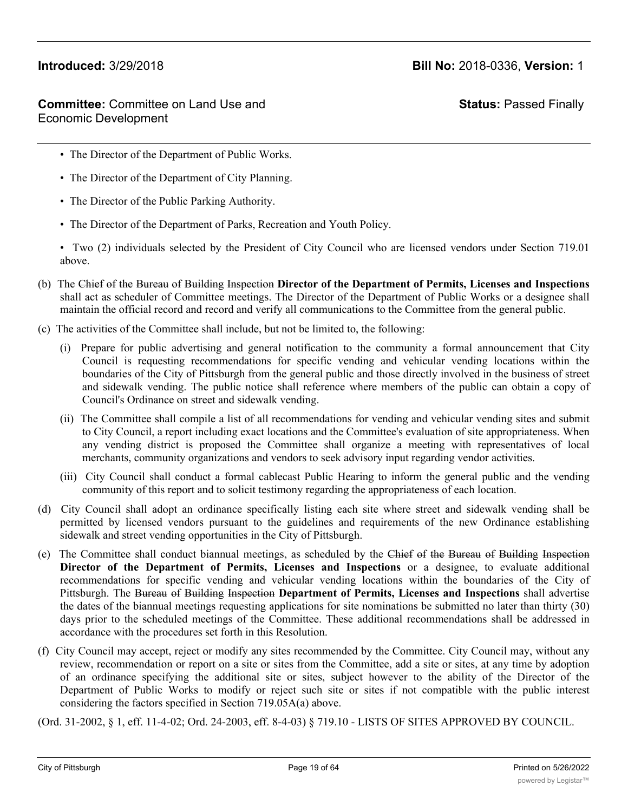**Status:** Passed Finally

- The Director of the Department of Public Works.
- The Director of the Department of City Planning.
- The Director of the Public Parking Authority.
- The Director of the Department of Parks, Recreation and Youth Policy.

• Two (2) individuals selected by the President of City Council who are licensed vendors under Section 719.01 above.

- (b) The Chief of the Bureau of Building Inspection **Director of the Department of Permits, Licenses and Inspections** shall act as scheduler of Committee meetings. The Director of the Department of Public Works or a designee shall maintain the official record and record and verify all communications to the Committee from the general public.
- (c) The activities of the Committee shall include, but not be limited to, the following:
	- (i) Prepare for public advertising and general notification to the community a formal announcement that City Council is requesting recommendations for specific vending and vehicular vending locations within the boundaries of the City of Pittsburgh from the general public and those directly involved in the business of street and sidewalk vending. The public notice shall reference where members of the public can obtain a copy of Council's Ordinance on street and sidewalk vending.
	- (ii) The Committee shall compile a list of all recommendations for vending and vehicular vending sites and submit to City Council, a report including exact locations and the Committee's evaluation of site appropriateness. When any vending district is proposed the Committee shall organize a meeting with representatives of local merchants, community organizations and vendors to seek advisory input regarding vendor activities.
	- (iii) City Council shall conduct a formal cablecast Public Hearing to inform the general public and the vending community of this report and to solicit testimony regarding the appropriateness of each location.
- (d) City Council shall adopt an ordinance specifically listing each site where street and sidewalk vending shall be permitted by licensed vendors pursuant to the guidelines and requirements of the new Ordinance establishing sidewalk and street vending opportunities in the City of Pittsburgh.
- (e) The Committee shall conduct biannual meetings, as scheduled by the Chief of the Bureau of Building Inspection **Director of the Department of Permits, Licenses and Inspections** or a designee, to evaluate additional recommendations for specific vending and vehicular vending locations within the boundaries of the City of Pittsburgh. The Bureau of Building Inspection **Department of Permits, Licenses and Inspections** shall advertise the dates of the biannual meetings requesting applications for site nominations be submitted no later than thirty (30) days prior to the scheduled meetings of the Committee. These additional recommendations shall be addressed in accordance with the procedures set forth in this Resolution.
- (f) City Council may accept, reject or modify any sites recommended by the Committee. City Council may, without any review, recommendation or report on a site or sites from the Committee, add a site or sites, at any time by adoption of an ordinance specifying the additional site or sites, subject however to the ability of the Director of the Department of Public Works to modify or reject such site or sites if not compatible with the public interest considering the factors specified in Section 719.05A(a) above.

(Ord. 31-2002, § 1, eff. 11-4-02; Ord. 24-2003, eff. 8-4-03) § 719.10 - LISTS OF SITES APPROVED BY COUNCIL.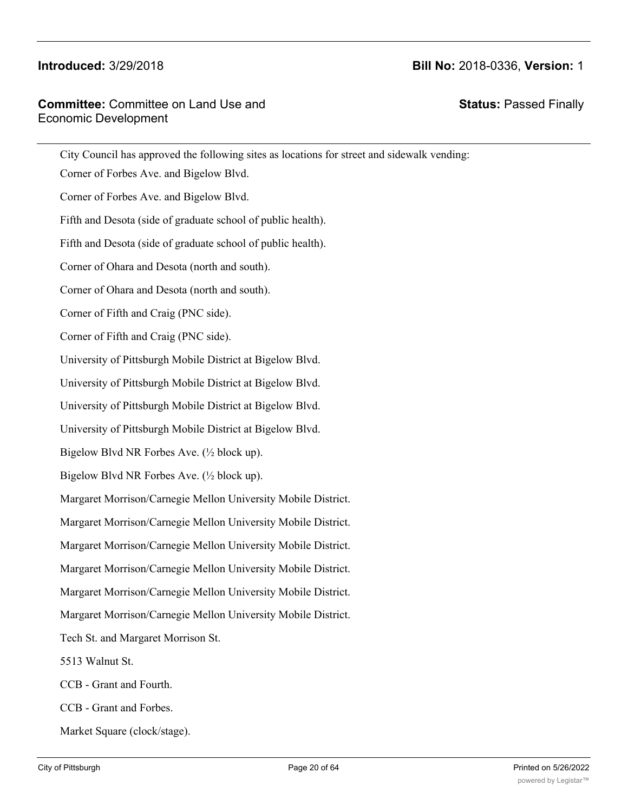# **Committee:** Committee on Land Use and Economic Development

**Status:** Passed Finally

| City Council has approved the following sites as locations for street and sidewalk vending: |
|---------------------------------------------------------------------------------------------|
| Corner of Forbes Ave. and Bigelow Blvd.                                                     |
| Corner of Forbes Ave. and Bigelow Blvd.                                                     |
| Fifth and Desota (side of graduate school of public health).                                |
| Fifth and Desota (side of graduate school of public health).                                |
| Corner of Ohara and Desota (north and south).                                               |
| Corner of Ohara and Desota (north and south).                                               |
| Corner of Fifth and Craig (PNC side).                                                       |
| Corner of Fifth and Craig (PNC side).                                                       |
| University of Pittsburgh Mobile District at Bigelow Blvd.                                   |
| University of Pittsburgh Mobile District at Bigelow Blvd.                                   |
| University of Pittsburgh Mobile District at Bigelow Blvd.                                   |
| University of Pittsburgh Mobile District at Bigelow Blvd.                                   |
| Bigelow Blvd NR Forbes Ave. $(\frac{1}{2}$ block up).                                       |
| Bigelow Blvd NR Forbes Ave. $(\frac{1}{2}$ block up).                                       |
| Margaret Morrison/Carnegie Mellon University Mobile District.                               |
| Margaret Morrison/Carnegie Mellon University Mobile District.                               |
| Margaret Morrison/Carnegie Mellon University Mobile District.                               |
| Margaret Morrison/Carnegie Mellon University Mobile District.                               |
| Margaret Morrison/Carnegie Mellon University Mobile District.                               |
| Margaret Morrison/Carnegie Mellon University Mobile District.                               |
| Tech St. and Margaret Morrison St.                                                          |
| 5513 Walnut St.                                                                             |
| CCB - Grant and Fourth.                                                                     |
| CCB - Grant and Forbes.                                                                     |
| Market Square (clock/stage).                                                                |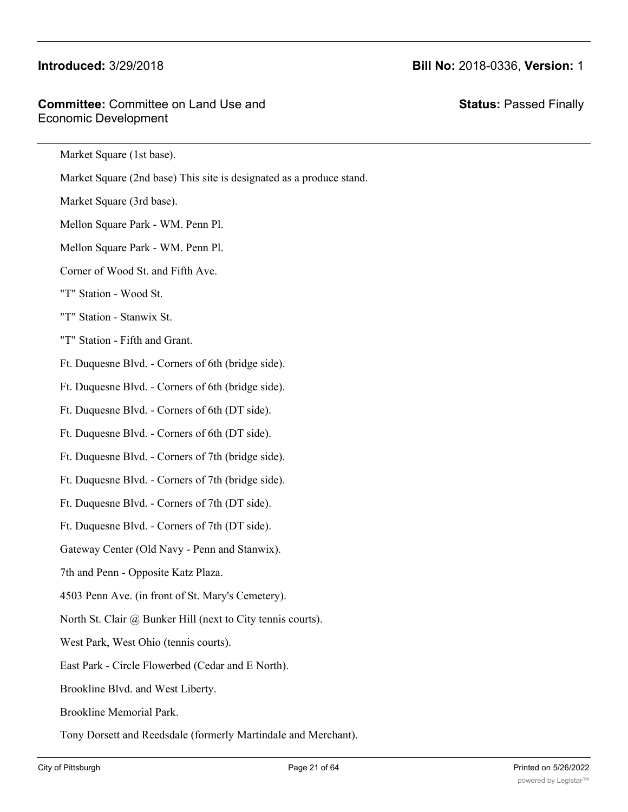# **Committee:** Committee on Land Use and Economic Development

**Status:** Passed Finally

Market Square (1st base).

Market Square (2nd base) This site is designated as a produce stand.

Market Square (3rd base).

Mellon Square Park - WM. Penn Pl.

Mellon Square Park - WM. Penn Pl.

Corner of Wood St. and Fifth Ave.

### "T" Station - Wood St.

"T" Station - Stanwix St.

"T" Station - Fifth and Grant.

Ft. Duquesne Blvd. - Corners of 6th (bridge side).

Ft. Duquesne Blvd. - Corners of 6th (bridge side).

Ft. Duquesne Blvd. - Corners of 6th (DT side).

Ft. Duquesne Blvd. - Corners of 6th (DT side).

Ft. Duquesne Blvd. - Corners of 7th (bridge side).

Ft. Duquesne Blvd. - Corners of 7th (bridge side).

Ft. Duquesne Blvd. - Corners of 7th (DT side).

Ft. Duquesne Blvd. - Corners of 7th (DT side).

Gateway Center (Old Navy - Penn and Stanwix).

7th and Penn - Opposite Katz Plaza.

4503 Penn Ave. (in front of St. Mary's Cemetery).

North St. Clair @ Bunker Hill (next to City tennis courts).

West Park, West Ohio (tennis courts).

East Park - Circle Flowerbed (Cedar and E North).

Brookline Blvd. and West Liberty.

Brookline Memorial Park.

Tony Dorsett and Reedsdale (formerly Martindale and Merchant).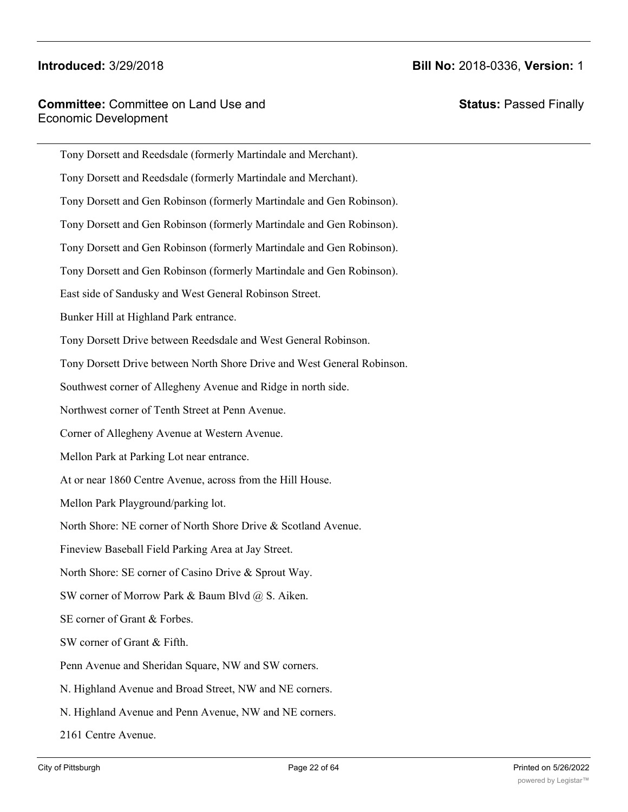|                      | <b>Committee: Committee on Land Use and</b> |
|----------------------|---------------------------------------------|
| Economic Development |                                             |

**Status:** Passed Finally

| Tony Dorsett and Reedsdale (formerly Martindale and Merchant).          |
|-------------------------------------------------------------------------|
| Tony Dorsett and Reedsdale (formerly Martindale and Merchant).          |
| Tony Dorsett and Gen Robinson (formerly Martindale and Gen Robinson).   |
| Tony Dorsett and Gen Robinson (formerly Martindale and Gen Robinson).   |
| Tony Dorsett and Gen Robinson (formerly Martindale and Gen Robinson).   |
| Tony Dorsett and Gen Robinson (formerly Martindale and Gen Robinson).   |
| East side of Sandusky and West General Robinson Street.                 |
| Bunker Hill at Highland Park entrance.                                  |
| Tony Dorsett Drive between Reedsdale and West General Robinson.         |
| Tony Dorsett Drive between North Shore Drive and West General Robinson. |
| Southwest corner of Allegheny Avenue and Ridge in north side.           |
| Northwest corner of Tenth Street at Penn Avenue.                        |
| Corner of Allegheny Avenue at Western Avenue.                           |
| Mellon Park at Parking Lot near entrance.                               |
| At or near 1860 Centre Avenue, across from the Hill House.              |
| Mellon Park Playground/parking lot.                                     |
| North Shore: NE corner of North Shore Drive & Scotland Avenue.          |
| Fineview Baseball Field Parking Area at Jay Street.                     |
| North Shore: SE corner of Casino Drive & Sprout Way.                    |
| SW corner of Morrow Park & Baum Blvd @ S. Aiken.                        |
| SE corner of Grant & Forbes.                                            |
| SW corner of Grant & Fifth.                                             |
| Penn Avenue and Sheridan Square, NW and SW corners.                     |
| N. Highland Avenue and Broad Street, NW and NE corners.                 |
| N. Highland Avenue and Penn Avenue, NW and NE corners.                  |
| 2161 Centre Avenue.                                                     |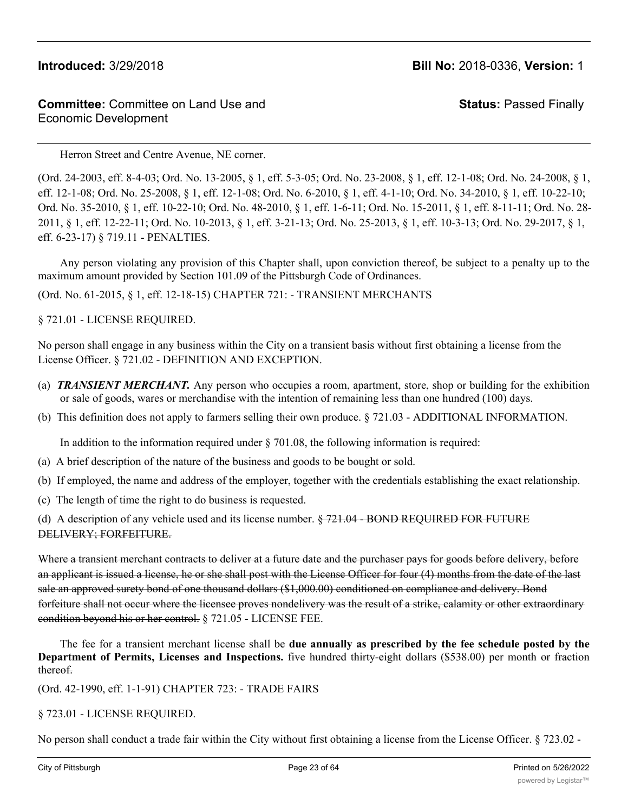# **Committee:** Committee on Land Use and Economic Development

**Status:** Passed Finally

Herron Street and Centre Avenue, NE corner.

(Ord. 24-2003, eff. 8-4-03; Ord. No. 13-2005, § 1, eff. 5-3-05; Ord. No. 23-2008, § 1, eff. 12-1-08; Ord. No. 24-2008, § 1, eff. 12-1-08; Ord. No. 25-2008, § 1, eff. 12-1-08; Ord. No. 6-2010, § 1, eff. 4-1-10; Ord. No. 34-2010, § 1, eff. 10-22-10; Ord. No. 35-2010, § 1, eff. 10-22-10; Ord. No. 48-2010, § 1, eff. 1-6-11; Ord. No. 15-2011, § 1, eff. 8-11-11; Ord. No. 28- 2011, § 1, eff. 12-22-11; Ord. No. 10-2013, § 1, eff. 3-21-13; Ord. No. 25-2013, § 1, eff. 10-3-13; Ord. No. 29-2017, § 1, eff. 6-23-17) § 719.11 - PENALTIES.

Any person violating any provision of this Chapter shall, upon conviction thereof, be subject to a penalty up to the maximum amount provided by Section 101.09 of the Pittsburgh Code of Ordinances.

(Ord. No. 61-2015, § 1, eff. 12-18-15) CHAPTER 721: - TRANSIENT MERCHANTS

§ 721.01 - LICENSE REQUIRED.

No person shall engage in any business within the City on a transient basis without first obtaining a license from the License Officer. § 721.02 - DEFINITION AND EXCEPTION.

- (a) *TRANSIENT MERCHANT.* Any person who occupies a room, apartment, store, shop or building for the exhibition or sale of goods, wares or merchandise with the intention of remaining less than one hundred (100) days.
- (b) This definition does not apply to farmers selling their own produce. § 721.03 ADDITIONAL INFORMATION.

In addition to the information required under  $\S$  701.08, the following information is required:

- (a) A brief description of the nature of the business and goods to be bought or sold.
- (b) If employed, the name and address of the employer, together with the credentials establishing the exact relationship.
- (c) The length of time the right to do business is requested.

(d) A description of any vehicle used and its license number. § 721.04 - BOND REQUIRED FOR FUTURE DELIVERY; FORFEITURE.

Where a transient merchant contracts to deliver at a future date and the purchaser pays for goods before delivery, before an applicant is issued a license, he or she shall post with the License Officer for four (4) months from the date of the last sale an approved surety bond of one thousand dollars (\$1,000.00) conditioned on compliance and delivery. Bond forfeiture shall not occur where the licensee proves nondelivery was the result of a strike, calamity or other extraordinary condition beyond his or her control. § 721.05 - LICENSE FEE.

The fee for a transient merchant license shall be **due annually as prescribed by the fee schedule posted by the Department of Permits, Licenses and Inspections.** five hundred thirty-eight dollars (\$538.00) per month or fraction thereof.

(Ord. 42-1990, eff. 1-1-91) CHAPTER 723: - TRADE FAIRS

§ 723.01 - LICENSE REQUIRED.

No person shall conduct a trade fair within the City without first obtaining a license from the License Officer. § 723.02 -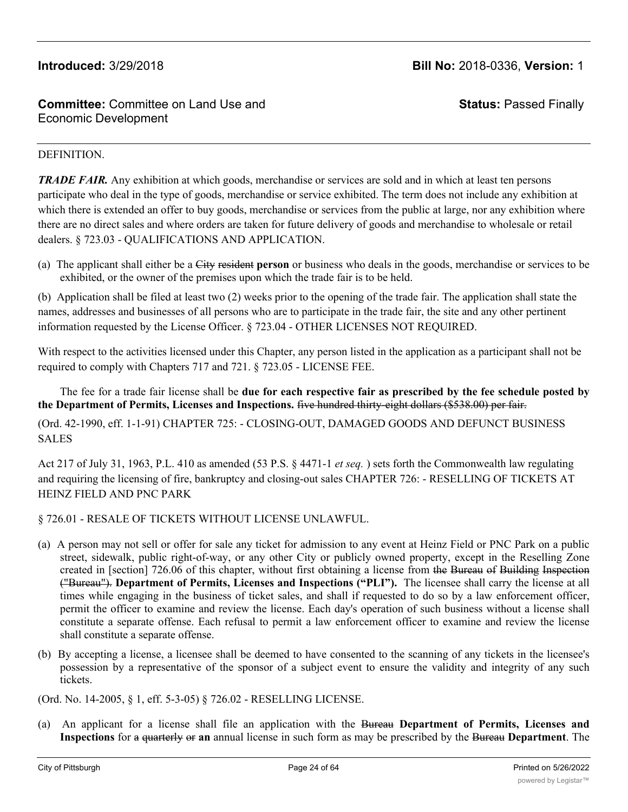**Status:** Passed Finally

# DEFINITION.

*TRADE FAIR.* Any exhibition at which goods, merchandise or services are sold and in which at least ten persons participate who deal in the type of goods, merchandise or service exhibited. The term does not include any exhibition at which there is extended an offer to buy goods, merchandise or services from the public at large, nor any exhibition where there are no direct sales and where orders are taken for future delivery of goods and merchandise to wholesale or retail dealers. § 723.03 - QUALIFICATIONS AND APPLICATION.

(a) The applicant shall either be a City resident **person** or business who deals in the goods, merchandise or services to be exhibited, or the owner of the premises upon which the trade fair is to be held.

(b) Application shall be filed at least two (2) weeks prior to the opening of the trade fair. The application shall state the names, addresses and businesses of all persons who are to participate in the trade fair, the site and any other pertinent information requested by the License Officer. § 723.04 - OTHER LICENSES NOT REQUIRED.

With respect to the activities licensed under this Chapter, any person listed in the application as a participant shall not be required to comply with Chapters 717 and 721. § 723.05 - LICENSE FEE.

The fee for a trade fair license shall be **due for each respective fair as prescribed by the fee schedule posted by the Department of Permits, Licenses and Inspections.** five hundred thirty-eight dollars (\$538.00) per fair.

(Ord. 42-1990, eff. 1-1-91) CHAPTER 725: - CLOSING-OUT, DAMAGED GOODS AND DEFUNCT BUSINESS SALES

Act 217 of July 31, 1963, P.L. 410 as amended (53 P.S. § 4471-1 *et seq.* ) sets forth the Commonwealth law regulating and requiring the licensing of fire, bankruptcy and closing-out sales CHAPTER 726: - RESELLING OF TICKETS AT HEINZ FIELD AND PNC PARK

## § 726.01 - RESALE OF TICKETS WITHOUT LICENSE UNLAWFUL.

- (a) A person may not sell or offer for sale any ticket for admission to any event at Heinz Field or PNC Park on a public street, sidewalk, public right-of-way, or any other City or publicly owned property, except in the Reselling Zone created in [section] 726.06 of this chapter, without first obtaining a license from the Bureau of Building Inspection ("Bureau"). **Department of Permits, Licenses and Inspections ("PLI").** The licensee shall carry the license at all times while engaging in the business of ticket sales, and shall if requested to do so by a law enforcement officer, permit the officer to examine and review the license. Each day's operation of such business without a license shall constitute a separate offense. Each refusal to permit a law enforcement officer to examine and review the license shall constitute a separate offense.
- (b) By accepting a license, a licensee shall be deemed to have consented to the scanning of any tickets in the licensee's possession by a representative of the sponsor of a subject event to ensure the validity and integrity of any such tickets.

(Ord. No. 14-2005, § 1, eff. 5-3-05) § 726.02 - RESELLING LICENSE.

(a) An applicant for a license shall file an application with the Bureau **Department of Permits, Licenses and Inspections** for a quarterly or **an** annual license in such form as may be prescribed by the Bureau **Department**. The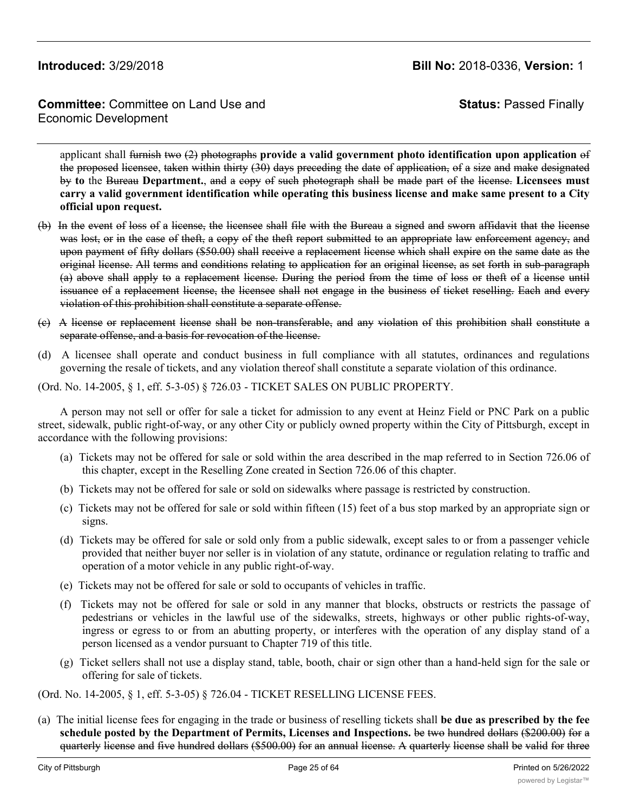# **Committee:** Committee on Land Use and Economic Development

**Status:** Passed Finally

applicant shall furnish two (2) photographs **provide a valid government photo identification upon application** of the proposed licensee, taken within thirty (30) days preceding the date of application, of a size and make designated by **to** the Bureau **Department.**, and a copy of such photograph shall be made part of the license. **Licensees must** carry a valid government identification while operating this business license and make same present to a City **official upon request.**

- (b) In the event of loss of a license, the licensee shall file with the Bureau a signed and sworn affidavit that the license was lost, or in the case of theft, a copy of the theft report submitted to an appropriate law enforcement agency, and upon payment of fifty dollars (\$50.00) shall receive a replacement license which shall expire on the same date as the original license. All terms and conditions relating to application for an original license, as set forth in sub-paragraph (a) above shall apply to a replacement license. During the period from the time of loss or theft of a license until issuance of a replacement license, the licensee shall not engage in the business of ticket reselling. Each and every violation of this prohibition shall constitute a separate offense.
- (c) A license or replacement license shall be non-transferable, and any violation of this prohibition shall constitute a separate offense, and a basis for revocation of the license.
- (d) A licensee shall operate and conduct business in full compliance with all statutes, ordinances and regulations governing the resale of tickets, and any violation thereof shall constitute a separate violation of this ordinance.

(Ord. No. 14-2005, § 1, eff. 5-3-05) § 726.03 - TICKET SALES ON PUBLIC PROPERTY.

A person may not sell or offer for sale a ticket for admission to any event at Heinz Field or PNC Park on a public street, sidewalk, public right-of-way, or any other City or publicly owned property within the City of Pittsburgh, except in accordance with the following provisions:

- (a) Tickets may not be offered for sale or sold within the area described in the map referred to in Section 726.06 of this chapter, except in the Reselling Zone created in Section 726.06 of this chapter.
- (b) Tickets may not be offered for sale or sold on sidewalks where passage is restricted by construction.
- (c) Tickets may not be offered for sale or sold within fifteen (15) feet of a bus stop marked by an appropriate sign or signs.
- (d) Tickets may be offered for sale or sold only from a public sidewalk, except sales to or from a passenger vehicle provided that neither buyer nor seller is in violation of any statute, ordinance or regulation relating to traffic and operation of a motor vehicle in any public right-of-way.
- (e) Tickets may not be offered for sale or sold to occupants of vehicles in traffic.
- (f) Tickets may not be offered for sale or sold in any manner that blocks, obstructs or restricts the passage of pedestrians or vehicles in the lawful use of the sidewalks, streets, highways or other public rights-of-way, ingress or egress to or from an abutting property, or interferes with the operation of any display stand of a person licensed as a vendor pursuant to Chapter 719 of this title.
- (g) Ticket sellers shall not use a display stand, table, booth, chair or sign other than a hand-held sign for the sale or offering for sale of tickets.

(Ord. No. 14-2005, § 1, eff. 5-3-05) § 726.04 - TICKET RESELLING LICENSE FEES.

(a) The initial license fees for engaging in the trade or business of reselling tickets shall **be due as prescribed by the fee schedule posted by the Department of Permits, Licenses and Inspections.** be two hundred dollars (\$200.00) for a quarterly license and five hundred dollars (\$500.00) for an annual license. A quarterly license shall be valid for three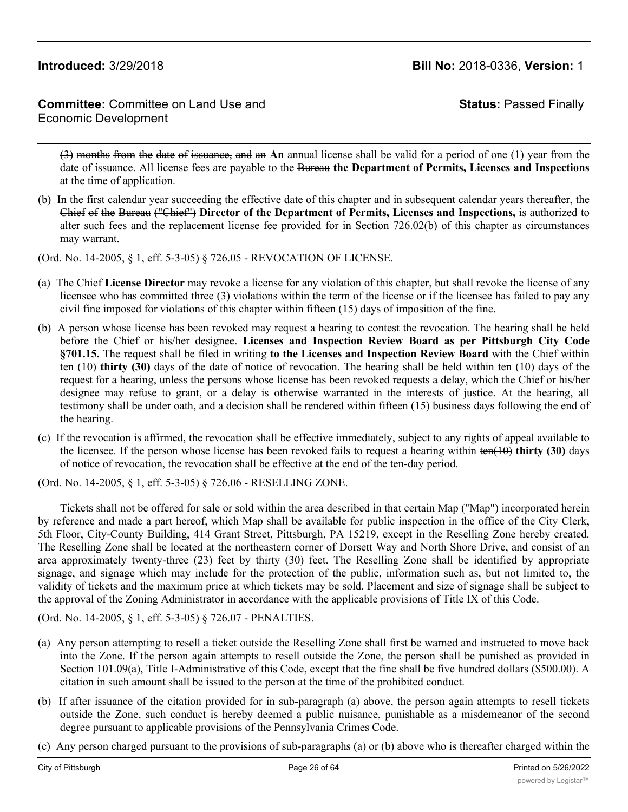# **Committee:** Committee on Land Use and Economic Development

**Status:** Passed Finally

(3) months from the date of issuance, and an **An** annual license shall be valid for a period of one (1) year from the date of issuance. All license fees are payable to the Bureau **the Department of Permits, Licenses and Inspections** at the time of application.

- (b) In the first calendar year succeeding the effective date of this chapter and in subsequent calendar years thereafter, the Chief of the Bureau ("Chief") **Director of the Department of Permits, Licenses and Inspections,** is authorized to alter such fees and the replacement license fee provided for in Section 726.02(b) of this chapter as circumstances may warrant.
- (Ord. No. 14-2005, § 1, eff. 5-3-05) § 726.05 REVOCATION OF LICENSE.
- (a) The Chief **License Director** may revoke a license for any violation of this chapter, but shall revoke the license of any licensee who has committed three (3) violations within the term of the license or if the licensee has failed to pay any civil fine imposed for violations of this chapter within fifteen (15) days of imposition of the fine.
- (b) A person whose license has been revoked may request a hearing to contest the revocation. The hearing shall be held before the Chief or his/her designee. **Licenses and Inspection Review Board as per Pittsburgh City Code §701.15.** The request shall be filed in writing **to the Licenses and Inspection Review Board** with the Chief within ten (10) **thirty (30)** days of the date of notice of revocation. The hearing shall be held within ten (10) days of the request for a hearing, unless the persons whose license has been revoked requests a delay, which the Chief or his/her designee may refuse to grant, or a delay is otherwise warranted in the interests of justice. At the hearing, all testimony shall be under oath, and a decision shall be rendered within fifteen (15) business days following the end of the hearing.
- (c) If the revocation is affirmed, the revocation shall be effective immediately, subject to any rights of appeal available to the licensee. If the person whose license has been revoked fails to request a hearing within ten(10) **thirty (30)** days of notice of revocation, the revocation shall be effective at the end of the ten-day period.

(Ord. No. 14-2005, § 1, eff. 5-3-05) § 726.06 - RESELLING ZONE.

Tickets shall not be offered for sale or sold within the area described in that certain Map ("Map") incorporated herein by reference and made a part hereof, which Map shall be available for public inspection in the office of the City Clerk, 5th Floor, City-County Building, 414 Grant Street, Pittsburgh, PA 15219, except in the Reselling Zone hereby created. The Reselling Zone shall be located at the northeastern corner of Dorsett Way and North Shore Drive, and consist of an area approximately twenty-three (23) feet by thirty (30) feet. The Reselling Zone shall be identified by appropriate signage, and signage which may include for the protection of the public, information such as, but not limited to, the validity of tickets and the maximum price at which tickets may be sold. Placement and size of signage shall be subject to the approval of the Zoning Administrator in accordance with the applicable provisions of Title IX of this Code.

(Ord. No. 14-2005, § 1, eff. 5-3-05) § 726.07 - PENALTIES.

- (a) Any person attempting to resell a ticket outside the Reselling Zone shall first be warned and instructed to move back into the Zone. If the person again attempts to resell outside the Zone, the person shall be punished as provided in Section 101.09(a), Title I-Administrative of this Code, except that the fine shall be five hundred dollars (\$500.00). A citation in such amount shall be issued to the person at the time of the prohibited conduct.
- (b) If after issuance of the citation provided for in sub-paragraph (a) above, the person again attempts to resell tickets outside the Zone, such conduct is hereby deemed a public nuisance, punishable as a misdemeanor of the second degree pursuant to applicable provisions of the Pennsylvania Crimes Code.
- (c) Any person charged pursuant to the provisions of sub-paragraphs (a) or (b) above who is thereafter charged within the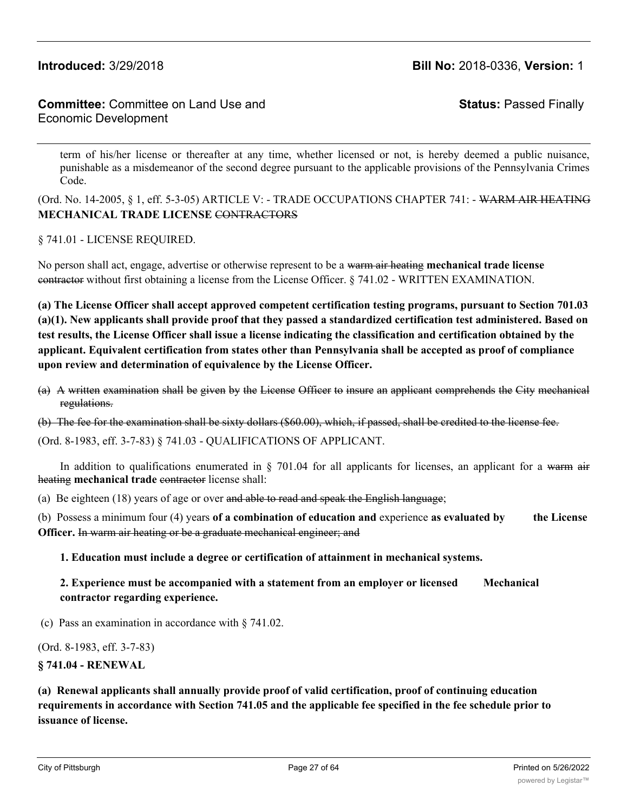**Committee:** Committee on Land Use and Economic Development

**Status:** Passed Finally

term of his/her license or thereafter at any time, whether licensed or not, is hereby deemed a public nuisance, punishable as a misdemeanor of the second degree pursuant to the applicable provisions of the Pennsylvania Crimes Code.

(Ord. No. 14-2005, § 1, eff. 5-3-05) ARTICLE V: - TRADE OCCUPATIONS CHAPTER 741: - WARM AIR HEATING **MECHANICAL TRADE LICENSE** CONTRACTORS

§ 741.01 - LICENSE REQUIRED.

No person shall act, engage, advertise or otherwise represent to be a warm air heating **mechanical trade license** contractor without first obtaining a license from the License Officer. § 741.02 - WRITTEN EXAMINATION.

**(a) The License Officer shall accept approved competent certification testing programs, pursuant to Section 701.03 (a)(1). New applicants shall provide proof that they passed a standardized certification test administered. Based on test results, the License Officer shall issue a license indicating the classification and certification obtained by the applicant. Equivalent certification from states other than Pennsylvania shall be accepted as proof of compliance upon review and determination of equivalence by the License Officer.**

(a) A written examination shall be given by the License Officer to insure an applicant comprehends the City mechanical regulations.

(b) The fee for the examination shall be sixty dollars (\$60.00), which, if passed, shall be credited to the license fee.

(Ord. 8-1983, eff. 3-7-83) § 741.03 - QUALIFICATIONS OF APPLICANT.

In addition to qualifications enumerated in  $\S$  701.04 for all applicants for licenses, an applicant for a warm air heating mechanical trade contractor license shall:

(a) Be eighteen (18) years of age or over and able to read and speak the English language;

(b) Possess a minimum four (4) years **of a combination of education and** experience **as evaluated by the License Officer.** In warm air heating or be a graduate mechanical engineer; and

**1. Education must include a degree or certification of attainment in mechanical systems.**

**2. Experience must be accompanied with a statement from an employer or licensed Mechanical contractor regarding experience.**

(c) Pass an examination in accordance with § 741.02.

(Ord. 8-1983, eff. 3-7-83)

**§ 741.04 - RENEWAL**

**(a) Renewal applicants shall annually provide proof of valid certification, proof of continuing education requirements in accordance with Section 741.05 and the applicable fee specified in the fee schedule prior to issuance of license.**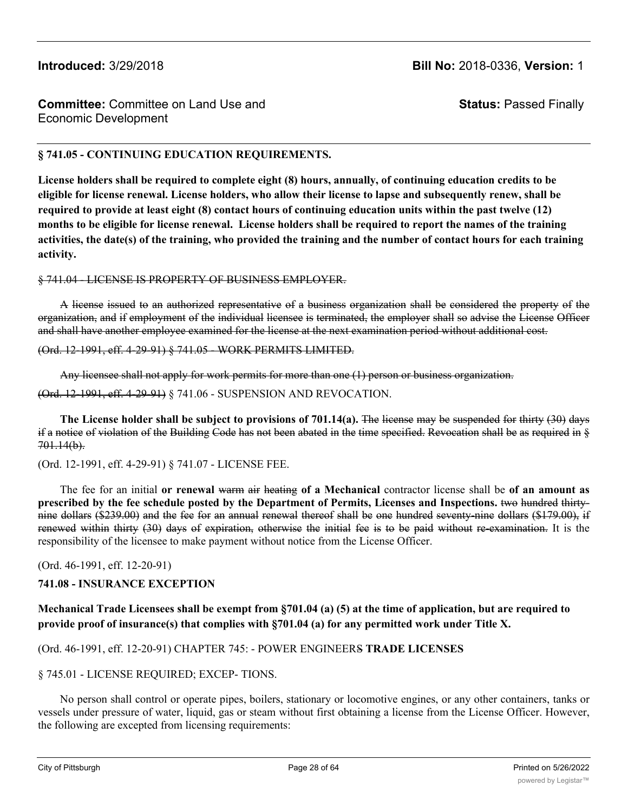**Status:** Passed Finally

# **§ 741.05 - CONTINUING EDUCATION REQUIREMENTS.**

**License holders shall be required to complete eight (8) hours, annually, of continuing education credits to be eligible for license renewal. License holders, who allow their license to lapse and subsequently renew, shall be required to provide at least eight (8) contact hours of continuing education units within the past twelve (12) months to be eligible for license renewal. License holders shall be required to report the names of the training activities, the date(s) of the training, who provided the training and the number of contact hours for each training activity.**

### § 741.04 - LICENSE IS PROPERTY OF BUSINESS EMPLOYER.

A license issued to an authorized representative of a business organization shall be considered the property of the organization, and if employment of the individual licensee is terminated, the employer shall so advise the License Officer and shall have another employee examined for the license at the next examination period without additional cost.

### (Ord. 12-1991, eff. 4-29-91) § 741.05 - WORK PERMITS LIMITED.

Any licensee shall not apply for work permits for more than one (1) person or business organization.

(Ord. 12-1991, eff. 4-29-91) § 741.06 - SUSPENSION AND REVOCATION.

**The License holder shall be subject to provisions of 701.14(a).** The license may be suspended for thirty (30) days if a notice of violation of the Building Code has not been abated in the time specified. Revocation shall be as required in § 701.14(b).

### (Ord. 12-1991, eff. 4-29-91) § 741.07 - LICENSE FEE.

The fee for an initial **or renewal** warm air heating **of a Mechanical** contractor license shall be **of an amount as prescribed by the fee schedule posted by the Department of Permits, Licenses and Inspections.** two hundred thirtynine dollars (\$239.00) and the fee for an annual renewal thereof shall be one hundred seventy-nine dollars (\$179.00), if renewed within thirty (30) days of expiration, otherwise the initial fee is to be paid without re-examination. It is the responsibility of the licensee to make payment without notice from the License Officer.

(Ord. 46-1991, eff. 12-20-91)

### **741.08 - INSURANCE EXCEPTION**

## **Mechanical Trade Licensees shall be exempt from §701.04 (a) (5) at the time of application, but are required to provide proof of insurance(s) that complies with §701.04 (a) for any permitted work under Title X.**

## (Ord. 46-1991, eff. 12-20-91) CHAPTER 745: - POWER ENGINEERS **TRADE LICENSES**

### § 745.01 - LICENSE REQUIRED; EXCEP- TIONS.

No person shall control or operate pipes, boilers, stationary or locomotive engines, or any other containers, tanks or vessels under pressure of water, liquid, gas or steam without first obtaining a license from the License Officer. However, the following are excepted from licensing requirements: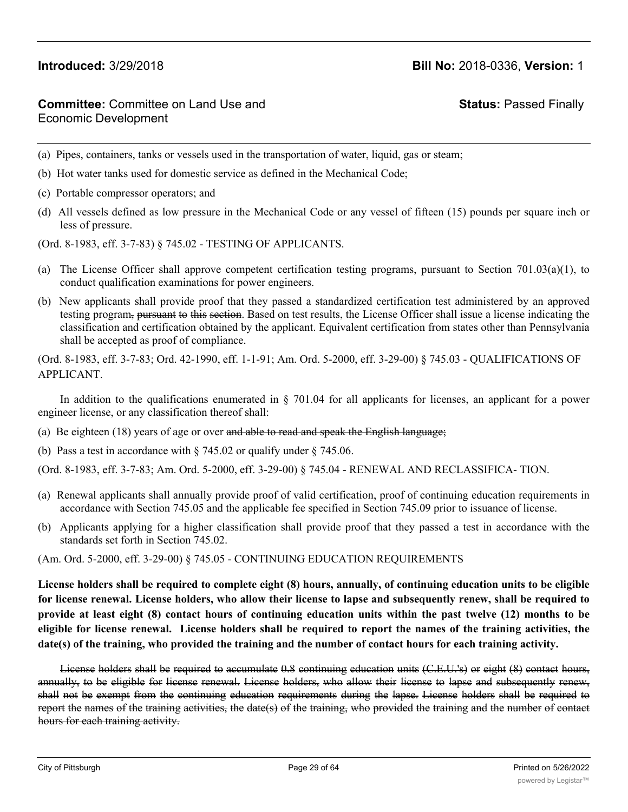# **Committee:** Committee on Land Use and Economic Development

# **Status:** Passed Finally

- (a) Pipes, containers, tanks or vessels used in the transportation of water, liquid, gas or steam;
- (b) Hot water tanks used for domestic service as defined in the Mechanical Code;
- (c) Portable compressor operators; and
- (d) All vessels defined as low pressure in the Mechanical Code or any vessel of fifteen (15) pounds per square inch or less of pressure.
- (Ord. 8-1983, eff. 3-7-83) § 745.02 TESTING OF APPLICANTS.
- (a) The License Officer shall approve competent certification testing programs, pursuant to Section 701.03(a)(1), to conduct qualification examinations for power engineers.
- (b) New applicants shall provide proof that they passed a standardized certification test administered by an approved testing program, pursuant to this section. Based on test results, the License Officer shall issue a license indicating the classification and certification obtained by the applicant. Equivalent certification from states other than Pennsylvania shall be accepted as proof of compliance.

(Ord. 8-1983, eff. 3-7-83; Ord. 42-1990, eff. 1-1-91; Am. Ord. 5-2000, eff. 3-29-00) § 745.03 - QUALIFICATIONS OF APPLICANT.

In addition to the qualifications enumerated in § 701.04 for all applicants for licenses, an applicant for a power engineer license, or any classification thereof shall:

- (a) Be eighteen  $(18)$  years of age or over and able to read and speak the English language;
- (b) Pass a test in accordance with § 745.02 or qualify under § 745.06.

(Ord. 8-1983, eff. 3-7-83; Am. Ord. 5-2000, eff. 3-29-00) § 745.04 - RENEWAL AND RECLASSIFICA- TION.

- (a) Renewal applicants shall annually provide proof of valid certification, proof of continuing education requirements in accordance with Section 745.05 and the applicable fee specified in Section 745.09 prior to issuance of license.
- (b) Applicants applying for a higher classification shall provide proof that they passed a test in accordance with the standards set forth in Section 745.02.

### (Am. Ord. 5-2000, eff. 3-29-00) § 745.05 - CONTINUING EDUCATION REQUIREMENTS

License holders shall be required to complete eight (8) hours, annually, of continuing education units to be eligible for license renewal. License holders, who allow their license to lapse and subsequently renew, shall be required to provide at least eight (8) contact hours of continuing education units within the past twelve (12) months to be eligible for license renewal. License holders shall be required to report the names of the training activities, the **date(s) of the training, who provided the training and the number of contact hours for each training activity.**

License holders shall be required to accumulate 0.8 continuing education units (C.E.U.'s) or eight (8) contact hours, annually, to be eligible for license renewal. License holders, who allow their license to lapse and subsequently renew, shall not be exempt from the continuing education requirements during the lapse. License holders shall be required to report the names of the training activities, the date(s) of the training, who provided the training and the number of contact hours for each training activity.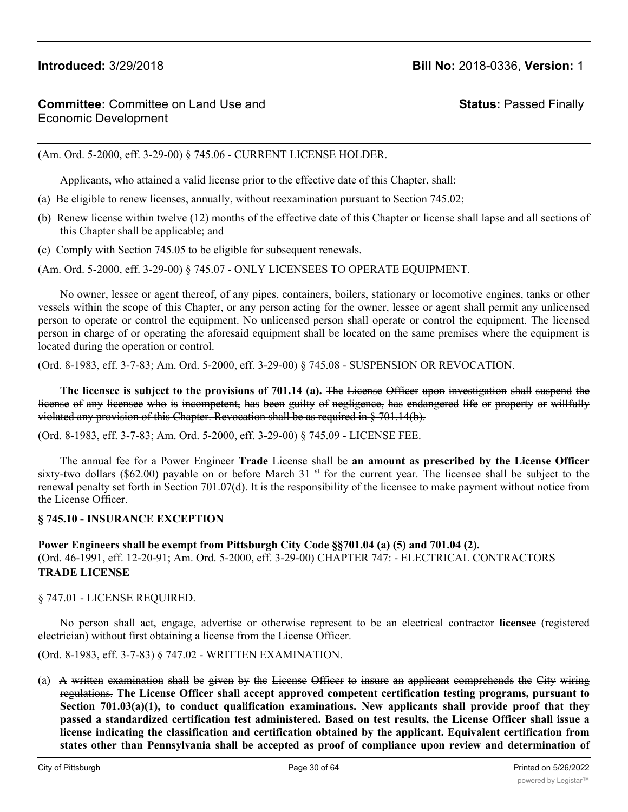**Status:** Passed Finally

(Am. Ord. 5-2000, eff. 3-29-00) § 745.06 - CURRENT LICENSE HOLDER.

Applicants, who attained a valid license prior to the effective date of this Chapter, shall:

- (a) Be eligible to renew licenses, annually, without reexamination pursuant to Section 745.02;
- (b) Renew license within twelve (12) months of the effective date of this Chapter or license shall lapse and all sections of this Chapter shall be applicable; and
- (c) Comply with Section 745.05 to be eligible for subsequent renewals.

(Am. Ord. 5-2000, eff. 3-29-00) § 745.07 - ONLY LICENSEES TO OPERATE EQUIPMENT.

No owner, lessee or agent thereof, of any pipes, containers, boilers, stationary or locomotive engines, tanks or other vessels within the scope of this Chapter, or any person acting for the owner, lessee or agent shall permit any unlicensed person to operate or control the equipment. No unlicensed person shall operate or control the equipment. The licensed person in charge of or operating the aforesaid equipment shall be located on the same premises where the equipment is located during the operation or control.

(Ord. 8-1983, eff. 3-7-83; Am. Ord. 5-2000, eff. 3-29-00) § 745.08 - SUSPENSION OR REVOCATION.

**The licensee is subject to the provisions of 701.14 (a).** The License Officer upon investigation shall suspend the license of any licensee who is incompetent, has been guilty of negligence, has endangered life or property or willfully violated any provision of this Chapter. Revocation shall be as required in § 701.14(b).

(Ord. 8-1983, eff. 3-7-83; Am. Ord. 5-2000, eff. 3-29-00) § 745.09 - LICENSE FEE.

The annual fee for a Power Engineer **Trade** License shall be **an amount as prescribed by the License Officer** sixty-two dollars (\$62.00) payable on or before March  $31$  <sup>st</sup> for the current year. The licensee shall be subject to the renewal penalty set forth in Section 701.07(d). It is the responsibility of the licensee to make payment without notice from the License Officer.

# **§ 745.10 - INSURANCE EXCEPTION**

**Power Engineers shall be exempt from Pittsburgh City Code §§701.04 (a) (5) and 701.04 (2).** (Ord. 46-1991, eff. 12-20-91; Am. Ord. 5-2000, eff. 3-29-00) CHAPTER 747: - ELECTRICAL CONTRACTORS **TRADE LICENSE**

# § 747.01 - LICENSE REQUIRED.

No person shall act, engage, advertise or otherwise represent to be an electrical contractor **licensee** (registered electrician) without first obtaining a license from the License Officer.

(Ord. 8-1983, eff. 3-7-83) § 747.02 - WRITTEN EXAMINATION.

(a) A written examination shall be given by the License Officer to insure an applicant comprehends the City wiring regulations. **The License Officer shall accept approved competent certification testing programs, pursuant to Section 701.03(a)(1), to conduct qualification examinations. New applicants shall provide proof that they passed a standardized certification test administered. Based on test results, the License Officer shall issue a license indicating the classification and certification obtained by the applicant. Equivalent certification from states other than Pennsylvania shall be accepted as proof of compliance upon review and determination of** <u> 1989 - Andrea Santa Andrea Santa Andrea Santa Andrea Santa Andrea Santa Andrea Santa Andrea Santa Andrea San</u>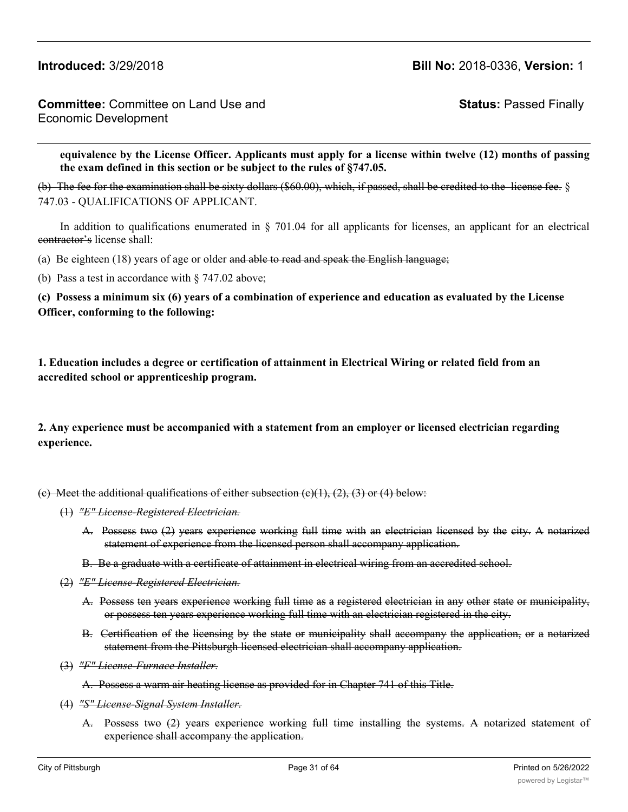**Status:** Passed Finally

equivalence by the License Officer. Applicants must apply for a license within twelve (12) months of passing **the exam defined in this section or be subject to the rules of §747.05.**

(b) The fee for the examination shall be sixty dollars (\$60.00), which, if passed, shall be credited to the license fee. § 747.03 - QUALIFICATIONS OF APPLICANT.

In addition to qualifications enumerated in  $\S$  701.04 for all applicants for licenses, an applicant for an electrical contractor's license shall:

(a) Be eighteen  $(18)$  years of age or older and able to read and speak the English language;

(b) Pass a test in accordance with § 747.02 above;

**(c) Possess a minimum six (6) years of a combination of experience and education as evaluated by the License Officer, conforming to the following:**

**1. Education includes a degree or certification of attainment in Electrical Wiring or related field from an accredited school or apprenticeship program.**

**2. Any experience must be accompanied with a statement from an employer or licensed electrician regarding experience.**

(e) Meet the additional qualifications of either subsection  $(e)(1), (2), (3)$  or (4) below:

- (1) *"E" License-Registered Electrician.*
	- A. Possess two (2) years experience working full time with an electrician licensed by the city. A notarized statement of experience from the licensed person shall accompany application.
	- B. Be a graduate with a certificate of attainment in electrical wiring from an accredited school.
- (2) *"E" License-Registered Electrician.*
	- A. Possess ten years experience working full time as a registered electrician in any other state or municipality, or possess ten years experience working full time with an electrician registered in the city.
	- B. Certification of the licensing by the state or municipality shall accompany the application, or a notarized statement from the Pittsburgh licensed electrician shall accompany application.
- (3) *"F" License-Furnace Installer.*

A. Possess a warm air heating license as provided for in Chapter 741 of this Title.

- (4) *"S" License-Signal System Installer.*
	- A. Possess two (2) years experience working full time installing the systems. A notarized statement of experience shall accompany the application.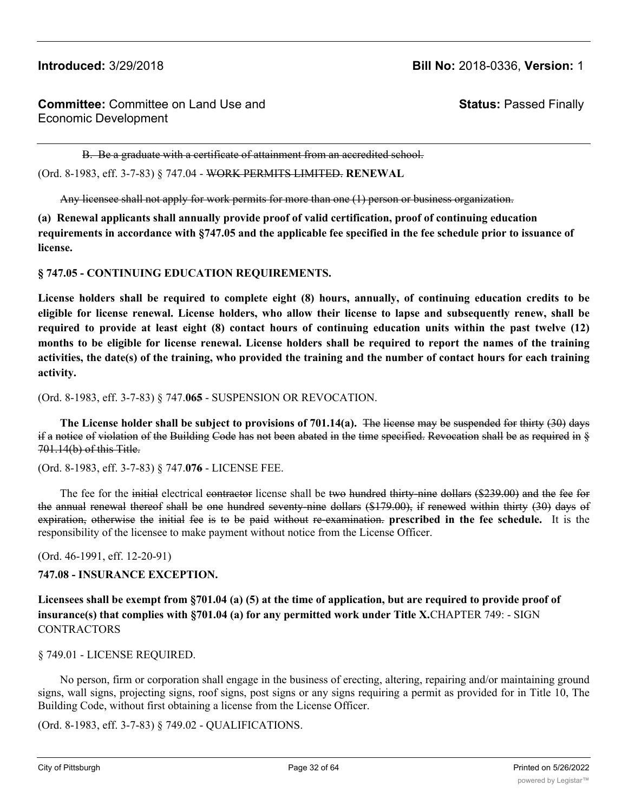**Status:** Passed Finally

B. Be a graduate with a certificate of attainment from an accredited school.

(Ord. 8-1983, eff. 3-7-83) § 747.04 - WORK PERMITS LIMITED. **RENEWAL**

Any licensee shall not apply for work permits for more than one (1) person or business organization.

**(a) Renewal applicants shall annually provide proof of valid certification, proof of continuing education requirements in accordance with §747.05 and the applicable fee specified in the fee schedule prior to issuance of license.**

**§ 747.05 - CONTINUING EDUCATION REQUIREMENTS.**

License holders shall be required to complete eight (8) hours, annually, of continuing education credits to be eligible for license renewal. License holders, who allow their license to lapse and subsequently renew, shall be required to provide at least eight (8) contact hours of continuing education units within the past twelve (12) months to be eligible for license renewal. License holders shall be required to report the names of the training activities, the date(s) of the training, who provided the training and the number of contact hours for each training **activity.**

(Ord. 8-1983, eff. 3-7-83) § 747.**065** - SUSPENSION OR REVOCATION.

**The License holder shall be subject to provisions of 701.14(a).** The license may be suspended for thirty (30) days if a notice of violation of the Building Code has not been abated in the time specified. Revocation shall be as required in § 701.14(b) of this Title.

(Ord. 8-1983, eff. 3-7-83) § 747.**076** - LICENSE FEE.

The fee for the initial electrical contractor license shall be two hundred thirty-nine dollars (\$239.00) and the fee for the annual renewal thereof shall be one hundred seventy-nine dollars (\$179.00), if renewed within thirty (30) days of expiration, otherwise the initial fee is to be paid without re-examination. **prescribed in the fee schedule.** It is the responsibility of the licensee to make payment without notice from the License Officer.

(Ord. 46-1991, eff. 12-20-91)

**747.08 - INSURANCE EXCEPTION.**

**Licensees shall be exempt from §701.04 (a) (5) at the time of application, but are required to provide proof of insurance(s) that complies with §701.04 (a) for any permitted work under Title X.**CHAPTER 749: - SIGN **CONTRACTORS** 

### § 749.01 - LICENSE REQUIRED.

No person, firm or corporation shall engage in the business of erecting, altering, repairing and/or maintaining ground signs, wall signs, projecting signs, roof signs, post signs or any signs requiring a permit as provided for in Title 10, The Building Code, without first obtaining a license from the License Officer.

(Ord. 8-1983, eff. 3-7-83) § 749.02 - QUALIFICATIONS.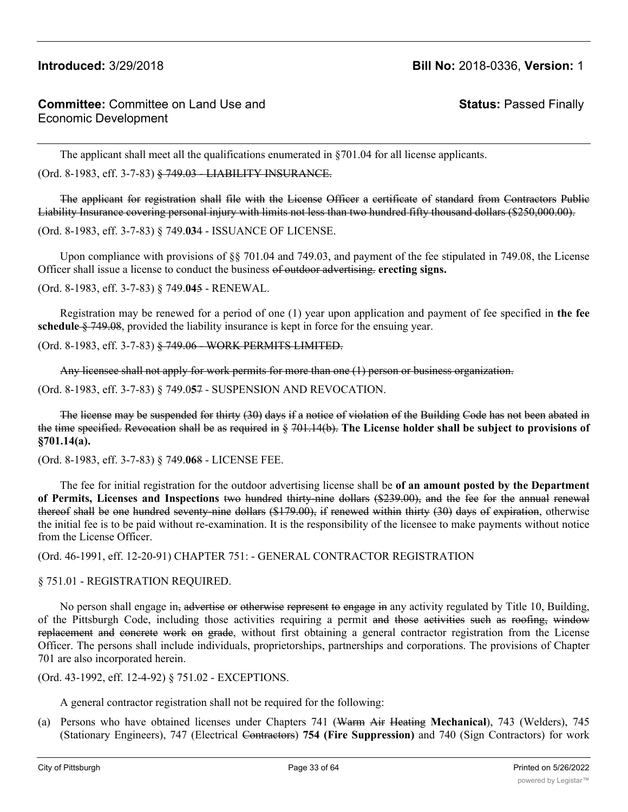**Status:** Passed Finally

The applicant shall meet all the qualifications enumerated in §701.04 for all license applicants.

(Ord. 8-1983, eff. 3-7-83) § 749.03 - LIABILITY INSURANCE.

The applicant for registration shall file with the License Officer a certificate of standard from Contractors Public Liability Insurance covering personal injury with limits not less than two hundred fifty thousand dollars (\$250,000.00).

(Ord. 8-1983, eff. 3-7-83) § 749.**03**4 - ISSUANCE OF LICENSE.

Upon compliance with provisions of §§ 701.04 and 749.03, and payment of the fee stipulated in 749.08, the License Officer shall issue a license to conduct the business of outdoor advertising. **erecting signs.**

(Ord. 8-1983, eff. 3-7-83) § 749.**04**5 - RENEWAL.

Registration may be renewed for a period of one (1) year upon application and payment of fee specified in **the fee schedule** § 749.08, provided the liability insurance is kept in force for the ensuing year.

(Ord. 8-1983, eff. 3-7-83) § 749.06 - WORK PERMITS LIMITED.

Any licensee shall not apply for work permits for more than one (1) person or business organization.

(Ord. 8-1983, eff. 3-7-83) § 749.0**5**7 - SUSPENSION AND REVOCATION.

The license may be suspended for thirty (30) days if a notice of violation of the Building Code has not been abated in the time specified. Revocation shall be as required in § 701.14(b). **The License holder shall be subject to provisions of §701.14(a).**

(Ord. 8-1983, eff. 3-7-83) § 749.**06**8 - LICENSE FEE.

The fee for initial registration for the outdoor advertising license shall be **of an amount posted by the Department of Permits, Licenses and Inspections** two hundred thirty-nine dollars (\$239.00), and the fee for the annual renewal thereof shall be one hundred seventy-nine dollars (\$179.00), if renewed within thirty (30) days of expiration, otherwise the initial fee is to be paid without re-examination. It is the responsibility of the licensee to make payments without notice from the License Officer.

(Ord. 46-1991, eff. 12-20-91) CHAPTER 751: - GENERAL CONTRACTOR REGISTRATION

# § 751.01 - REGISTRATION REQUIRED.

No person shall engage in, advertise or otherwise represent to engage in any activity regulated by Title 10, Building, of the Pittsburgh Code, including those activities requiring a permit and those activities such as roofing, window replacement and concrete work on grade, without first obtaining a general contractor registration from the License Officer. The persons shall include individuals, proprietorships, partnerships and corporations. The provisions of Chapter 701 are also incorporated herein.

(Ord. 43-1992, eff. 12-4-92) § 751.02 - EXCEPTIONS.

A general contractor registration shall not be required for the following:

(a) Persons who have obtained licenses under Chapters 741 (Warm Air Heating **Mechanical**), 743 (Welders), 745 (Stationary Engineers), 747 (Electrical Contractors) **754 (Fire Suppression)** and 740 (Sign Contractors) for work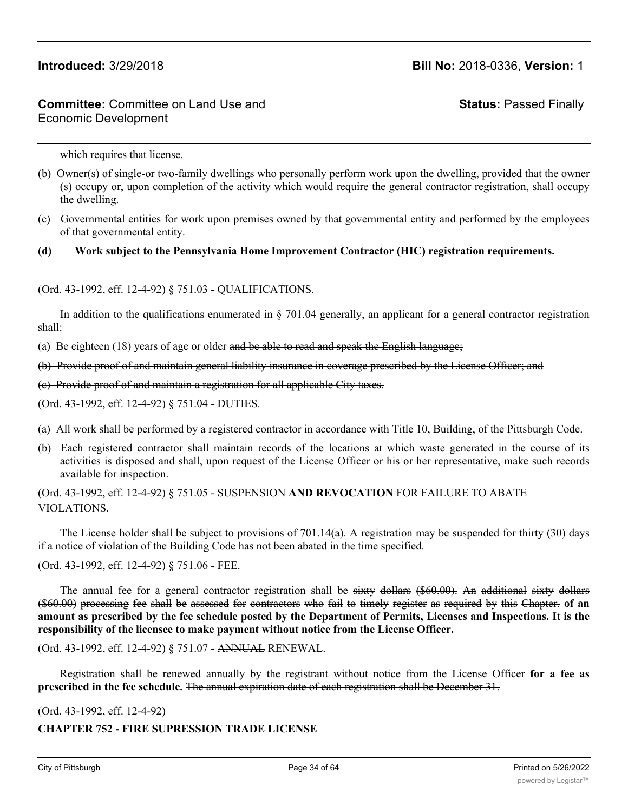# **Committee:** Committee on Land Use and Economic Development

**Status:** Passed Finally

which requires that license.

- (b) Owner(s) of single-or two-family dwellings who personally perform work upon the dwelling, provided that the owner (s) occupy or, upon completion of the activity which would require the general contractor registration, shall occupy the dwelling.
- (c) Governmental entities for work upon premises owned by that governmental entity and performed by the employees of that governmental entity.

### **(d) Work subject to the Pennsylvania Home Improvement Contractor (HIC) registration requirements.**

### (Ord. 43-1992, eff. 12-4-92) § 751.03 - QUALIFICATIONS.

In addition to the qualifications enumerated in  $\S$  701.04 generally, an applicant for a general contractor registration shall:

(a) Be eighteen  $(18)$  years of age or older and be able to read and speak the English language;

(b) Provide proof of and maintain general liability insurance in coverage prescribed by the License Officer; and

(c) Provide proof of and maintain a registration for all applicable City taxes.

(Ord. 43-1992, eff. 12-4-92) § 751.04 - DUTIES.

- (a) All work shall be performed by a registered contractor in accordance with Title 10, Building, of the Pittsburgh Code.
- (b) Each registered contractor shall maintain records of the locations at which waste generated in the course of its activities is disposed and shall, upon request of the License Officer or his or her representative, make such records available for inspection.

### (Ord. 43-1992, eff. 12-4-92) § 751.05 - SUSPENSION **AND REVOCATION** FOR FAILURE TO ABATE VIOLATIONS.

The License holder shall be subject to provisions of 701.14(a). A registration may be suspended for thirty (30) days if a notice of violation of the Building Code has not been abated in the time specified.

(Ord. 43-1992, eff. 12-4-92) § 751.06 - FEE.

The annual fee for a general contractor registration shall be sixty dollars (\$60.00). An additional sixty dollars (\$60.00) processing fee shall be assessed for contractors who fail to timely register as required by this Chapter. **of an** amount as prescribed by the fee schedule posted by the Department of Permits, Licenses and Inspections. It is the **responsibility of the licensee to make payment without notice from the License Officer.**

(Ord. 43-1992, eff. 12-4-92) § 751.07 - ANNUAL RENEWAL.

Registration shall be renewed annually by the registrant without notice from the License Officer **for a fee as prescribed in the fee schedule.** The annual expiration date of each registration shall be December 31.

(Ord. 43-1992, eff. 12-4-92)

### **CHAPTER 752 - FIRE SUPRESSION TRADE LICENSE**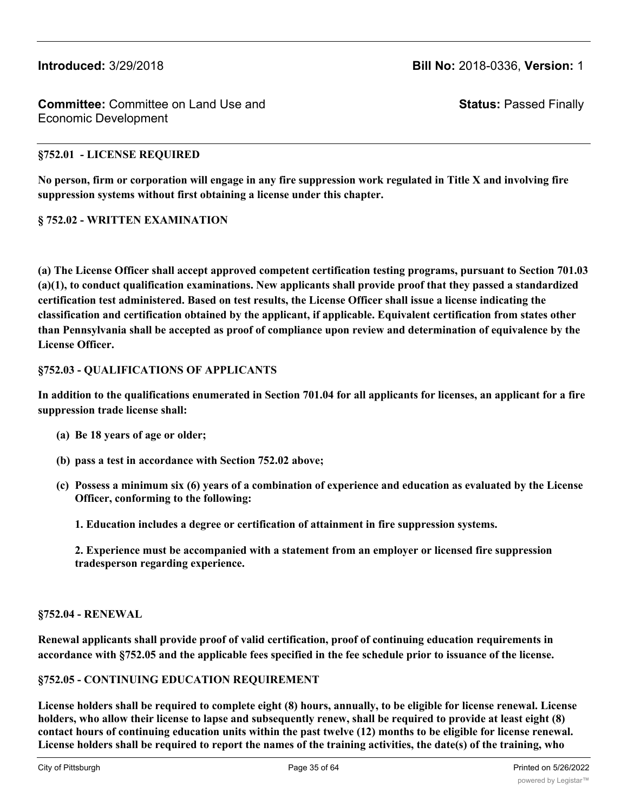**Status:** Passed Finally

### **§752.01 - LICENSE REQUIRED**

**No person, firm or corporation will engage in any fire suppression work regulated in Title X and involving fire suppression systems without first obtaining a license under this chapter.**

### **§ 752.02 - WRITTEN EXAMINATION**

**(a) The License Officer shall accept approved competent certification testing programs, pursuant to Section 701.03 (a)(1), to conduct qualification examinations. New applicants shall provide proof that they passed a standardized certification test administered. Based on test results, the License Officer shall issue a license indicating the classification and certification obtained by the applicant, if applicable. Equivalent certification from states other than Pennsylvania shall be accepted as proof of compliance upon review and determination of equivalence by the License Officer.**

### **§752.03 - QUALIFICATIONS OF APPLICANTS**

**In addition to the qualifications enumerated in Section 701.04 for all applicants for licenses, an applicant for a fire suppression trade license shall:**

- **(a) Be 18 years of age or older;**
- **(b) pass a test in accordance with Section 752.02 above;**
- **(c) Possess a minimum six (6) years of a combination of experience and education as evaluated by the License Officer, conforming to the following:**
	- **1. Education includes a degree or certification of attainment in fire suppression systems.**

**2. Experience must be accompanied with a statement from an employer or licensed fire suppression tradesperson regarding experience.**

### **§752.04 - RENEWAL**

**Renewal applicants shall provide proof of valid certification, proof of continuing education requirements in accordance with §752.05 and the applicable fees specified in the fee schedule prior to issuance of the license.**

### **§752.05 - CONTINUING EDUCATION REQUIREMENT**

**License holders shall be required to complete eight (8) hours, annually, to be eligible for license renewal. License holders, who allow their license to lapse and subsequently renew, shall be required to provide at least eight (8) contact hours of continuing education units within the past twelve (12) months to be eligible for license renewal. License holders shall be required to report the names of the training activities, the date(s) of the training, who**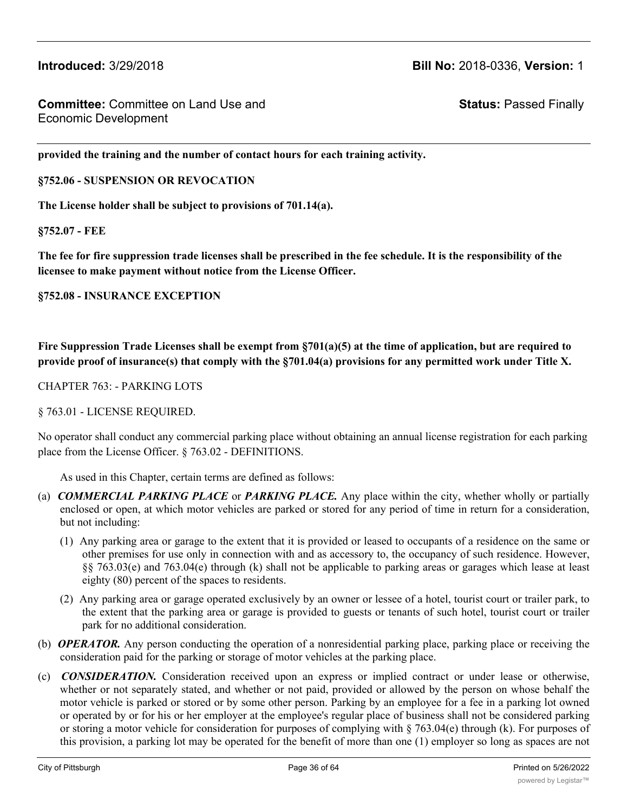**Status:** Passed Finally

**provided the training and the number of contact hours for each training activity.**

**§752.06 - SUSPENSION OR REVOCATION**

**The License holder shall be subject to provisions of 701.14(a).**

**§752.07 - FEE**

**The fee for fire suppression trade licenses shall be prescribed in the fee schedule. It is the responsibility of the licensee to make payment without notice from the License Officer.**

**§752.08 - INSURANCE EXCEPTION**

**Fire Suppression Trade Licenses shall be exempt from §701(a)(5) at the time of application, but are required to provide proof of insurance(s) that comply with the §701.04(a) provisions for any permitted work under Title X.**

CHAPTER 763: - PARKING LOTS

§ 763.01 - LICENSE REQUIRED.

No operator shall conduct any commercial parking place without obtaining an annual license registration for each parking place from the License Officer. § 763.02 - DEFINITIONS.

As used in this Chapter, certain terms are defined as follows:

- (a) *COMMERCIAL PARKING PLACE* or *PARKING PLACE.* Any place within the city, whether wholly or partially enclosed or open, at which motor vehicles are parked or stored for any period of time in return for a consideration, but not including:
	- (1) Any parking area or garage to the extent that it is provided or leased to occupants of a residence on the same or other premises for use only in connection with and as accessory to, the occupancy of such residence. However, §§ 763.03(e) and 763.04(e) through (k) shall not be applicable to parking areas or garages which lease at least eighty (80) percent of the spaces to residents.
	- (2) Any parking area or garage operated exclusively by an owner or lessee of a hotel, tourist court or trailer park, to the extent that the parking area or garage is provided to guests or tenants of such hotel, tourist court or trailer park for no additional consideration.
- (b) *OPERATOR.* Any person conducting the operation of a nonresidential parking place, parking place or receiving the consideration paid for the parking or storage of motor vehicles at the parking place.
- (c) *CONSIDERATION.* Consideration received upon an express or implied contract or under lease or otherwise, whether or not separately stated, and whether or not paid, provided or allowed by the person on whose behalf the motor vehicle is parked or stored or by some other person. Parking by an employee for a fee in a parking lot owned or operated by or for his or her employer at the employee's regular place of business shall not be considered parking or storing a motor vehicle for consideration for purposes of complying with § 763.04(e) through (k). For purposes of this provision, a parking lot may be operated for the benefit of more than one (1) employer so long as spaces are not

offered to nonemployees of those employers. In order for lots operated solely for the benefit of an employer or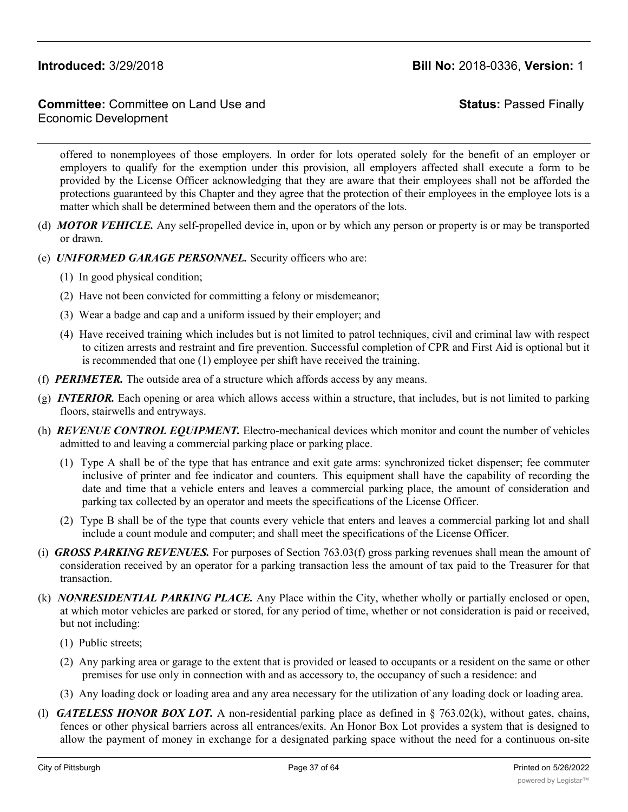# **Committee:** Committee on Land Use and Economic Development

**Status:** Passed Finally

offered to nonemployees of those employers. In order for lots operated solely for the benefit of an employer or employers to qualify for the exemption under this provision, all employers affected shall execute a form to be provided by the License Officer acknowledging that they are aware that their employees shall not be afforded the protections guaranteed by this Chapter and they agree that the protection of their employees in the employee lots is a matter which shall be determined between them and the operators of the lots.

- (d) *MOTOR VEHICLE.* Any self-propelled device in, upon or by which any person or property is or may be transported or drawn.
- (e) *UNIFORMED GARAGE PERSONNEL.* Security officers who are:
	- (1) In good physical condition;
	- (2) Have not been convicted for committing a felony or misdemeanor;
	- (3) Wear a badge and cap and a uniform issued by their employer; and
	- (4) Have received training which includes but is not limited to patrol techniques, civil and criminal law with respect to citizen arrests and restraint and fire prevention. Successful completion of CPR and First Aid is optional but it is recommended that one (1) employee per shift have received the training.
- (f) *PERIMETER.* The outside area of a structure which affords access by any means.
- (g) *INTERIOR.* Each opening or area which allows access within a structure, that includes, but is not limited to parking floors, stairwells and entryways.
- (h) *REVENUE CONTROL EQUIPMENT.* Electro-mechanical devices which monitor and count the number of vehicles admitted to and leaving a commercial parking place or parking place.
	- (1) Type A shall be of the type that has entrance and exit gate arms: synchronized ticket dispenser; fee commuter inclusive of printer and fee indicator and counters. This equipment shall have the capability of recording the date and time that a vehicle enters and leaves a commercial parking place, the amount of consideration and parking tax collected by an operator and meets the specifications of the License Officer.
	- (2) Type B shall be of the type that counts every vehicle that enters and leaves a commercial parking lot and shall include a count module and computer; and shall meet the specifications of the License Officer.
- (i) *GROSS PARKING REVENUES.* For purposes of Section 763.03(f) gross parking revenues shall mean the amount of consideration received by an operator for a parking transaction less the amount of tax paid to the Treasurer for that transaction.
- (k) *NONRESIDENTIAL PARKING PLACE.* Any Place within the City, whether wholly or partially enclosed or open, at which motor vehicles are parked or stored, for any period of time, whether or not consideration is paid or received, but not including:
	- (1) Public streets;
	- (2) Any parking area or garage to the extent that is provided or leased to occupants or a resident on the same or other premises for use only in connection with and as accessory to, the occupancy of such a residence: and
	- (3) Any loading dock or loading area and any area necessary for the utilization of any loading dock or loading area.
- (l) *GATELESS HONOR BOX LOT.* A non-residential parking place as defined in § 763.02(k), without gates, chains, fences or other physical barriers across all entrances/exits. An Honor Box Lot provides a system that is designed to allow the payment of money in exchange for a designated parking space without the need for a continuous on-site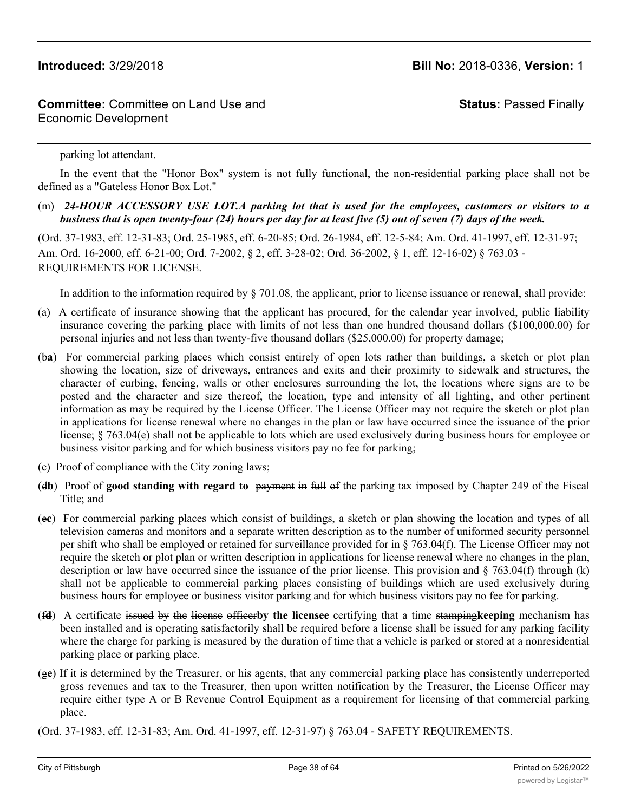# **Committee:** Committee on Land Use and Economic Development

# **Status:** Passed Finally

parking lot attendant.

In the event that the "Honor Box" system is not fully functional, the non-residential parking place shall not be defined as a "Gateless Honor Box Lot."

(m) *24-HOUR ACCESSORY USE LOT.A parking lot that is used for the employees, customers or visitors to a business that is open twenty-four (24) hours per day for at least five (5) out of seven (7) days of the week.*

(Ord. 37-1983, eff. 12-31-83; Ord. 25-1985, eff. 6-20-85; Ord. 26-1984, eff. 12-5-84; Am. Ord. 41-1997, eff. 12-31-97; Am. Ord. 16-2000, eff. 6-21-00; Ord. 7-2002, § 2, eff. 3-28-02; Ord. 36-2002, § 1, eff. 12-16-02) § 763.03 - REQUIREMENTS FOR LICENSE.

In addition to the information required by § 701.08, the applicant, prior to license issuance or renewal, shall provide:

- (a) A certificate of insurance showing that the applicant has procured, for the calendar year involved, public liability insurance covering the parking place with limits of not less than one hundred thousand dollars (\$100,000.00) for personal injuries and not less than twenty-five thousand dollars (\$25,000.00) for property damage;
- (b**a**) For commercial parking places which consist entirely of open lots rather than buildings, a sketch or plot plan showing the location, size of driveways, entrances and exits and their proximity to sidewalk and structures, the character of curbing, fencing, walls or other enclosures surrounding the lot, the locations where signs are to be posted and the character and size thereof, the location, type and intensity of all lighting, and other pertinent information as may be required by the License Officer. The License Officer may not require the sketch or plot plan in applications for license renewal where no changes in the plan or law have occurred since the issuance of the prior license; § 763.04(e) shall not be applicable to lots which are used exclusively during business hours for employee or business visitor parking and for which business visitors pay no fee for parking;
- (c) Proof of compliance with the City zoning laws;
- (d**b**) Proof of **good standing with regard to** payment in full of the parking tax imposed by Chapter 249 of the Fiscal Title; and
- (e**c**) For commercial parking places which consist of buildings, a sketch or plan showing the location and types of all television cameras and monitors and a separate written description as to the number of uniformed security personnel per shift who shall be employed or retained for surveillance provided for in § 763.04(f). The License Officer may not require the sketch or plot plan or written description in applications for license renewal where no changes in the plan, description or law have occurred since the issuance of the prior license. This provision and  $\S$  763.04(f) through (k) shall not be applicable to commercial parking places consisting of buildings which are used exclusively during business hours for employee or business visitor parking and for which business visitors pay no fee for parking.
- (f**d**) A certificate issued by the license officer**by the licensee** certifying that a time stamping**keeping** mechanism has been installed and is operating satisfactorily shall be required before a license shall be issued for any parking facility where the charge for parking is measured by the duration of time that a vehicle is parked or stored at a nonresidential parking place or parking place.
- (g**e**) If it is determined by the Treasurer, or his agents, that any commercial parking place has consistently underreported gross revenues and tax to the Treasurer, then upon written notification by the Treasurer, the License Officer may require either type A or B Revenue Control Equipment as a requirement for licensing of that commercial parking place.
- (Ord. 37-1983, eff. 12-31-83; Am. Ord. 41-1997, eff. 12-31-97) § 763.04 SAFETY REQUIREMENTS.

The operator shall maintain each place in a condition so as not to constitute a hazard to the patrons there  $\alpha$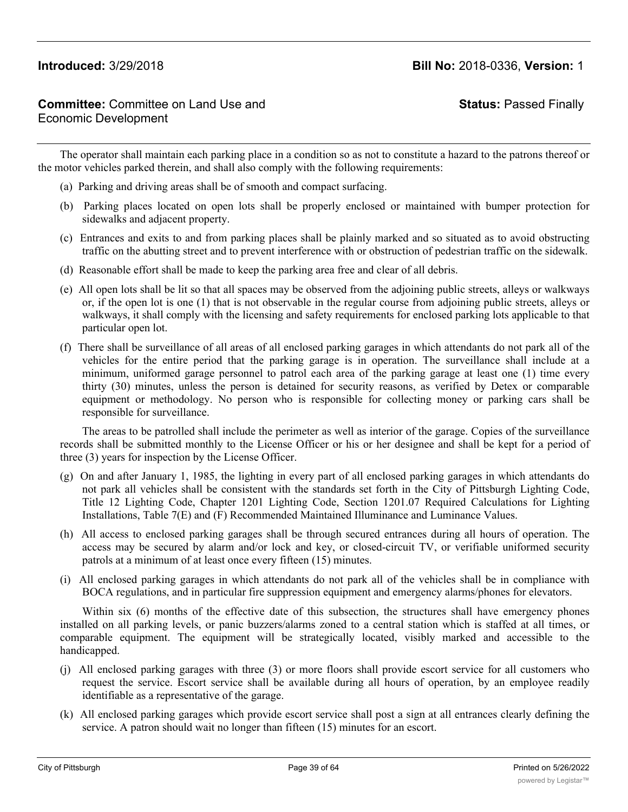**Status:** Passed Finally

The operator shall maintain each parking place in a condition so as not to constitute a hazard to the patrons thereof or the motor vehicles parked therein, and shall also comply with the following requirements:

- (a) Parking and driving areas shall be of smooth and compact surfacing.
- (b) Parking places located on open lots shall be properly enclosed or maintained with bumper protection for sidewalks and adjacent property.
- (c) Entrances and exits to and from parking places shall be plainly marked and so situated as to avoid obstructing traffic on the abutting street and to prevent interference with or obstruction of pedestrian traffic on the sidewalk.
- (d) Reasonable effort shall be made to keep the parking area free and clear of all debris.
- (e) All open lots shall be lit so that all spaces may be observed from the adjoining public streets, alleys or walkways or, if the open lot is one (1) that is not observable in the regular course from adjoining public streets, alleys or walkways, it shall comply with the licensing and safety requirements for enclosed parking lots applicable to that particular open lot.
- (f) There shall be surveillance of all areas of all enclosed parking garages in which attendants do not park all of the vehicles for the entire period that the parking garage is in operation. The surveillance shall include at a minimum, uniformed garage personnel to patrol each area of the parking garage at least one (1) time every thirty (30) minutes, unless the person is detained for security reasons, as verified by Detex or comparable equipment or methodology. No person who is responsible for collecting money or parking cars shall be responsible for surveillance.

The areas to be patrolled shall include the perimeter as well as interior of the garage. Copies of the surveillance records shall be submitted monthly to the License Officer or his or her designee and shall be kept for a period of three (3) years for inspection by the License Officer.

- (g) On and after January 1, 1985, the lighting in every part of all enclosed parking garages in which attendants do not park all vehicles shall be consistent with the standards set forth in the City of Pittsburgh Lighting Code, Title 12 Lighting Code, Chapter 1201 Lighting Code, Section 1201.07 Required Calculations for Lighting Installations, Table 7(E) and (F) Recommended Maintained Illuminance and Luminance Values.
- (h) All access to enclosed parking garages shall be through secured entrances during all hours of operation. The access may be secured by alarm and/or lock and key, or closed-circuit TV, or verifiable uniformed security patrols at a minimum of at least once every fifteen (15) minutes.
- (i) All enclosed parking garages in which attendants do not park all of the vehicles shall be in compliance with BOCA regulations, and in particular fire suppression equipment and emergency alarms/phones for elevators.

Within six (6) months of the effective date of this subsection, the structures shall have emergency phones installed on all parking levels, or panic buzzers/alarms zoned to a central station which is staffed at all times, or comparable equipment. The equipment will be strategically located, visibly marked and accessible to the handicapped.

- (j) All enclosed parking garages with three (3) or more floors shall provide escort service for all customers who request the service. Escort service shall be available during all hours of operation, by an employee readily identifiable as a representative of the garage.
- (k) All enclosed parking garages which provide escort service shall post a sign at all entrances clearly defining the service. A patron should wait no longer than fifteen (15) minutes for an escort.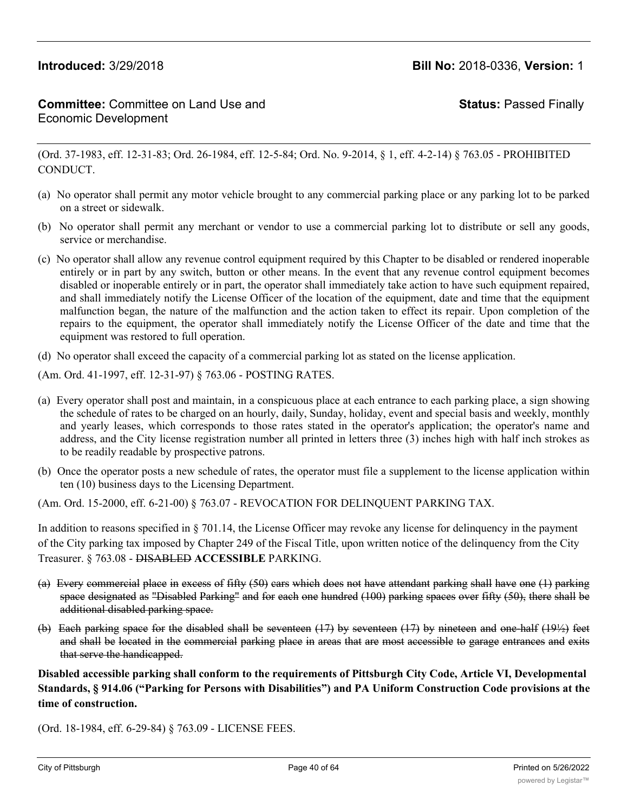# **Committee:** Committee on Land Use and Economic Development

**Status:** Passed Finally

(Ord. 37-1983, eff. 12-31-83; Ord. 26-1984, eff. 12-5-84; Ord. No. 9-2014, § 1, eff. 4-2-14) § 763.05 - PROHIBITED CONDUCT.

- (a) No operator shall permit any motor vehicle brought to any commercial parking place or any parking lot to be parked on a street or sidewalk.
- (b) No operator shall permit any merchant or vendor to use a commercial parking lot to distribute or sell any goods, service or merchandise.
- (c) No operator shall allow any revenue control equipment required by this Chapter to be disabled or rendered inoperable entirely or in part by any switch, button or other means. In the event that any revenue control equipment becomes disabled or inoperable entirely or in part, the operator shall immediately take action to have such equipment repaired, and shall immediately notify the License Officer of the location of the equipment, date and time that the equipment malfunction began, the nature of the malfunction and the action taken to effect its repair. Upon completion of the repairs to the equipment, the operator shall immediately notify the License Officer of the date and time that the equipment was restored to full operation.
- (d) No operator shall exceed the capacity of a commercial parking lot as stated on the license application.

(Am. Ord. 41-1997, eff. 12-31-97) § 763.06 - POSTING RATES.

- (a) Every operator shall post and maintain, in a conspicuous place at each entrance to each parking place, a sign showing the schedule of rates to be charged on an hourly, daily, Sunday, holiday, event and special basis and weekly, monthly and yearly leases, which corresponds to those rates stated in the operator's application; the operator's name and address, and the City license registration number all printed in letters three (3) inches high with half inch strokes as to be readily readable by prospective patrons.
- (b) Once the operator posts a new schedule of rates, the operator must file a supplement to the license application within ten (10) business days to the Licensing Department.

(Am. Ord. 15-2000, eff. 6-21-00) § 763.07 - REVOCATION FOR DELINQUENT PARKING TAX.

In addition to reasons specified in § 701.14, the License Officer may revoke any license for delinquency in the payment of the City parking tax imposed by Chapter 249 of the Fiscal Title, upon written notice of the delinquency from the City Treasurer. § 763.08 - DISABLED **ACCESSIBLE** PARKING.

- (a) Every commercial place in excess of fifty (50) cars which does not have attendant parking shall have one (1) parking space designated as "Disabled Parking" and for each one hundred (100) parking spaces over fifty (50), there shall be additional disabled parking space.
- (b) Each parking space for the disabled shall be seventeen (17) by seventeen (17) by nineteen and one-half (19½) feet and shall be located in the commercial parking place in areas that are most accessible to garage entrances and exits that serve the handicapped.

**Disabled accessible parking shall conform to the requirements of Pittsburgh City Code, Article VI, Developmental Standards, § 914.06 ("Parking for Persons with Disabilities") and PA Uniform Construction Code provisions at the time of construction.**

(Ord. 18-1984, eff. 6-29-84) § 763.09 - LICENSE FEES.

The fee for any parking lot license registration or renewal thereof shall be fifty dollars (\$50.00) per year plus forty-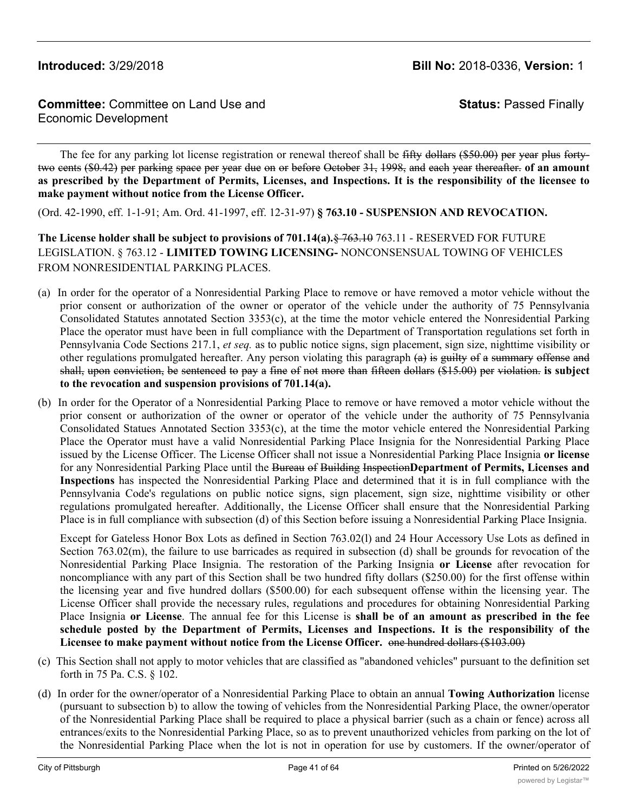**Status:** Passed Finally

The fee for any parking lot license registration or renewal thereof shall be fifty dollars (\$50.00) per year plus fortytwo cents (\$0.42) per parking space per year due on or before October 31, 1998, and each year thereafter. **of an amount** as prescribed by the Department of Permits, Licenses, and Inspections. It is the responsibility of the licensee to **make payment without notice from the License Officer.**

(Ord. 42-1990, eff. 1-1-91; Am. Ord. 41-1997, eff. 12-31-97) **§ 763.10 - SUSPENSION AND REVOCATION.**

**The License holder shall be subject to provisions of 701.14(a).**§ 763.10 763.11 - RESERVED FOR FUTURE LEGISLATION. § 763.12 - **LIMITED TOWING LICENSING-** NONCONSENSUAL TOWING OF VEHICLES FROM NONRESIDENTIAL PARKING PLACES.

- (a) In order for the operator of a Nonresidential Parking Place to remove or have removed a motor vehicle without the prior consent or authorization of the owner or operator of the vehicle under the authority of 75 Pennsylvania Consolidated Statutes annotated Section 3353(c), at the time the motor vehicle entered the Nonresidential Parking Place the operator must have been in full compliance with the Department of Transportation regulations set forth in Pennsylvania Code Sections 217.1, *et seq.* as to public notice signs, sign placement, sign size, nighttime visibility or other regulations promulgated hereafter. Any person violating this paragraph  $(a)$  is guilty of a summary offense and shall, upon conviction, be sentenced to pay a fine of not more than fifteen dollars (\$15.00) per violation. **is subject to the revocation and suspension provisions of 701.14(a).**
- (b) In order for the Operator of a Nonresidential Parking Place to remove or have removed a motor vehicle without the prior consent or authorization of the owner or operator of the vehicle under the authority of 75 Pennsylvania Consolidated Statues Annotated Section 3353(c), at the time the motor vehicle entered the Nonresidential Parking Place the Operator must have a valid Nonresidential Parking Place Insignia for the Nonresidential Parking Place issued by the License Officer. The License Officer shall not issue a Nonresidential Parking Place Insignia **or license** for any Nonresidential Parking Place until the Bureau of Building Inspection**Department of Permits, Licenses and Inspections** has inspected the Nonresidential Parking Place and determined that it is in full compliance with the Pennsylvania Code's regulations on public notice signs, sign placement, sign size, nighttime visibility or other regulations promulgated hereafter. Additionally, the License Officer shall ensure that the Nonresidential Parking Place is in full compliance with subsection (d) of this Section before issuing a Nonresidential Parking Place Insignia.

Except for Gateless Honor Box Lots as defined in Section 763.02(l) and 24 Hour Accessory Use Lots as defined in Section 763.02(m), the failure to use barricades as required in subsection (d) shall be grounds for revocation of the Nonresidential Parking Place Insignia. The restoration of the Parking Insignia **or License** after revocation for noncompliance with any part of this Section shall be two hundred fifty dollars (\$250.00) for the first offense within the licensing year and five hundred dollars (\$500.00) for each subsequent offense within the licensing year. The License Officer shall provide the necessary rules, regulations and procedures for obtaining Nonresidential Parking Place Insignia **or License**. The annual fee for this License is **shall be of an amount as prescribed in the fee schedule posted by the Department of Permits, Licenses and Inspections. It is the responsibility of the Licensee to make payment without notice from the License Officer.** one hundred dollars (\$103.00)

- (c) This Section shall not apply to motor vehicles that are classified as "abandoned vehicles" pursuant to the definition set forth in 75 Pa. C.S. § 102.
- (d) In order for the owner/operator of a Nonresidential Parking Place to obtain an annual **Towing Authorization** license (pursuant to subsection b) to allow the towing of vehicles from the Nonresidential Parking Place, the owner/operator of the Nonresidential Parking Place shall be required to place a physical barrier (such as a chain or fence) across all entrances/exits to the Nonresidential Parking Place, so as to prevent unauthorized vehicles from parking on the lot of the Nonresidential Parking Place when the lot is not in operation for use by customers. If the owner/operator of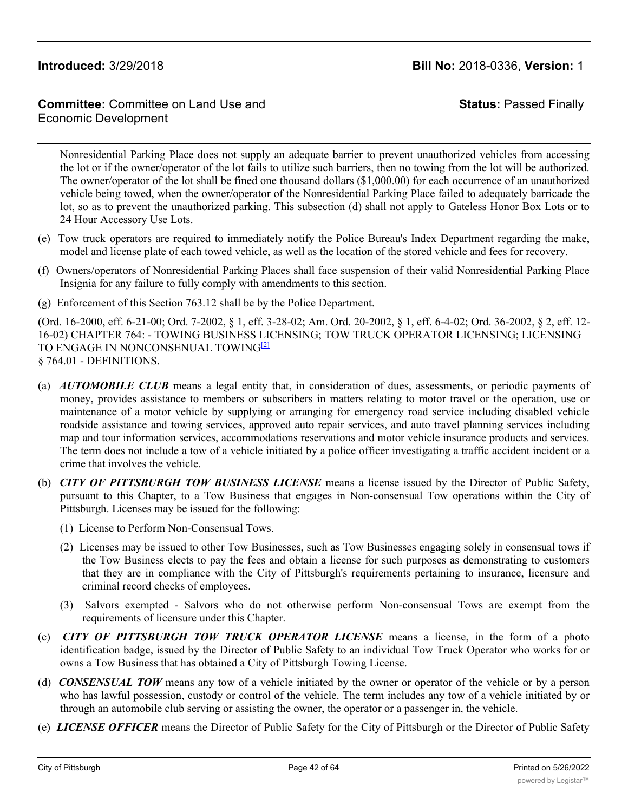# **Committee:** Committee on Land Use and Economic Development

**Status:** Passed Finally

Nonresidential Parking Place does not supply an adequate barrier to prevent unauthorized vehicles from accessing the lot or if the owner/operator of the lot fails to utilize such barriers, then no towing from the lot will be authorized. The owner/operator of the lot shall be fined one thousand dollars (\$1,000.00) for each occurrence of an unauthorized vehicle being towed, when the owner/operator of the Nonresidential Parking Place failed to adequately barricade the lot, so as to prevent the unauthorized parking. This subsection (d) shall not apply to Gateless Honor Box Lots or to 24 Hour Accessory Use Lots.

- (e) Tow truck operators are required to immediately notify the Police Bureau's Index Department regarding the make, model and license plate of each towed vehicle, as well as the location of the stored vehicle and fees for recovery.
- (f) Owners/operators of Nonresidential Parking Places shall face suspension of their valid Nonresidential Parking Place Insignia for any failure to fully comply with amendments to this section.
- (g) Enforcement of this Section 763.12 shall be by the Police Department.

(Ord. 16-2000, eff. 6-21-00; Ord. 7-2002, § 1, eff. 3-28-02; Am. Ord. 20-2002, § 1, eff. 6-4-02; Ord. 36-2002, § 2, eff. 12- 16-02) CHAPTER 764: - TOWING BUSINESS LICENSING; TOW TRUCK OPERATOR LICENSING; LICENSING TO ENGAGE IN NONCONSENUAL TOWING<sup>[2]</sup> § 764.01 - DEFINITIONS.

- (a) *AUTOMOBILE CLUB* means a legal entity that, in consideration of dues, assessments, or periodic payments of money, provides assistance to members or subscribers in matters relating to motor travel or the operation, use or maintenance of a motor vehicle by supplying or arranging for emergency road service including disabled vehicle roadside assistance and towing services, approved auto repair services, and auto travel planning services including map and tour information services, accommodations reservations and motor vehicle insurance products and services. The term does not include a tow of a vehicle initiated by a police officer investigating a traffic accident incident or a crime that involves the vehicle.
- (b) *CITY OF PITTSBURGH TOW BUSINESS LICENSE* means a license issued by the Director of Public Safety, pursuant to this Chapter, to a Tow Business that engages in Non-consensual Tow operations within the City of Pittsburgh. Licenses may be issued for the following:
	- (1) License to Perform Non-Consensual Tows.
	- (2) Licenses may be issued to other Tow Businesses, such as Tow Businesses engaging solely in consensual tows if the Tow Business elects to pay the fees and obtain a license for such purposes as demonstrating to customers that they are in compliance with the City of Pittsburgh's requirements pertaining to insurance, licensure and criminal record checks of employees.
	- (3) Salvors exempted Salvors who do not otherwise perform Non-consensual Tows are exempt from the requirements of licensure under this Chapter.
- (c) *CITY OF PITTSBURGH TOW TRUCK OPERATOR LICENSE* means a license, in the form of a photo identification badge, issued by the Director of Public Safety to an individual Tow Truck Operator who works for or owns a Tow Business that has obtained a City of Pittsburgh Towing License.
- (d) *CONSENSUAL TOW* means any tow of a vehicle initiated by the owner or operator of the vehicle or by a person who has lawful possession, custody or control of the vehicle. The term includes any tow of a vehicle initiated by or through an automobile club serving or assisting the owner, the operator or a passenger in, the vehicle.
- (e) *LICENSE OFFICER* means the Director of Public Safety for the City of Pittsburgh or the Director of Public Safety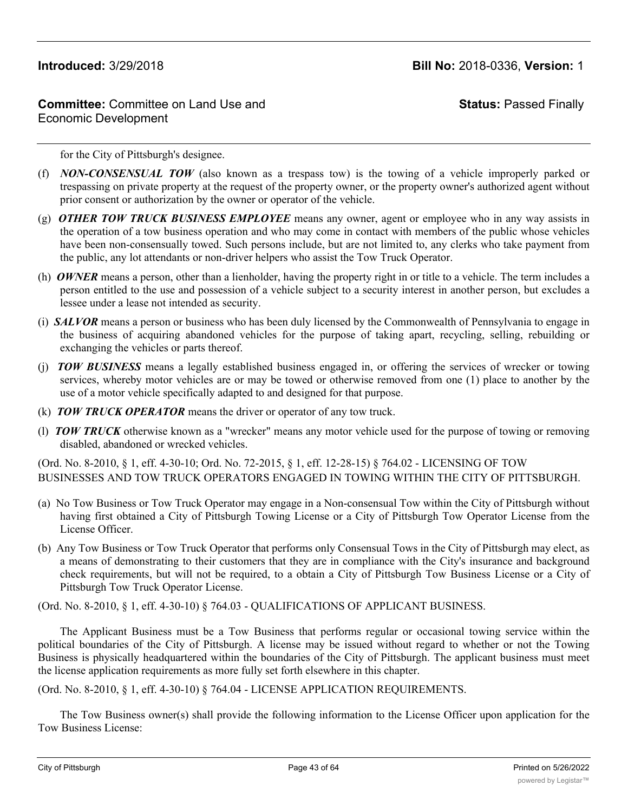# **Committee:** Committee on Land Use and Economic Development

**Status:** Passed Finally

for the City of Pittsburgh's designee.

- (f) *NON-CONSENSUAL TOW* (also known as a trespass tow) is the towing of a vehicle improperly parked or trespassing on private property at the request of the property owner, or the property owner's authorized agent without prior consent or authorization by the owner or operator of the vehicle.
- (g) *OTHER TOW TRUCK BUSINESS EMPLOYEE* means any owner, agent or employee who in any way assists in the operation of a tow business operation and who may come in contact with members of the public whose vehicles have been non-consensually towed. Such persons include, but are not limited to, any clerks who take payment from the public, any lot attendants or non-driver helpers who assist the Tow Truck Operator.
- (h) *OWNER* means a person, other than a lienholder, having the property right in or title to a vehicle. The term includes a person entitled to the use and possession of a vehicle subject to a security interest in another person, but excludes a lessee under a lease not intended as security.
- (i) *SALVOR* means a person or business who has been duly licensed by the Commonwealth of Pennsylvania to engage in the business of acquiring abandoned vehicles for the purpose of taking apart, recycling, selling, rebuilding or exchanging the vehicles or parts thereof.
- (j) *TOW BUSINESS* means a legally established business engaged in, or offering the services of wrecker or towing services, whereby motor vehicles are or may be towed or otherwise removed from one (1) place to another by the use of a motor vehicle specifically adapted to and designed for that purpose.
- (k) *TOW TRUCK OPERATOR* means the driver or operator of any tow truck.
- (l) *TOW TRUCK* otherwise known as a "wrecker" means any motor vehicle used for the purpose of towing or removing disabled, abandoned or wrecked vehicles.

(Ord. No. 8-2010, § 1, eff. 4-30-10; Ord. No. 72-2015, § 1, eff. 12-28-15) § 764.02 - LICENSING OF TOW BUSINESSES AND TOW TRUCK OPERATORS ENGAGED IN TOWING WITHIN THE CITY OF PITTSBURGH.

- (a) No Tow Business or Tow Truck Operator may engage in a Non-consensual Tow within the City of Pittsburgh without having first obtained a City of Pittsburgh Towing License or a City of Pittsburgh Tow Operator License from the License Officer.
- (b) Any Tow Business or Tow Truck Operator that performs only Consensual Tows in the City of Pittsburgh may elect, as a means of demonstrating to their customers that they are in compliance with the City's insurance and background check requirements, but will not be required, to a obtain a City of Pittsburgh Tow Business License or a City of Pittsburgh Tow Truck Operator License.

(Ord. No. 8-2010, § 1, eff. 4-30-10) § 764.03 - QUALIFICATIONS OF APPLICANT BUSINESS.

The Applicant Business must be a Tow Business that performs regular or occasional towing service within the political boundaries of the City of Pittsburgh. A license may be issued without regard to whether or not the Towing Business is physically headquartered within the boundaries of the City of Pittsburgh. The applicant business must meet the license application requirements as more fully set forth elsewhere in this chapter.

(Ord. No. 8-2010, § 1, eff. 4-30-10) § 764.04 - LICENSE APPLICATION REQUIREMENTS.

The Tow Business owner(s) shall provide the following information to the License Officer upon application for the Tow Business License: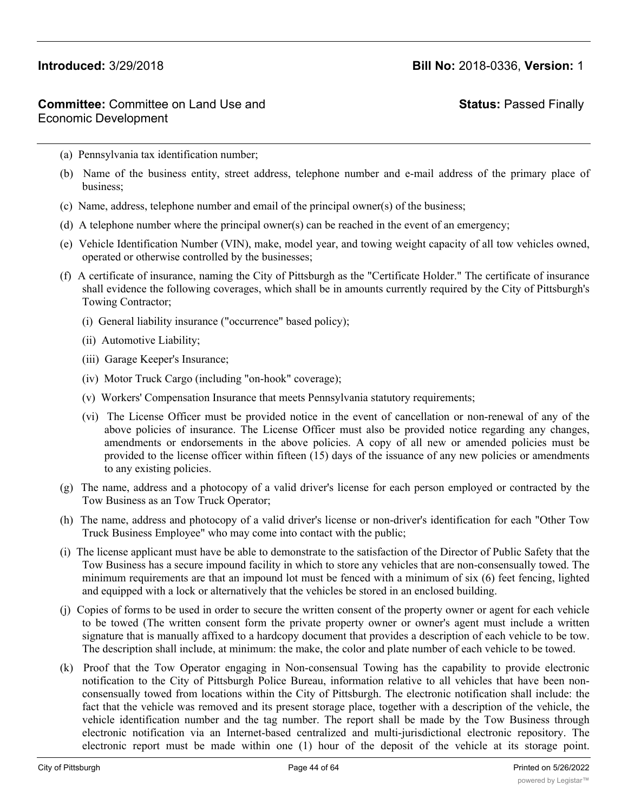# **Status:** Passed Finally

- (a) Pennsylvania tax identification number;
- (b) Name of the business entity, street address, telephone number and e-mail address of the primary place of business;
- (c) Name, address, telephone number and email of the principal owner(s) of the business;
- (d) A telephone number where the principal owner(s) can be reached in the event of an emergency;
- (e) Vehicle Identification Number (VIN), make, model year, and towing weight capacity of all tow vehicles owned, operated or otherwise controlled by the businesses;
- (f) A certificate of insurance, naming the City of Pittsburgh as the "Certificate Holder." The certificate of insurance shall evidence the following coverages, which shall be in amounts currently required by the City of Pittsburgh's Towing Contractor;
	- (i) General liability insurance ("occurrence" based policy);
	- (ii) Automotive Liability;
	- (iii) Garage Keeper's Insurance;
	- (iv) Motor Truck Cargo (including "on-hook" coverage);
	- (v) Workers' Compensation Insurance that meets Pennsylvania statutory requirements;
	- (vi) The License Officer must be provided notice in the event of cancellation or non-renewal of any of the above policies of insurance. The License Officer must also be provided notice regarding any changes, amendments or endorsements in the above policies. A copy of all new or amended policies must be provided to the license officer within fifteen (15) days of the issuance of any new policies or amendments to any existing policies.
- (g) The name, address and a photocopy of a valid driver's license for each person employed or contracted by the Tow Business as an Tow Truck Operator;
- (h) The name, address and photocopy of a valid driver's license or non-driver's identification for each "Other Tow Truck Business Employee" who may come into contact with the public;
- (i) The license applicant must have be able to demonstrate to the satisfaction of the Director of Public Safety that the Tow Business has a secure impound facility in which to store any vehicles that are non-consensually towed. The minimum requirements are that an impound lot must be fenced with a minimum of six (6) feet fencing, lighted and equipped with a lock or alternatively that the vehicles be stored in an enclosed building.
- (j) Copies of forms to be used in order to secure the written consent of the property owner or agent for each vehicle to be towed (The written consent form the private property owner or owner's agent must include a written signature that is manually affixed to a hardcopy document that provides a description of each vehicle to be tow. The description shall include, at minimum: the make, the color and plate number of each vehicle to be towed.
- (k) Proof that the Tow Operator engaging in Non-consensual Towing has the capability to provide electronic notification to the City of Pittsburgh Police Bureau, information relative to all vehicles that have been nonconsensually towed from locations within the City of Pittsburgh. The electronic notification shall include: the fact that the vehicle was removed and its present storage place, together with a description of the vehicle, the vehicle identification number and the tag number. The report shall be made by the Tow Business through electronic notification via an Internet-based centralized and multi-jurisdictional electronic repository. The electronic report must be made within one (1) hour of the deposit of the vehicle at its storage point.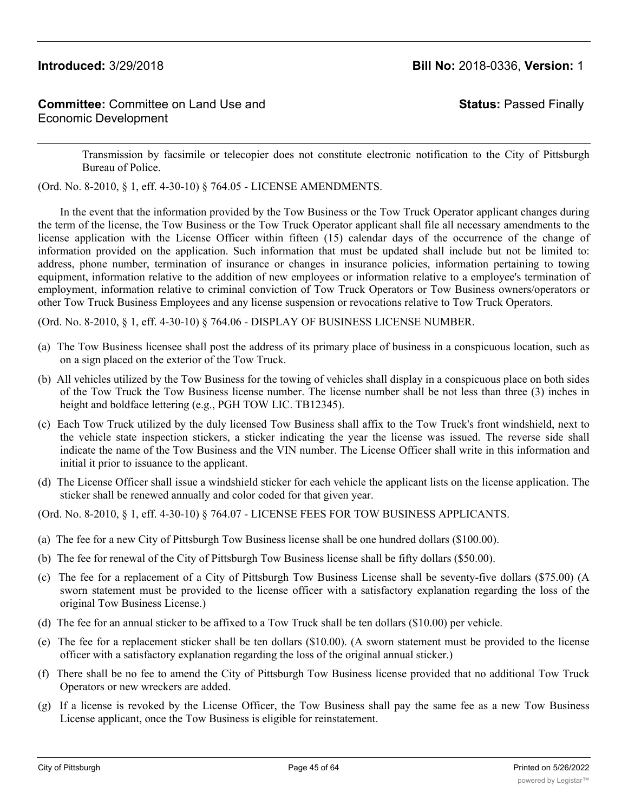**Status:** Passed Finally

Transmission by facsimile or telecopier does not constitute electronic notification to the City of Pittsburgh Bureau of Police.

(Ord. No. 8-2010, § 1, eff. 4-30-10) § 764.05 - LICENSE AMENDMENTS.

In the event that the information provided by the Tow Business or the Tow Truck Operator applicant changes during the term of the license, the Tow Business or the Tow Truck Operator applicant shall file all necessary amendments to the license application with the License Officer within fifteen (15) calendar days of the occurrence of the change of information provided on the application. Such information that must be updated shall include but not be limited to: address, phone number, termination of insurance or changes in insurance policies, information pertaining to towing equipment, information relative to the addition of new employees or information relative to a employee's termination of employment, information relative to criminal conviction of Tow Truck Operators or Tow Business owners/operators or other Tow Truck Business Employees and any license suspension or revocations relative to Tow Truck Operators.

(Ord. No. 8-2010, § 1, eff. 4-30-10) § 764.06 - DISPLAY OF BUSINESS LICENSE NUMBER.

- (a) The Tow Business licensee shall post the address of its primary place of business in a conspicuous location, such as on a sign placed on the exterior of the Tow Truck.
- (b) All vehicles utilized by the Tow Business for the towing of vehicles shall display in a conspicuous place on both sides of the Tow Truck the Tow Business license number. The license number shall be not less than three (3) inches in height and boldface lettering (e.g., PGH TOW LIC. TB12345).
- (c) Each Tow Truck utilized by the duly licensed Tow Business shall affix to the Tow Truck's front windshield, next to the vehicle state inspection stickers, a sticker indicating the year the license was issued. The reverse side shall indicate the name of the Tow Business and the VIN number. The License Officer shall write in this information and initial it prior to issuance to the applicant.
- (d) The License Officer shall issue a windshield sticker for each vehicle the applicant lists on the license application. The sticker shall be renewed annually and color coded for that given year.

(Ord. No. 8-2010, § 1, eff. 4-30-10) § 764.07 - LICENSE FEES FOR TOW BUSINESS APPLICANTS.

- (a) The fee for a new City of Pittsburgh Tow Business license shall be one hundred dollars (\$100.00).
- (b) The fee for renewal of the City of Pittsburgh Tow Business license shall be fifty dollars (\$50.00).
- (c) The fee for a replacement of a City of Pittsburgh Tow Business License shall be seventy-five dollars (\$75.00) (A sworn statement must be provided to the license officer with a satisfactory explanation regarding the loss of the original Tow Business License.)
- (d) The fee for an annual sticker to be affixed to a Tow Truck shall be ten dollars (\$10.00) per vehicle.
- (e) The fee for a replacement sticker shall be ten dollars (\$10.00). (A sworn statement must be provided to the license officer with a satisfactory explanation regarding the loss of the original annual sticker.)
- (f) There shall be no fee to amend the City of Pittsburgh Tow Business license provided that no additional Tow Truck Operators or new wreckers are added.
- (g) If a license is revoked by the License Officer, the Tow Business shall pay the same fee as a new Tow Business License applicant, once the Tow Business is eligible for reinstatement.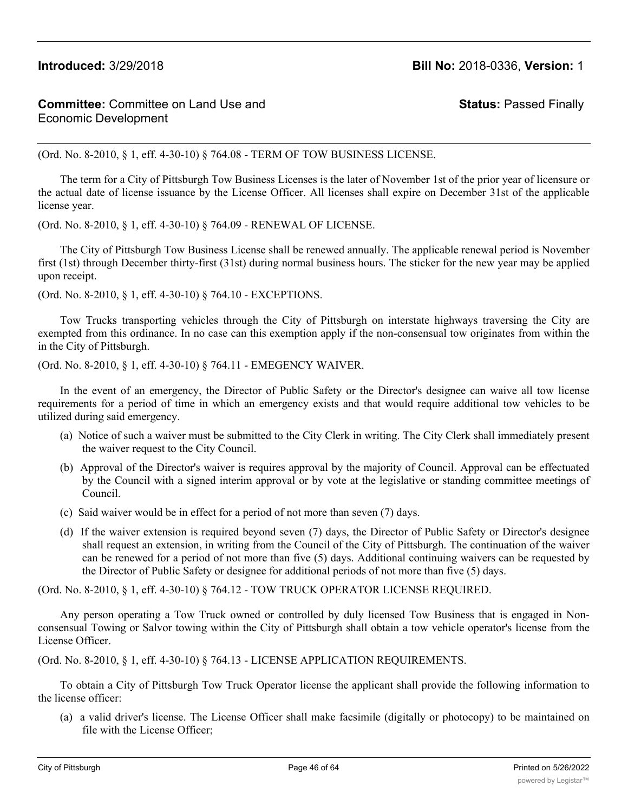# **Committee:** Committee on Land Use and Economic Development

**Status:** Passed Finally

(Ord. No. 8-2010, § 1, eff. 4-30-10) § 764.08 - TERM OF TOW BUSINESS LICENSE.

The term for a City of Pittsburgh Tow Business Licenses is the later of November 1st of the prior year of licensure or the actual date of license issuance by the License Officer. All licenses shall expire on December 31st of the applicable license year.

(Ord. No. 8-2010, § 1, eff. 4-30-10) § 764.09 - RENEWAL OF LICENSE.

The City of Pittsburgh Tow Business License shall be renewed annually. The applicable renewal period is November first (1st) through December thirty-first (31st) during normal business hours. The sticker for the new year may be applied upon receipt.

(Ord. No. 8-2010, § 1, eff. 4-30-10) § 764.10 - EXCEPTIONS.

Tow Trucks transporting vehicles through the City of Pittsburgh on interstate highways traversing the City are exempted from this ordinance. In no case can this exemption apply if the non-consensual tow originates from within the in the City of Pittsburgh.

(Ord. No. 8-2010, § 1, eff. 4-30-10) § 764.11 - EMEGENCY WAIVER.

In the event of an emergency, the Director of Public Safety or the Director's designee can waive all tow license requirements for a period of time in which an emergency exists and that would require additional tow vehicles to be utilized during said emergency.

- (a) Notice of such a waiver must be submitted to the City Clerk in writing. The City Clerk shall immediately present the waiver request to the City Council.
- (b) Approval of the Director's waiver is requires approval by the majority of Council. Approval can be effectuated by the Council with a signed interim approval or by vote at the legislative or standing committee meetings of Council.
- (c) Said waiver would be in effect for a period of not more than seven (7) days.
- (d) If the waiver extension is required beyond seven (7) days, the Director of Public Safety or Director's designee shall request an extension, in writing from the Council of the City of Pittsburgh. The continuation of the waiver can be renewed for a period of not more than five (5) days. Additional continuing waivers can be requested by the Director of Public Safety or designee for additional periods of not more than five (5) days.

(Ord. No. 8-2010, § 1, eff. 4-30-10) § 764.12 - TOW TRUCK OPERATOR LICENSE REQUIRED.

Any person operating a Tow Truck owned or controlled by duly licensed Tow Business that is engaged in Nonconsensual Towing or Salvor towing within the City of Pittsburgh shall obtain a tow vehicle operator's license from the License Officer.

(Ord. No. 8-2010, § 1, eff. 4-30-10) § 764.13 - LICENSE APPLICATION REQUIREMENTS.

To obtain a City of Pittsburgh Tow Truck Operator license the applicant shall provide the following information to the license officer:

(a) a valid driver's license. The License Officer shall make facsimile (digitally or photocopy) to be maintained on file with the License Officer;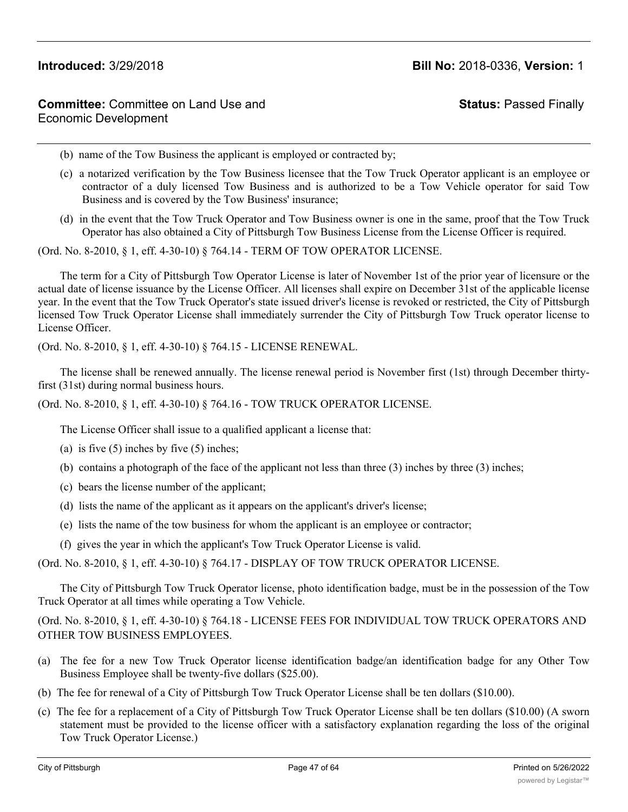# **Status:** Passed Finally

- (b) name of the Tow Business the applicant is employed or contracted by;
- (c) a notarized verification by the Tow Business licensee that the Tow Truck Operator applicant is an employee or contractor of a duly licensed Tow Business and is authorized to be a Tow Vehicle operator for said Tow Business and is covered by the Tow Business' insurance;
- (d) in the event that the Tow Truck Operator and Tow Business owner is one in the same, proof that the Tow Truck Operator has also obtained a City of Pittsburgh Tow Business License from the License Officer is required.

(Ord. No. 8-2010, § 1, eff. 4-30-10) § 764.14 - TERM OF TOW OPERATOR LICENSE.

The term for a City of Pittsburgh Tow Operator License is later of November 1st of the prior year of licensure or the actual date of license issuance by the License Officer. All licenses shall expire on December 31st of the applicable license year. In the event that the Tow Truck Operator's state issued driver's license is revoked or restricted, the City of Pittsburgh licensed Tow Truck Operator License shall immediately surrender the City of Pittsburgh Tow Truck operator license to License Officer.

(Ord. No. 8-2010, § 1, eff. 4-30-10) § 764.15 - LICENSE RENEWAL.

The license shall be renewed annually. The license renewal period is November first (1st) through December thirtyfirst (31st) during normal business hours.

(Ord. No. 8-2010, § 1, eff. 4-30-10) § 764.16 - TOW TRUCK OPERATOR LICENSE.

The License Officer shall issue to a qualified applicant a license that:

- (a) is five  $(5)$  inches by five  $(5)$  inches;
- (b) contains a photograph of the face of the applicant not less than three  $(3)$  inches by three  $(3)$  inches;
- (c) bears the license number of the applicant;
- (d) lists the name of the applicant as it appears on the applicant's driver's license;
- (e) lists the name of the tow business for whom the applicant is an employee or contractor;
- (f) gives the year in which the applicant's Tow Truck Operator License is valid.

(Ord. No. 8-2010, § 1, eff. 4-30-10) § 764.17 - DISPLAY OF TOW TRUCK OPERATOR LICENSE.

The City of Pittsburgh Tow Truck Operator license, photo identification badge, must be in the possession of the Tow Truck Operator at all times while operating a Tow Vehicle.

(Ord. No. 8-2010, § 1, eff. 4-30-10) § 764.18 - LICENSE FEES FOR INDIVIDUAL TOW TRUCK OPERATORS AND OTHER TOW BUSINESS EMPLOYEES.

- (a) The fee for a new Tow Truck Operator license identification badge/an identification badge for any Other Tow Business Employee shall be twenty-five dollars (\$25.00).
- (b) The fee for renewal of a City of Pittsburgh Tow Truck Operator License shall be ten dollars (\$10.00).
- (c) The fee for a replacement of a City of Pittsburgh Tow Truck Operator License shall be ten dollars (\$10.00) (A sworn statement must be provided to the license officer with a satisfactory explanation regarding the loss of the original Tow Truck Operator License.)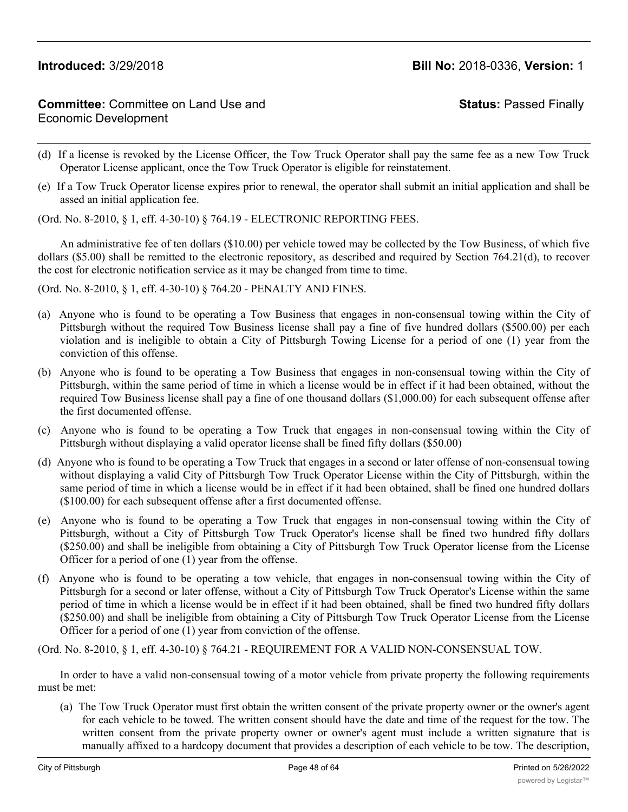# **Committee:** Committee on Land Use and Economic Development

**Status:** Passed Finally

- (d) If a license is revoked by the License Officer, the Tow Truck Operator shall pay the same fee as a new Tow Truck Operator License applicant, once the Tow Truck Operator is eligible for reinstatement.
- (e) If a Tow Truck Operator license expires prior to renewal, the operator shall submit an initial application and shall be assed an initial application fee.

(Ord. No. 8-2010, § 1, eff. 4-30-10) § 764.19 - ELECTRONIC REPORTING FEES.

An administrative fee of ten dollars (\$10.00) per vehicle towed may be collected by the Tow Business, of which five dollars (\$5.00) shall be remitted to the electronic repository, as described and required by Section 764.21(d), to recover the cost for electronic notification service as it may be changed from time to time.

(Ord. No. 8-2010, § 1, eff. 4-30-10) § 764.20 - PENALTY AND FINES.

- (a) Anyone who is found to be operating a Tow Business that engages in non-consensual towing within the City of Pittsburgh without the required Tow Business license shall pay a fine of five hundred dollars (\$500.00) per each violation and is ineligible to obtain a City of Pittsburgh Towing License for a period of one (1) year from the conviction of this offense.
- (b) Anyone who is found to be operating a Tow Business that engages in non-consensual towing within the City of Pittsburgh, within the same period of time in which a license would be in effect if it had been obtained, without the required Tow Business license shall pay a fine of one thousand dollars (\$1,000.00) for each subsequent offense after the first documented offense.
- (c) Anyone who is found to be operating a Tow Truck that engages in non-consensual towing within the City of Pittsburgh without displaying a valid operator license shall be fined fifty dollars (\$50.00)
- (d) Anyone who is found to be operating a Tow Truck that engages in a second or later offense of non-consensual towing without displaying a valid City of Pittsburgh Tow Truck Operator License within the City of Pittsburgh, within the same period of time in which a license would be in effect if it had been obtained, shall be fined one hundred dollars (\$100.00) for each subsequent offense after a first documented offense.
- (e) Anyone who is found to be operating a Tow Truck that engages in non-consensual towing within the City of Pittsburgh, without a City of Pittsburgh Tow Truck Operator's license shall be fined two hundred fifty dollars (\$250.00) and shall be ineligible from obtaining a City of Pittsburgh Tow Truck Operator license from the License Officer for a period of one (1) year from the offense.
- (f) Anyone who is found to be operating a tow vehicle, that engages in non-consensual towing within the City of Pittsburgh for a second or later offense, without a City of Pittsburgh Tow Truck Operator's License within the same period of time in which a license would be in effect if it had been obtained, shall be fined two hundred fifty dollars (\$250.00) and shall be ineligible from obtaining a City of Pittsburgh Tow Truck Operator License from the License Officer for a period of one (1) year from conviction of the offense.

(Ord. No. 8-2010, § 1, eff. 4-30-10) § 764.21 - REQUIREMENT FOR A VALID NON-CONSENSUAL TOW.

In order to have a valid non-consensual towing of a motor vehicle from private property the following requirements must be met:

(a) The Tow Truck Operator must first obtain the written consent of the private property owner or the owner's agent for each vehicle to be towed. The written consent should have the date and time of the request for the tow. The written consent from the private property owner or owner's agent must include a written signature that is manually affixed to a hardcopy document that provides a description of each vehicle to be tow. The description,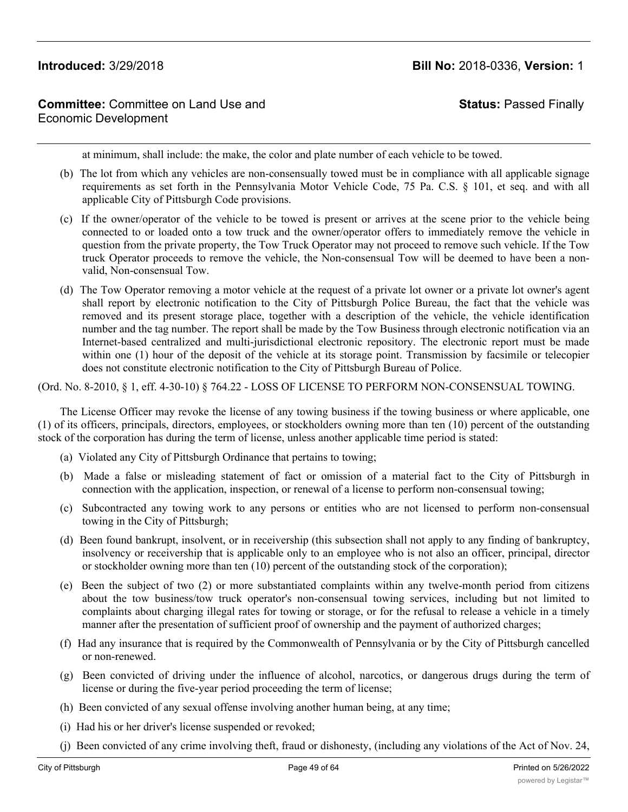# **Committee:** Committee on Land Use and Economic Development

# **Status:** Passed Finally

at minimum, shall include: the make, the color and plate number of each vehicle to be towed.

- (b) The lot from which any vehicles are non-consensually towed must be in compliance with all applicable signage requirements as set forth in the Pennsylvania Motor Vehicle Code, 75 Pa. C.S. § 101, et seq. and with all applicable City of Pittsburgh Code provisions.
- (c) If the owner/operator of the vehicle to be towed is present or arrives at the scene prior to the vehicle being connected to or loaded onto a tow truck and the owner/operator offers to immediately remove the vehicle in question from the private property, the Tow Truck Operator may not proceed to remove such vehicle. If the Tow truck Operator proceeds to remove the vehicle, the Non-consensual Tow will be deemed to have been a nonvalid, Non-consensual Tow.
- (d) The Tow Operator removing a motor vehicle at the request of a private lot owner or a private lot owner's agent shall report by electronic notification to the City of Pittsburgh Police Bureau, the fact that the vehicle was removed and its present storage place, together with a description of the vehicle, the vehicle identification number and the tag number. The report shall be made by the Tow Business through electronic notification via an Internet-based centralized and multi-jurisdictional electronic repository. The electronic report must be made within one (1) hour of the deposit of the vehicle at its storage point. Transmission by facsimile or telecopier does not constitute electronic notification to the City of Pittsburgh Bureau of Police.

(Ord. No. 8-2010, § 1, eff. 4-30-10) § 764.22 - LOSS OF LICENSE TO PERFORM NON-CONSENSUAL TOWING.

The License Officer may revoke the license of any towing business if the towing business or where applicable, one (1) of its officers, principals, directors, employees, or stockholders owning more than ten (10) percent of the outstanding stock of the corporation has during the term of license, unless another applicable time period is stated:

- (a) Violated any City of Pittsburgh Ordinance that pertains to towing;
- (b) Made a false or misleading statement of fact or omission of a material fact to the City of Pittsburgh in connection with the application, inspection, or renewal of a license to perform non-consensual towing;
- (c) Subcontracted any towing work to any persons or entities who are not licensed to perform non-consensual towing in the City of Pittsburgh;
- (d) Been found bankrupt, insolvent, or in receivership (this subsection shall not apply to any finding of bankruptcy, insolvency or receivership that is applicable only to an employee who is not also an officer, principal, director or stockholder owning more than ten (10) percent of the outstanding stock of the corporation);
- (e) Been the subject of two (2) or more substantiated complaints within any twelve-month period from citizens about the tow business/tow truck operator's non-consensual towing services, including but not limited to complaints about charging illegal rates for towing or storage, or for the refusal to release a vehicle in a timely manner after the presentation of sufficient proof of ownership and the payment of authorized charges;
- (f) Had any insurance that is required by the Commonwealth of Pennsylvania or by the City of Pittsburgh cancelled or non-renewed.
- (g) Been convicted of driving under the influence of alcohol, narcotics, or dangerous drugs during the term of license or during the five-year period proceeding the term of license;
- (h) Been convicted of any sexual offense involving another human being, at any time;
- (i) Had his or her driver's license suspended or revoked;
- (j) Been convicted of any crime involving theft, fraud or dishonesty, (including any violations of the Act of Nov. 24,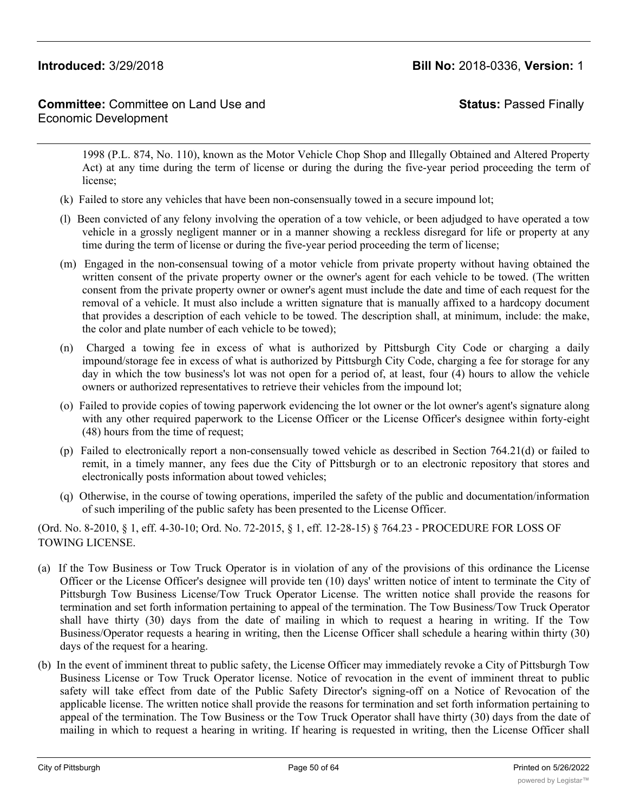# **Committee:** Committee on Land Use and Economic Development

**Status:** Passed Finally

1998 (P.L. 874, No. 110), known as the Motor Vehicle Chop Shop and Illegally Obtained and Altered Property Act) at any time during the term of license or during the during the five-year period proceeding the term of license;

- (k) Failed to store any vehicles that have been non-consensually towed in a secure impound lot;
- (l) Been convicted of any felony involving the operation of a tow vehicle, or been adjudged to have operated a tow vehicle in a grossly negligent manner or in a manner showing a reckless disregard for life or property at any time during the term of license or during the five-year period proceeding the term of license;
- (m) Engaged in the non-consensual towing of a motor vehicle from private property without having obtained the written consent of the private property owner or the owner's agent for each vehicle to be towed. (The written consent from the private property owner or owner's agent must include the date and time of each request for the removal of a vehicle. It must also include a written signature that is manually affixed to a hardcopy document that provides a description of each vehicle to be towed. The description shall, at minimum, include: the make, the color and plate number of each vehicle to be towed);
- (n) Charged a towing fee in excess of what is authorized by Pittsburgh City Code or charging a daily impound/storage fee in excess of what is authorized by Pittsburgh City Code, charging a fee for storage for any day in which the tow business's lot was not open for a period of, at least, four (4) hours to allow the vehicle owners or authorized representatives to retrieve their vehicles from the impound lot;
- (o) Failed to provide copies of towing paperwork evidencing the lot owner or the lot owner's agent's signature along with any other required paperwork to the License Officer or the License Officer's designee within forty-eight (48) hours from the time of request;
- (p) Failed to electronically report a non-consensually towed vehicle as described in Section 764.21(d) or failed to remit, in a timely manner, any fees due the City of Pittsburgh or to an electronic repository that stores and electronically posts information about towed vehicles;
- (q) Otherwise, in the course of towing operations, imperiled the safety of the public and documentation/information of such imperiling of the public safety has been presented to the License Officer.

(Ord. No. 8-2010, § 1, eff. 4-30-10; Ord. No. 72-2015, § 1, eff. 12-28-15) § 764.23 - PROCEDURE FOR LOSS OF TOWING LICENSE.

- (a) If the Tow Business or Tow Truck Operator is in violation of any of the provisions of this ordinance the License Officer or the License Officer's designee will provide ten (10) days' written notice of intent to terminate the City of Pittsburgh Tow Business License/Tow Truck Operator License. The written notice shall provide the reasons for termination and set forth information pertaining to appeal of the termination. The Tow Business/Tow Truck Operator shall have thirty (30) days from the date of mailing in which to request a hearing in writing. If the Tow Business/Operator requests a hearing in writing, then the License Officer shall schedule a hearing within thirty (30) days of the request for a hearing.
- (b) In the event of imminent threat to public safety, the License Officer may immediately revoke a City of Pittsburgh Tow Business License or Tow Truck Operator license. Notice of revocation in the event of imminent threat to public safety will take effect from date of the Public Safety Director's signing-off on a Notice of Revocation of the applicable license. The written notice shall provide the reasons for termination and set forth information pertaining to appeal of the termination. The Tow Business or the Tow Truck Operator shall have thirty (30) days from the date of mailing in which to request a hearing in writing. If hearing is requested in writing, then the License Officer shall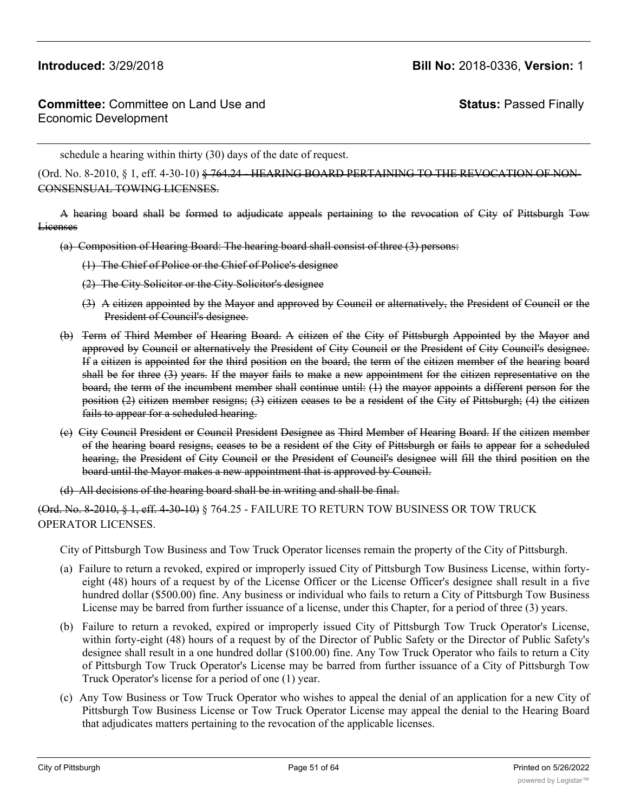**Status:** Passed Finally

schedule a hearing within thirty (30) days of the date of request.

(Ord. No. 8-2010, § 1, eff. 4-30-10)  $\frac{6}{5}$  764.24 - HEARING BOARD PERTAINING TO THE REVOCATION OF NON-CONSENSUAL TOWING LICENSES.

A hearing board shall be formed to adjudicate appeals pertaining to the revocation of City of Pittsburgh Tow Licenses

(a) Composition of Hearing Board: The hearing board shall consist of three (3) persons:

- (1) The Chief of Police or the Chief of Police's designee
- (2) The City Solicitor or the City Solicitor's designee
- (3) A citizen appointed by the Mayor and approved by Council or alternatively, the President of Council or the President of Council's designee.
- (b) Term of Third Member of Hearing Board. A citizen of the City of Pittsburgh Appointed by the Mayor and approved by Council or alternatively the President of City Council or the President of City Council's designee. If a citizen is appointed for the third position on the board, the term of the citizen member of the hearing board shall be for three (3) years. If the mayor fails to make a new appointment for the citizen representative on the board, the term of the incumbent member shall continue until: (1) the mayor appoints a different person for the position (2) citizen member resigns; (3) citizen ceases to be a resident of the City of Pittsburgh; (4) the citizen fails to appear for a scheduled hearing.
- (c) City Council President or Council President Designee as Third Member of Hearing Board. If the citizen member of the hearing board resigns, ceases to be a resident of the City of Pittsburgh or fails to appear for a scheduled hearing, the President of City Council or the President of Council's designee will fill the third position on the board until the Mayor makes a new appointment that is approved by Council.
- (d) All decisions of the hearing board shall be in writing and shall be final.

(Ord. No. 8-2010, § 1, eff. 4-30-10) § 764.25 - FAILURE TO RETURN TOW BUSINESS OR TOW TRUCK OPERATOR LICENSES.

City of Pittsburgh Tow Business and Tow Truck Operator licenses remain the property of the City of Pittsburgh.

- (a) Failure to return a revoked, expired or improperly issued City of Pittsburgh Tow Business License, within fortyeight (48) hours of a request by of the License Officer or the License Officer's designee shall result in a five hundred dollar (\$500.00) fine. Any business or individual who fails to return a City of Pittsburgh Tow Business License may be barred from further issuance of a license, under this Chapter, for a period of three (3) years.
- (b) Failure to return a revoked, expired or improperly issued City of Pittsburgh Tow Truck Operator's License, within forty-eight (48) hours of a request by of the Director of Public Safety or the Director of Public Safety's designee shall result in a one hundred dollar (\$100.00) fine. Any Tow Truck Operator who fails to return a City of Pittsburgh Tow Truck Operator's License may be barred from further issuance of a City of Pittsburgh Tow Truck Operator's license for a period of one (1) year.
- (c) Any Tow Business or Tow Truck Operator who wishes to appeal the denial of an application for a new City of Pittsburgh Tow Business License or Tow Truck Operator License may appeal the denial to the Hearing Board that adjudicates matters pertaining to the revocation of the applicable licenses.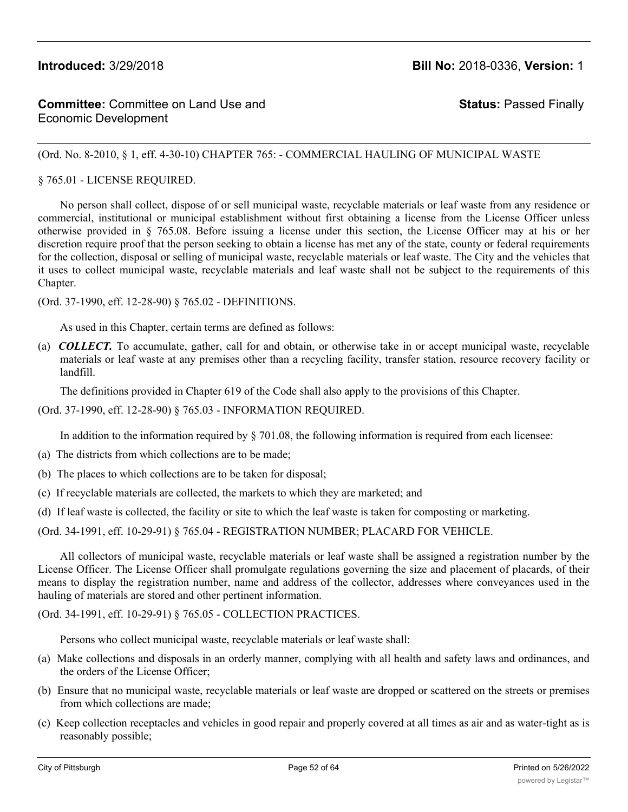**Status:** Passed Finally

## (Ord. No. 8-2010, § 1, eff. 4-30-10) CHAPTER 765: - COMMERCIAL HAULING OF MUNICIPAL WASTE

### § 765.01 - LICENSE REQUIRED.

No person shall collect, dispose of or sell municipal waste, recyclable materials or leaf waste from any residence or commercial, institutional or municipal establishment without first obtaining a license from the License Officer unless otherwise provided in § 765.08. Before issuing a license under this section, the License Officer may at his or her discretion require proof that the person seeking to obtain a license has met any of the state, county or federal requirements for the collection, disposal or selling of municipal waste, recyclable materials or leaf waste. The City and the vehicles that it uses to collect municipal waste, recyclable materials and leaf waste shall not be subject to the requirements of this Chapter.

(Ord. 37-1990, eff. 12-28-90) § 765.02 - DEFINITIONS.

As used in this Chapter, certain terms are defined as follows:

(a) *COLLECT.* To accumulate, gather, call for and obtain, or otherwise take in or accept municipal waste, recyclable materials or leaf waste at any premises other than a recycling facility, transfer station, resource recovery facility or landfill.

The definitions provided in Chapter 619 of the Code shall also apply to the provisions of this Chapter.

(Ord. 37-1990, eff. 12-28-90) § 765.03 - INFORMATION REQUIRED.

In addition to the information required by § 701.08, the following information is required from each licensee:

- (a) The districts from which collections are to be made;
- (b) The places to which collections are to be taken for disposal;
- (c) If recyclable materials are collected, the markets to which they are marketed; and
- (d) If leaf waste is collected, the facility or site to which the leaf waste is taken for composting or marketing.

(Ord. 34-1991, eff. 10-29-91) § 765.04 - REGISTRATION NUMBER; PLACARD FOR VEHICLE.

All collectors of municipal waste, recyclable materials or leaf waste shall be assigned a registration number by the License Officer. The License Officer shall promulgate regulations governing the size and placement of placards, of their means to display the registration number, name and address of the collector, addresses where conveyances used in the hauling of materials are stored and other pertinent information.

(Ord. 34-1991, eff. 10-29-91) § 765.05 - COLLECTION PRACTICES.

Persons who collect municipal waste, recyclable materials or leaf waste shall:

- (a) Make collections and disposals in an orderly manner, complying with all health and safety laws and ordinances, and the orders of the License Officer;
- (b) Ensure that no municipal waste, recyclable materials or leaf waste are dropped or scattered on the streets or premises from which collections are made;
- (c) Keep collection receptacles and vehicles in good repair and properly covered at all times as air and as water-tight as is reasonably possible;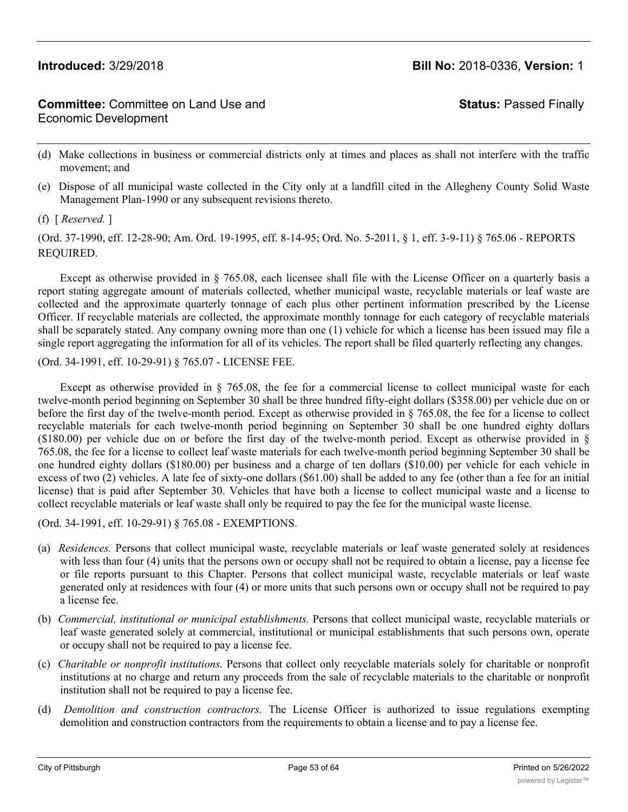**Status:** Passed Finally

- (d) Make collections in business or commercial districts only at times and places as shall not interfere with the traffic movement; and
- (e) Dispose of all municipal waste collected in the City only at a landfill cited in the Allegheny County Solid Waste Management Plan-1990 or any subsequent revisions thereto.

(f) [ *Reserved.* ]

(Ord. 37-1990, eff. 12-28-90; Am. Ord. 19-1995, eff. 8-14-95; Ord. No. 5-2011, § 1, eff. 3-9-11) § 765.06 - REPORTS REQUIRED.

Except as otherwise provided in § 765.08, each licensee shall file with the License Officer on a quarterly basis a report stating aggregate amount of materials collected, whether municipal waste, recyclable materials or leaf waste are collected and the approximate quarterly tonnage of each plus other pertinent information prescribed by the License Officer. If recyclable materials are collected, the approximate monthly tonnage for each category of recyclable materials shall be separately stated. Any company owning more than one (1) vehicle for which a license has been issued may file a single report aggregating the information for all of its vehicles. The report shall be filed quarterly reflecting any changes.

(Ord. 34-1991, eff. 10-29-91) § 765.07 - LICENSE FEE.

Except as otherwise provided in § 765.08, the fee for a commercial license to collect municipal waste for each twelve-month period beginning on September 30 shall be three hundred fifty-eight dollars (\$358.00) per vehicle due on or before the first day of the twelve-month period. Except as otherwise provided in § 765.08, the fee for a license to collect recyclable materials for each twelve-month period beginning on September 30 shall be one hundred eighty dollars (\$180.00) per vehicle due on or before the first day of the twelve-month period. Except as otherwise provided in § 765.08, the fee for a license to collect leaf waste materials for each twelve-month period beginning September 30 shall be one hundred eighty dollars (\$180.00) per business and a charge of ten dollars (\$10.00) per vehicle for each vehicle in excess of two (2) vehicles. A late fee of sixty-one dollars (\$61.00) shall be added to any fee (other than a fee for an initial license) that is paid after September 30. Vehicles that have both a license to collect municipal waste and a license to collect recyclable materials or leaf waste shall only be required to pay the fee for the municipal waste license.

(Ord. 34-1991, eff. 10-29-91) § 765.08 - EXEMPTIONS.

- (a) *Residences.* Persons that collect municipal waste, recyclable materials or leaf waste generated solely at residences with less than four (4) units that the persons own or occupy shall not be required to obtain a license, pay a license fee or file reports pursuant to this Chapter. Persons that collect municipal waste, recyclable materials or leaf waste generated only at residences with four (4) or more units that such persons own or occupy shall not be required to pay a license fee.
- (b) *Commercial, institutional or municipal establishments.* Persons that collect municipal waste, recyclable materials or leaf waste generated solely at commercial, institutional or municipal establishments that such persons own, operate or occupy shall not be required to pay a license fee.
- (c) *Charitable or nonprofit institutions.* Persons that collect only recyclable materials solely for charitable or nonprofit institutions at no charge and return any proceeds from the sale of recyclable materials to the charitable or nonprofit institution shall not be required to pay a license fee.
- (d) *Demolition and construction contractors.* The License Officer is authorized to issue regulations exempting demolition and construction contractors from the requirements to obtain a license and to pay a license fee.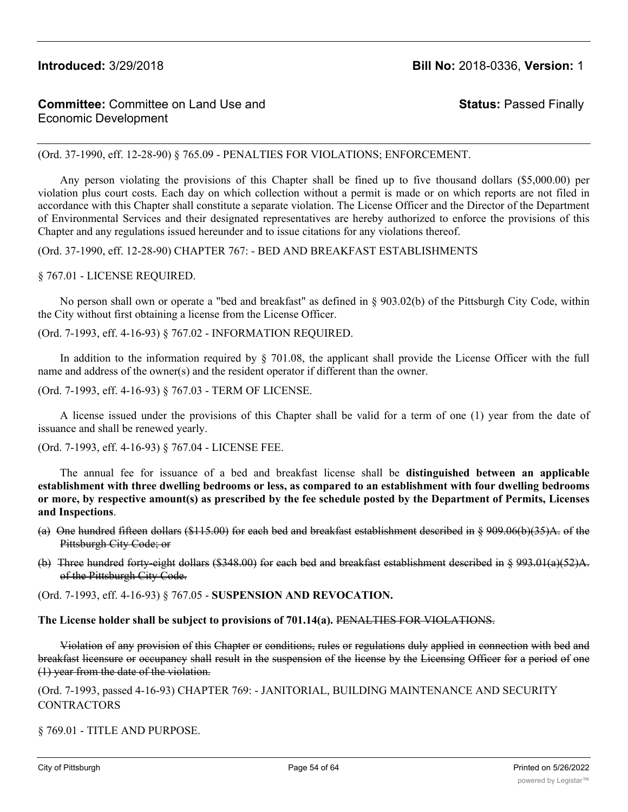# **Committee:** Committee on Land Use and Economic Development

**Status:** Passed Finally

(Ord. 37-1990, eff. 12-28-90) § 765.09 - PENALTIES FOR VIOLATIONS; ENFORCEMENT.

Any person violating the provisions of this Chapter shall be fined up to five thousand dollars (\$5,000.00) per violation plus court costs. Each day on which collection without a permit is made or on which reports are not filed in accordance with this Chapter shall constitute a separate violation. The License Officer and the Director of the Department of Environmental Services and their designated representatives are hereby authorized to enforce the provisions of this Chapter and any regulations issued hereunder and to issue citations for any violations thereof.

(Ord. 37-1990, eff. 12-28-90) CHAPTER 767: - BED AND BREAKFAST ESTABLISHMENTS

### § 767.01 - LICENSE REQUIRED.

No person shall own or operate a "bed and breakfast" as defined in § 903.02(b) of the Pittsburgh City Code, within the City without first obtaining a license from the License Officer.

(Ord. 7-1993, eff. 4-16-93) § 767.02 - INFORMATION REQUIRED.

In addition to the information required by § 701.08, the applicant shall provide the License Officer with the full name and address of the owner(s) and the resident operator if different than the owner.

(Ord. 7-1993, eff. 4-16-93) § 767.03 - TERM OF LICENSE.

A license issued under the provisions of this Chapter shall be valid for a term of one (1) year from the date of issuance and shall be renewed yearly.

(Ord. 7-1993, eff. 4-16-93) § 767.04 - LICENSE FEE.

The annual fee for issuance of a bed and breakfast license shall be **distinguished between an applicable establishment with three dwelling bedrooms or less, as compared to an establishment with four dwelling bedrooms** or more, by respective amount(s) as prescribed by the fee schedule posted by the Department of Permits, Licenses **and Inspections**.

- (a) One hundred fifteen dollars (\$115.00) for each bed and breakfast establishment described in § 909.06(b)(35)A. of the Pittsburgh City Code; or
- (b) Three hundred forty-eight dollars (\$348.00) for each bed and breakfast establishment described in § 993.01(a)(52)A. of the Pittsburgh City Code.

(Ord. 7-1993, eff. 4-16-93) § 767.05 - **SUSPENSION AND REVOCATION.**

**The License holder shall be subject to provisions of 701.14(a).** PENALTIES FOR VIOLATIONS.

Violation of any provision of this Chapter or conditions, rules or regulations duly applied in connection with bed and breakfast licensure or occupancy shall result in the suspension of the license by the Licensing Officer for a period of one (1) year from the date of the violation.

(Ord. 7-1993, passed 4-16-93) CHAPTER 769: - JANITORIAL, BUILDING MAINTENANCE AND SECURITY **CONTRACTORS** 

§ 769.01 - TITLE AND PURPOSE.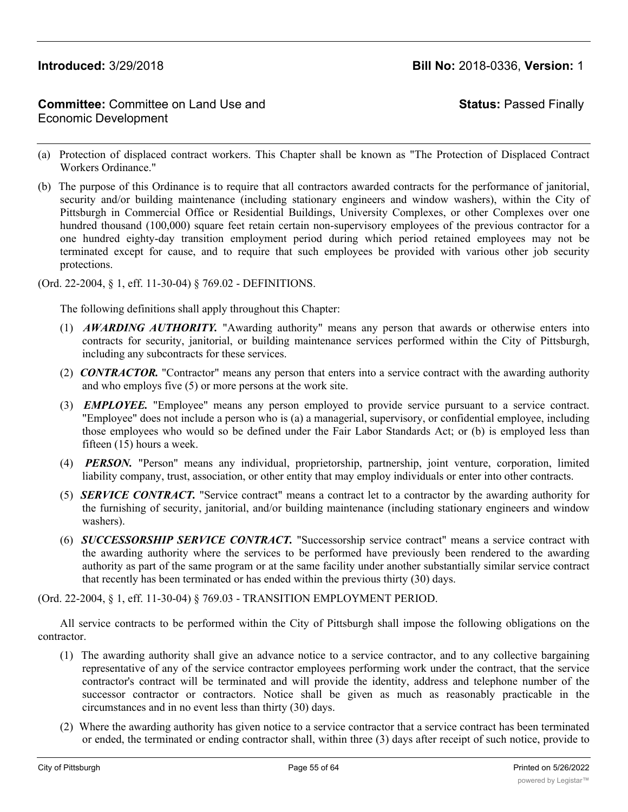# **Committee:** Committee on Land Use and Economic Development

**Status:** Passed Finally

- (a) Protection of displaced contract workers. This Chapter shall be known as "The Protection of Displaced Contract Workers Ordinance."
- (b) The purpose of this Ordinance is to require that all contractors awarded contracts for the performance of janitorial, security and/or building maintenance (including stationary engineers and window washers), within the City of Pittsburgh in Commercial Office or Residential Buildings, University Complexes, or other Complexes over one hundred thousand (100,000) square feet retain certain non-supervisory employees of the previous contractor for a one hundred eighty-day transition employment period during which period retained employees may not be terminated except for cause, and to require that such employees be provided with various other job security protections.

### (Ord. 22-2004, § 1, eff. 11-30-04) § 769.02 - DEFINITIONS.

The following definitions shall apply throughout this Chapter:

- (1) *AWARDING AUTHORITY.* "Awarding authority" means any person that awards or otherwise enters into contracts for security, janitorial, or building maintenance services performed within the City of Pittsburgh, including any subcontracts for these services.
- (2) *CONTRACTOR.* "Contractor" means any person that enters into a service contract with the awarding authority and who employs five (5) or more persons at the work site.
- (3) *EMPLOYEE.* "Employee" means any person employed to provide service pursuant to a service contract. "Employee" does not include a person who is (a) a managerial, supervisory, or confidential employee, including those employees who would so be defined under the Fair Labor Standards Act; or (b) is employed less than fifteen (15) hours a week.
- (4) *PERSON.* "Person" means any individual, proprietorship, partnership, joint venture, corporation, limited liability company, trust, association, or other entity that may employ individuals or enter into other contracts.
- (5) *SERVICE CONTRACT.* "Service contract" means a contract let to a contractor by the awarding authority for the furnishing of security, janitorial, and/or building maintenance (including stationary engineers and window washers).
- (6) *SUCCESSORSHIP SERVICE CONTRACT.* "Successorship service contract" means a service contract with the awarding authority where the services to be performed have previously been rendered to the awarding authority as part of the same program or at the same facility under another substantially similar service contract that recently has been terminated or has ended within the previous thirty (30) days.

(Ord. 22-2004, § 1, eff. 11-30-04) § 769.03 - TRANSITION EMPLOYMENT PERIOD.

All service contracts to be performed within the City of Pittsburgh shall impose the following obligations on the contractor.

- (1) The awarding authority shall give an advance notice to a service contractor, and to any collective bargaining representative of any of the service contractor employees performing work under the contract, that the service contractor's contract will be terminated and will provide the identity, address and telephone number of the successor contractor or contractors. Notice shall be given as much as reasonably practicable in the circumstances and in no event less than thirty (30) days.
- (2) Where the awarding authority has given notice to a service contractor that a service contract has been terminated or ended, the terminated or ending contractor shall, within three (3) days after receipt of such notice, provide to

the successor contractor, the name, date of hire, and employment occupation classification of each employee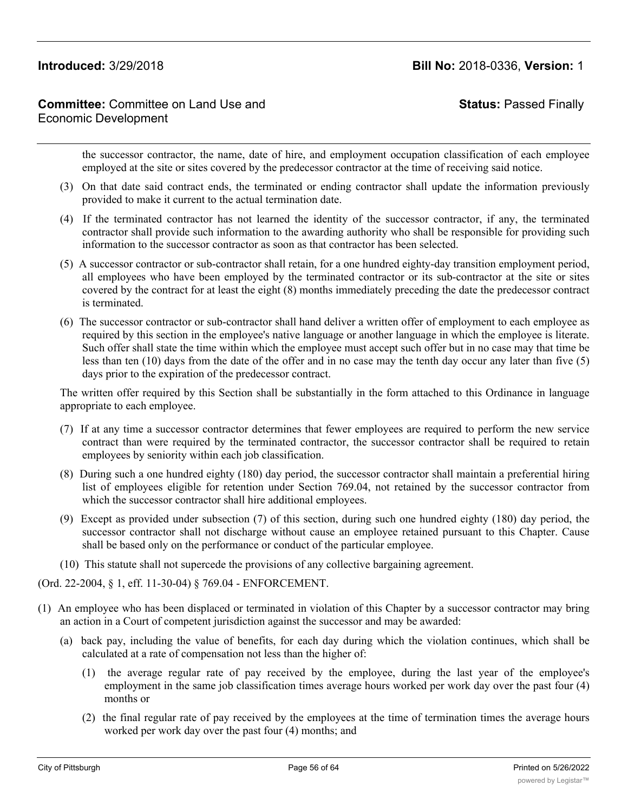# **Committee:** Committee on Land Use and Economic Development

**Status:** Passed Finally

the successor contractor, the name, date of hire, and employment occupation classification of each employee employed at the site or sites covered by the predecessor contractor at the time of receiving said notice.

- (3) On that date said contract ends, the terminated or ending contractor shall update the information previously provided to make it current to the actual termination date.
- (4) If the terminated contractor has not learned the identity of the successor contractor, if any, the terminated contractor shall provide such information to the awarding authority who shall be responsible for providing such information to the successor contractor as soon as that contractor has been selected.
- (5) A successor contractor or sub-contractor shall retain, for a one hundred eighty-day transition employment period, all employees who have been employed by the terminated contractor or its sub-contractor at the site or sites covered by the contract for at least the eight (8) months immediately preceding the date the predecessor contract is terminated.
- (6) The successor contractor or sub-contractor shall hand deliver a written offer of employment to each employee as required by this section in the employee's native language or another language in which the employee is literate. Such offer shall state the time within which the employee must accept such offer but in no case may that time be less than ten (10) days from the date of the offer and in no case may the tenth day occur any later than five (5) days prior to the expiration of the predecessor contract.

The written offer required by this Section shall be substantially in the form attached to this Ordinance in language appropriate to each employee.

- (7) If at any time a successor contractor determines that fewer employees are required to perform the new service contract than were required by the terminated contractor, the successor contractor shall be required to retain employees by seniority within each job classification.
- (8) During such a one hundred eighty (180) day period, the successor contractor shall maintain a preferential hiring list of employees eligible for retention under Section 769.04, not retained by the successor contractor from which the successor contractor shall hire additional employees.
- (9) Except as provided under subsection (7) of this section, during such one hundred eighty (180) day period, the successor contractor shall not discharge without cause an employee retained pursuant to this Chapter. Cause shall be based only on the performance or conduct of the particular employee.
- (10) This statute shall not supercede the provisions of any collective bargaining agreement.

(Ord. 22-2004, § 1, eff. 11-30-04) § 769.04 - ENFORCEMENT.

- (1) An employee who has been displaced or terminated in violation of this Chapter by a successor contractor may bring an action in a Court of competent jurisdiction against the successor and may be awarded:
	- (a) back pay, including the value of benefits, for each day during which the violation continues, which shall be calculated at a rate of compensation not less than the higher of:
		- (1) the average regular rate of pay received by the employee, during the last year of the employee's employment in the same job classification times average hours worked per work day over the past four (4) months or
		- (2) the final regular rate of pay received by the employees at the time of termination times the average hours worked per work day over the past four (4) months; and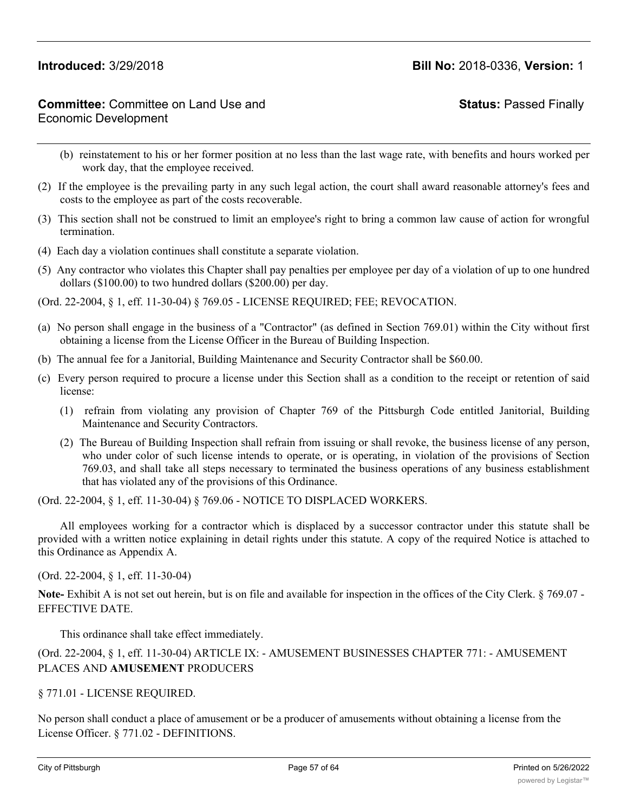**Status:** Passed Finally

- (b) reinstatement to his or her former position at no less than the last wage rate, with benefits and hours worked per work day, that the employee received.
- (2) If the employee is the prevailing party in any such legal action, the court shall award reasonable attorney's fees and costs to the employee as part of the costs recoverable.
- (3) This section shall not be construed to limit an employee's right to bring a common law cause of action for wrongful termination.
- (4) Each day a violation continues shall constitute a separate violation.
- (5) Any contractor who violates this Chapter shall pay penalties per employee per day of a violation of up to one hundred dollars (\$100.00) to two hundred dollars (\$200.00) per day.
- (Ord. 22-2004, § 1, eff. 11-30-04) § 769.05 LICENSE REQUIRED; FEE; REVOCATION.
- (a) No person shall engage in the business of a "Contractor" (as defined in Section 769.01) within the City without first obtaining a license from the License Officer in the Bureau of Building Inspection.
- (b) The annual fee for a Janitorial, Building Maintenance and Security Contractor shall be \$60.00.
- (c) Every person required to procure a license under this Section shall as a condition to the receipt or retention of said license:
	- (1) refrain from violating any provision of Chapter 769 of the Pittsburgh Code entitled Janitorial, Building Maintenance and Security Contractors.
	- (2) The Bureau of Building Inspection shall refrain from issuing or shall revoke, the business license of any person, who under color of such license intends to operate, or is operating, in violation of the provisions of Section 769.03, and shall take all steps necessary to terminated the business operations of any business establishment that has violated any of the provisions of this Ordinance.

(Ord. 22-2004, § 1, eff. 11-30-04) § 769.06 - NOTICE TO DISPLACED WORKERS.

All employees working for a contractor which is displaced by a successor contractor under this statute shall be provided with a written notice explaining in detail rights under this statute. A copy of the required Notice is attached to this Ordinance as Appendix A.

(Ord. 22-2004, § 1, eff. 11-30-04)

**Note-** Exhibit A is not set out herein, but is on file and available for inspection in the offices of the City Clerk. § 769.07 - EFFECTIVE DATE.

This ordinance shall take effect immediately.

# (Ord. 22-2004, § 1, eff. 11-30-04) ARTICLE IX: - AMUSEMENT BUSINESSES CHAPTER 771: - AMUSEMENT PLACES AND **AMUSEMENT** PRODUCERS

§ 771.01 - LICENSE REQUIRED.

No person shall conduct a place of amusement or be a producer of amusements without obtaining a license from the License Officer. § 771.02 - DEFINITIONS.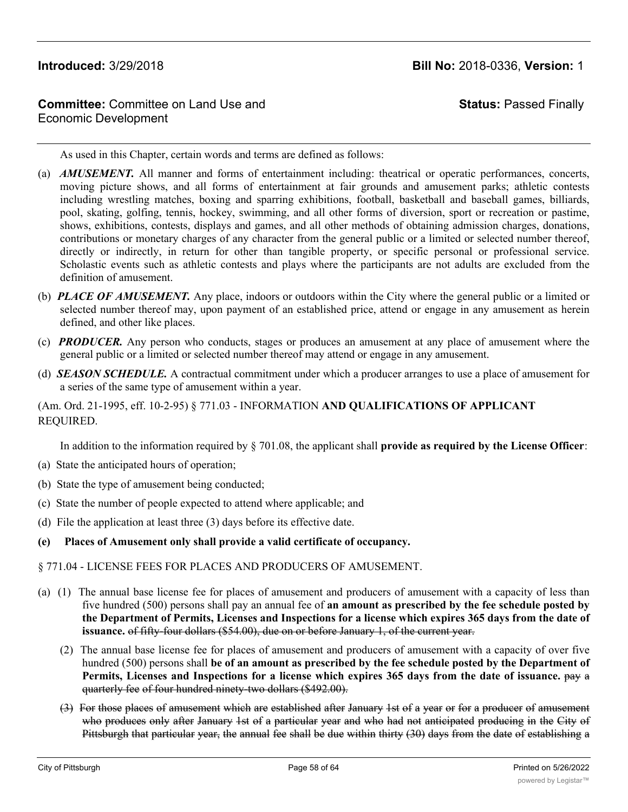# **Committee:** Committee on Land Use and Economic Development

# **Status:** Passed Finally

As used in this Chapter, certain words and terms are defined as follows:

- (a) *AMUSEMENT.* All manner and forms of entertainment including: theatrical or operatic performances, concerts, moving picture shows, and all forms of entertainment at fair grounds and amusement parks; athletic contests including wrestling matches, boxing and sparring exhibitions, football, basketball and baseball games, billiards, pool, skating, golfing, tennis, hockey, swimming, and all other forms of diversion, sport or recreation or pastime, shows, exhibitions, contests, displays and games, and all other methods of obtaining admission charges, donations, contributions or monetary charges of any character from the general public or a limited or selected number thereof, directly or indirectly, in return for other than tangible property, or specific personal or professional service. Scholastic events such as athletic contests and plays where the participants are not adults are excluded from the definition of amusement.
- (b) *PLACE OF AMUSEMENT.* Any place, indoors or outdoors within the City where the general public or a limited or selected number thereof may, upon payment of an established price, attend or engage in any amusement as herein defined, and other like places.
- (c) *PRODUCER.* Any person who conducts, stages or produces an amusement at any place of amusement where the general public or a limited or selected number thereof may attend or engage in any amusement.
- (d) *SEASON SCHEDULE.* A contractual commitment under which a producer arranges to use a place of amusement for a series of the same type of amusement within a year.

(Am. Ord. 21-1995, eff. 10-2-95) § 771.03 - INFORMATION **AND QUALIFICATIONS OF APPLICANT** REQUIRED.

In addition to the information required by § 701.08, the applicant shall **provide as required by the License Officer**:

- (a) State the anticipated hours of operation;
- (b) State the type of amusement being conducted;
- (c) State the number of people expected to attend where applicable; and
- (d) File the application at least three (3) days before its effective date.
- **(e) Places of Amusement only shall provide a valid certificate of occupancy.**
- § 771.04 LICENSE FEES FOR PLACES AND PRODUCERS OF AMUSEMENT.
- (a) (1) The annual base license fee for places of amusement and producers of amusement with a capacity of less than five hundred (500) persons shall pay an annual fee of **an amount as prescribed by the fee schedule posted by** the Department of Permits, Licenses and Inspections for a license which expires 365 days from the date of **issuance.** of fifty-four dollars (\$54.00), due on or before January 1, of the current year.
	- (2) The annual base license fee for places of amusement and producers of amusement with a capacity of over five hundred (500) persons shall **be of an amount as prescribed by the fee schedule posted by the Department of Permits, Licenses and Inspections for a license which expires 365 days from the date of issuance.** pay a quarterly fee of four hundred ninety-two dollars (\$492.00).
	- (3) For those places of amusement which are established after January 1st of a year or for a producer of amusement who produces only after January 1st of a particular year and who had not anticipated producing in the City of Pittsburgh that particular year, the annual fee shall be due within thirty (30) days from the date of establishing a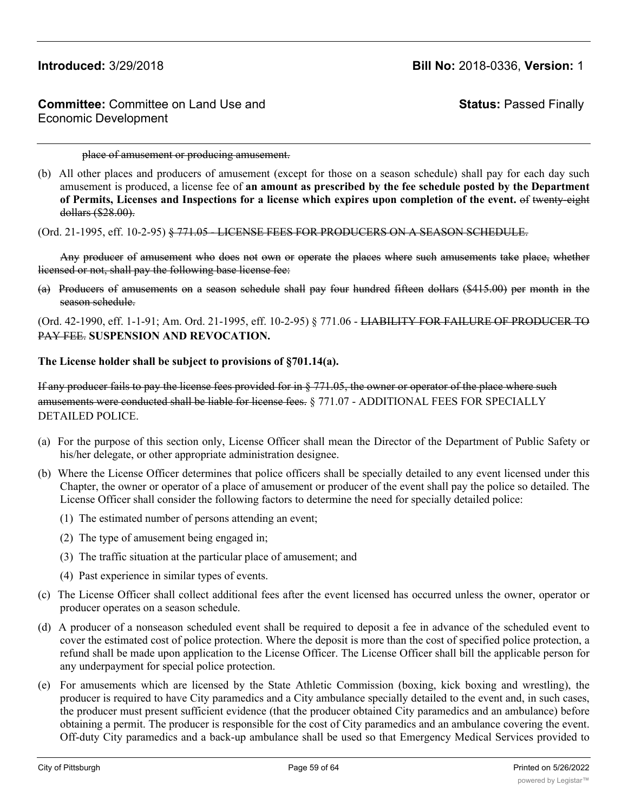**Status:** Passed Finally

place of amusement or producing amusement.

(b) All other places and producers of amusement (except for those on a season schedule) shall pay for each day such amusement is produced, a license fee of **an amount as prescribed by the fee schedule posted by the Department of Permits, Licenses and Inspections for a license which expires upon completion of the event.** of twenty-eight dollars (\$28.00).

(Ord. 21-1995, eff. 10-2-95) § 771.05 - LICENSE FEES FOR PRODUCERS ON A SEASON SCHEDULE.

Any producer of amusement who does not own or operate the places where such amusements take place, whether licensed or not, shall pay the following base license fee:

(a) Producers of amusements on a season schedule shall pay four hundred fifteen dollars (\$415.00) per month in the season schedule.

(Ord. 42-1990, eff. 1-1-91; Am. Ord. 21-1995, eff. 10-2-95) § 771.06 - LIABILITY FOR FAILURE OF PRODUCER TO PAY FEE. **SUSPENSION AND REVOCATION.**

### **The License holder shall be subject to provisions of §701.14(a).**

If any producer fails to pay the license fees provided for in § 771.05, the owner or operator of the place where such amusements were conducted shall be liable for license fees. § 771.07 - ADDITIONAL FEES FOR SPECIALLY DETAILED POLICE.

- (a) For the purpose of this section only, License Officer shall mean the Director of the Department of Public Safety or his/her delegate, or other appropriate administration designee.
- (b) Where the License Officer determines that police officers shall be specially detailed to any event licensed under this Chapter, the owner or operator of a place of amusement or producer of the event shall pay the police so detailed. The License Officer shall consider the following factors to determine the need for specially detailed police:
	- (1) The estimated number of persons attending an event;
	- (2) The type of amusement being engaged in;
	- (3) The traffic situation at the particular place of amusement; and
	- (4) Past experience in similar types of events.
- (c) The License Officer shall collect additional fees after the event licensed has occurred unless the owner, operator or producer operates on a season schedule.
- (d) A producer of a nonseason scheduled event shall be required to deposit a fee in advance of the scheduled event to cover the estimated cost of police protection. Where the deposit is more than the cost of specified police protection, a refund shall be made upon application to the License Officer. The License Officer shall bill the applicable person for any underpayment for special police protection.
- (e) For amusements which are licensed by the State Athletic Commission (boxing, kick boxing and wrestling), the producer is required to have City paramedics and a City ambulance specially detailed to the event and, in such cases, the producer must present sufficient evidence (that the producer obtained City paramedics and an ambulance) before obtaining a permit. The producer is responsible for the cost of City paramedics and an ambulance covering the event. Off-duty City paramedics and a back-up ambulance shall be used so that Emergency Medical Services provided to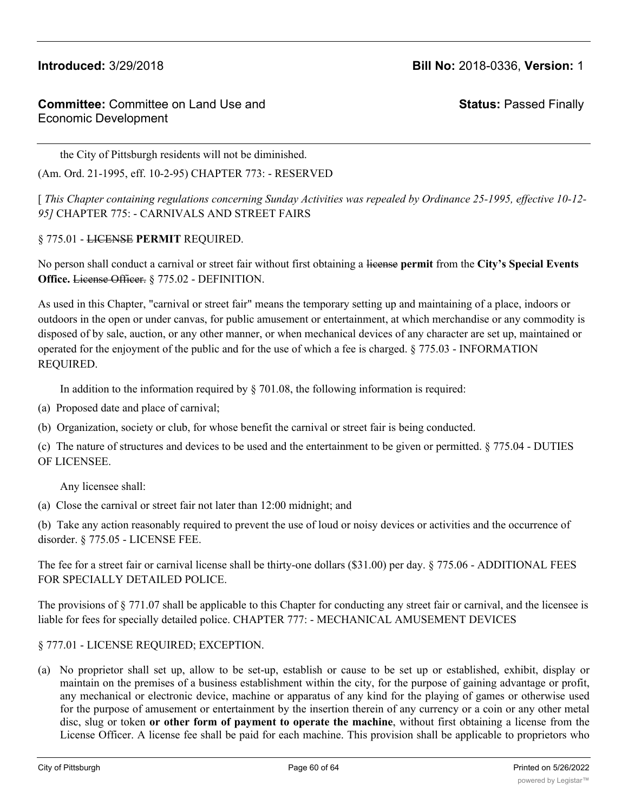**Status:** Passed Finally

the City of Pittsburgh residents will not be diminished.

(Am. Ord. 21-1995, eff. 10-2-95) CHAPTER 773: - RESERVED

[ *This Chapter containing regulations concerning Sunday Activities was repealed by Ordinance 25-1995, effective 10-12- 95]* CHAPTER 775: - CARNIVALS AND STREET FAIRS

### § 775.01 - LICENSE **PERMIT** REQUIRED.

No person shall conduct a carnival or street fair without first obtaining a license **permit** from the **City's Special Events Office.** License Officer. § 775.02 - DEFINITION.

As used in this Chapter, "carnival or street fair" means the temporary setting up and maintaining of a place, indoors or outdoors in the open or under canvas, for public amusement or entertainment, at which merchandise or any commodity is disposed of by sale, auction, or any other manner, or when mechanical devices of any character are set up, maintained or operated for the enjoyment of the public and for the use of which a fee is charged. § 775.03 - INFORMATION REQUIRED.

In addition to the information required by § 701.08, the following information is required:

- (a) Proposed date and place of carnival;
- (b) Organization, society or club, for whose benefit the carnival or street fair is being conducted.

(c) The nature of structures and devices to be used and the entertainment to be given or permitted. § 775.04 - DUTIES OF LICENSEE.

Any licensee shall:

(a) Close the carnival or street fair not later than 12:00 midnight; and

(b) Take any action reasonably required to prevent the use of loud or noisy devices or activities and the occurrence of disorder. § 775.05 - LICENSE FEE.

The fee for a street fair or carnival license shall be thirty-one dollars (\$31.00) per day. § 775.06 - ADDITIONAL FEES FOR SPECIALLY DETAILED POLICE.

The provisions of § 771.07 shall be applicable to this Chapter for conducting any street fair or carnival, and the licensee is liable for fees for specially detailed police. CHAPTER 777: - MECHANICAL AMUSEMENT DEVICES

## § 777.01 - LICENSE REQUIRED; EXCEPTION.

(a) No proprietor shall set up, allow to be set-up, establish or cause to be set up or established, exhibit, display or maintain on the premises of a business establishment within the city, for the purpose of gaining advantage or profit, any mechanical or electronic device, machine or apparatus of any kind for the playing of games or otherwise used for the purpose of amusement or entertainment by the insertion therein of any currency or a coin or any other metal disc, slug or token **or other form of payment to operate the machine**, without first obtaining a license from the License Officer. A license fee shall be paid for each machine. This provision shall be applicable to proprietors who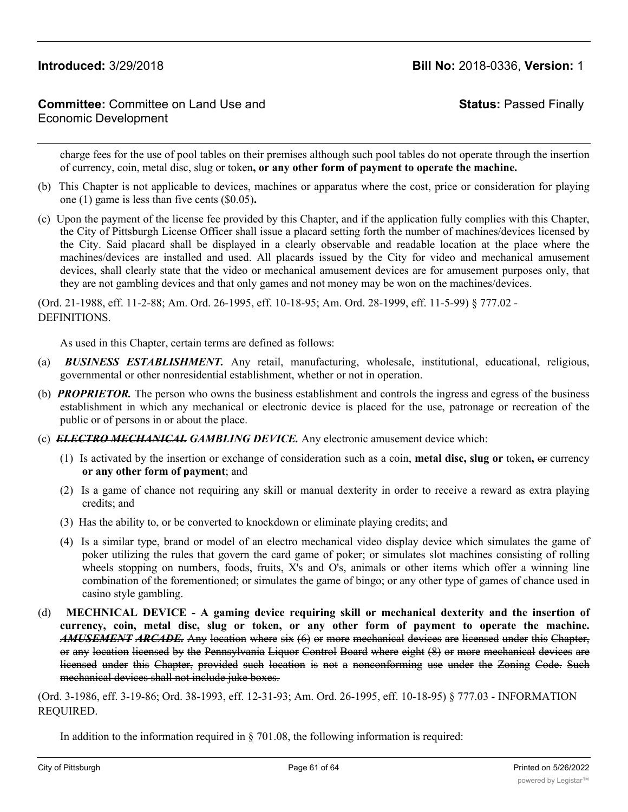# **Committee:** Committee on Land Use and Economic Development

**Status:** Passed Finally

charge fees for the use of pool tables on their premises although such pool tables do not operate through the insertion of currency, coin, metal disc, slug or token**, or any other form of payment to operate the machine.**

- (b) This Chapter is not applicable to devices, machines or apparatus where the cost, price or consideration for playing one (1) game is less than five cents (\$0.05)**.**
- (c) Upon the payment of the license fee provided by this Chapter, and if the application fully complies with this Chapter, the City of Pittsburgh License Officer shall issue a placard setting forth the number of machines/devices licensed by the City. Said placard shall be displayed in a clearly observable and readable location at the place where the machines/devices are installed and used. All placards issued by the City for video and mechanical amusement devices, shall clearly state that the video or mechanical amusement devices are for amusement purposes only, that they are not gambling devices and that only games and not money may be won on the machines/devices.

(Ord. 21-1988, eff. 11-2-88; Am. Ord. 26-1995, eff. 10-18-95; Am. Ord. 28-1999, eff. 11-5-99) § 777.02 - DEFINITIONS.

As used in this Chapter, certain terms are defined as follows:

- (a) *BUSINESS ESTABLISHMENT.* Any retail, manufacturing, wholesale, institutional, educational, religious, governmental or other nonresidential establishment, whether or not in operation.
- (b) *PROPRIETOR.* The person who owns the business establishment and controls the ingress and egress of the business establishment in which any mechanical or electronic device is placed for the use, patronage or recreation of the public or of persons in or about the place.
- (c) *ELECTRO MECHANICAL GAMBLING DEVICE.* Any electronic amusement device which:
	- (1) Is activated by the insertion or exchange of consideration such as a coin, **metal disc, slug or** token**,** or currency **or any other form of payment**; and
	- (2) Is a game of chance not requiring any skill or manual dexterity in order to receive a reward as extra playing credits; and
	- (3) Has the ability to, or be converted to knockdown or eliminate playing credits; and
	- (4) Is a similar type, brand or model of an electro mechanical video display device which simulates the game of poker utilizing the rules that govern the card game of poker; or simulates slot machines consisting of rolling wheels stopping on numbers, foods, fruits, X's and O's, animals or other items which offer a winning line combination of the forementioned; or simulates the game of bingo; or any other type of games of chance used in casino style gambling.
- (d) **MECHNICAL DEVICE - A gaming device requiring skill or mechanical dexterity and the insertion of currency, coin, metal disc, slug or token, or any other form of payment to operate the machine.** *AMUSEMENT ARCADE.* Any location where six (6) or more mechanical devices are licensed under this Chapter, or any location licensed by the Pennsylvania Liquor Control Board where eight (8) or more mechanical devices are licensed under this Chapter, provided such location is not a nonconforming use under the Zoning Code. Such mechanical devices shall not include juke boxes.

(Ord. 3-1986, eff. 3-19-86; Ord. 38-1993, eff. 12-31-93; Am. Ord. 26-1995, eff. 10-18-95) § 777.03 - INFORMATION REQUIRED.

In addition to the information required in § 701.08, the following information is required: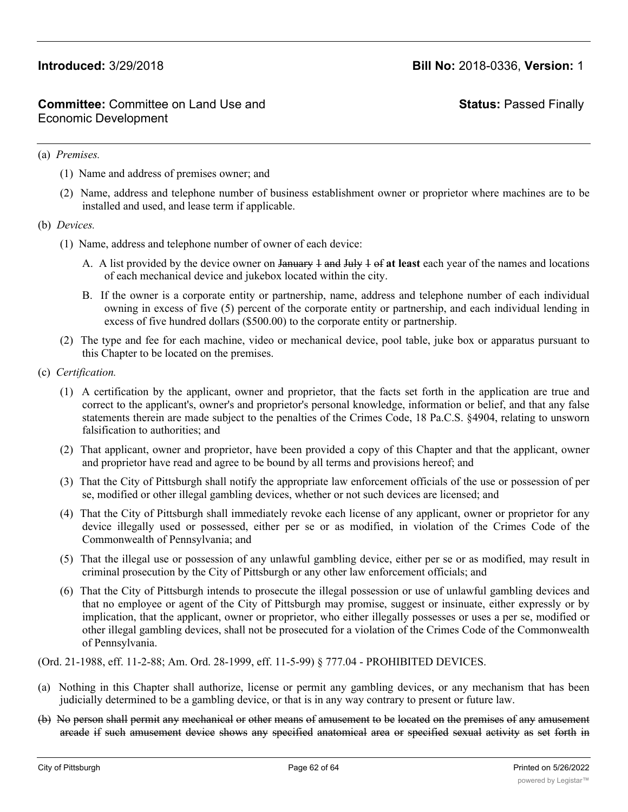**Status:** Passed Finally

### (a) *Premises.*

- (1) Name and address of premises owner; and
- (2) Name, address and telephone number of business establishment owner or proprietor where machines are to be installed and used, and lease term if applicable.
- (b) *Devices.*
	- (1) Name, address and telephone number of owner of each device:
		- A. A list provided by the device owner on January 1 and July 1 of **at least** each year of the names and locations of each mechanical device and jukebox located within the city.
		- B. If the owner is a corporate entity or partnership, name, address and telephone number of each individual owning in excess of five (5) percent of the corporate entity or partnership, and each individual lending in excess of five hundred dollars (\$500.00) to the corporate entity or partnership.
	- (2) The type and fee for each machine, video or mechanical device, pool table, juke box or apparatus pursuant to this Chapter to be located on the premises.
- (c) *Certification.*
	- (1) A certification by the applicant, owner and proprietor, that the facts set forth in the application are true and correct to the applicant's, owner's and proprietor's personal knowledge, information or belief, and that any false statements therein are made subject to the penalties of the Crimes Code, 18 Pa.C.S. §4904, relating to unsworn falsification to authorities; and
	- (2) That applicant, owner and proprietor, have been provided a copy of this Chapter and that the applicant, owner and proprietor have read and agree to be bound by all terms and provisions hereof; and
	- (3) That the City of Pittsburgh shall notify the appropriate law enforcement officials of the use or possession of per se, modified or other illegal gambling devices, whether or not such devices are licensed; and
	- (4) That the City of Pittsburgh shall immediately revoke each license of any applicant, owner or proprietor for any device illegally used or possessed, either per se or as modified, in violation of the Crimes Code of the Commonwealth of Pennsylvania; and
	- (5) That the illegal use or possession of any unlawful gambling device, either per se or as modified, may result in criminal prosecution by the City of Pittsburgh or any other law enforcement officials; and
	- (6) That the City of Pittsburgh intends to prosecute the illegal possession or use of unlawful gambling devices and that no employee or agent of the City of Pittsburgh may promise, suggest or insinuate, either expressly or by implication, that the applicant, owner or proprietor, who either illegally possesses or uses a per se, modified or other illegal gambling devices, shall not be prosecuted for a violation of the Crimes Code of the Commonwealth of Pennsylvania.

(Ord. 21-1988, eff. 11-2-88; Am. Ord. 28-1999, eff. 11-5-99) § 777.04 - PROHIBITED DEVICES.

- (a) Nothing in this Chapter shall authorize, license or permit any gambling devices, or any mechanism that has been judicially determined to be a gambling device, or that is in any way contrary to present or future law.
- (b) No person shall permit any mechanical or other means of amusement to be located on the premises of any amusement arcade if such amusement device shows any specified anatomical area or specified sexual activity as set forth in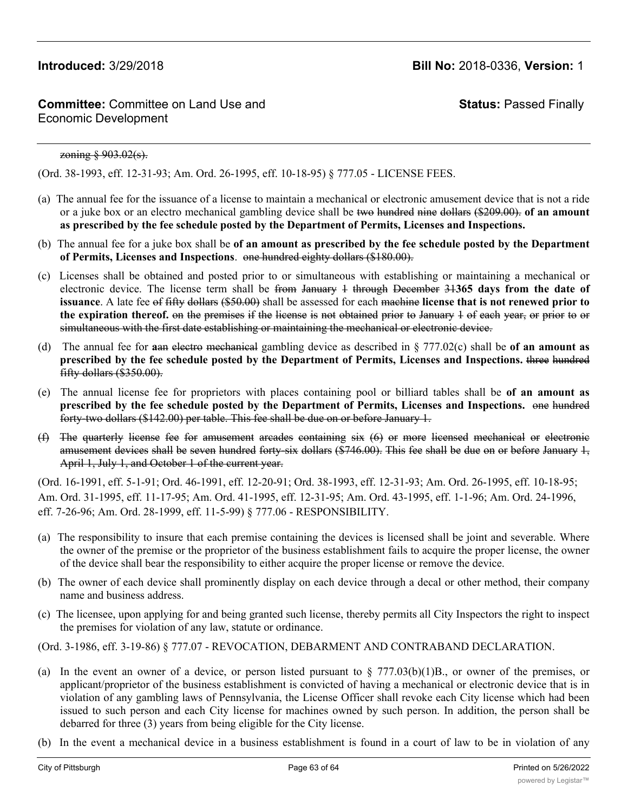**Status:** Passed Finally

### zoning § 903.02(s).

(Ord. 38-1993, eff. 12-31-93; Am. Ord. 26-1995, eff. 10-18-95) § 777.05 - LICENSE FEES.

- (a) The annual fee for the issuance of a license to maintain a mechanical or electronic amusement device that is not a ride or a juke box or an electro mechanical gambling device shall be two hundred nine dollars (\$209.00). **of an amount as prescribed by the fee schedule posted by the Department of Permits, Licenses and Inspections.**
- (b) The annual fee for a juke box shall be **of an amount as prescribed by the fee schedule posted by the Department of Permits, Licenses and Inspections**. one hundred eighty dollars (\$180.00).
- (c) Licenses shall be obtained and posted prior to or simultaneous with establishing or maintaining a mechanical or electronic device. The license term shall be from January 1 through December 31**365 days from the date of issuance**. A late fee of fifty dollars (\$50.00) shall be assessed for each machine **license that is not renewed prior to the expiration thereof.** on the premises if the license is not obtained prior to January 1 of each year, or prior to or simultaneous with the first date establishing or maintaining the mechanical or electronic device.
- (d) The annual fee for **a**an electro mechanical gambling device as described in § 777.02(c) shall be **of an amount as prescribed by the fee schedule posted by the Department of Permits, Licenses and Inspections.** three hundred fifty dollars (\$350.00).
- (e) The annual license fee for proprietors with places containing pool or billiard tables shall be **of an amount as prescribed by the fee schedule posted by the Department of Permits, Licenses and Inspections.** one hundred forty-two dollars (\$142.00) per table. This fee shall be due on or before January 1.
- (f) The quarterly license fee for amusement arcades containing six (6) or more licensed mechanical or electronic amusement devices shall be seven hundred forty-six dollars (\$746.00). This fee shall be due on or before January 1, April 1, July 1, and October 1 of the current year.

(Ord. 16-1991, eff. 5-1-91; Ord. 46-1991, eff. 12-20-91; Ord. 38-1993, eff. 12-31-93; Am. Ord. 26-1995, eff. 10-18-95; Am. Ord. 31-1995, eff. 11-17-95; Am. Ord. 41-1995, eff. 12-31-95; Am. Ord. 43-1995, eff. 1-1-96; Am. Ord. 24-1996, eff. 7-26-96; Am. Ord. 28-1999, eff. 11-5-99) § 777.06 - RESPONSIBILITY.

- (a) The responsibility to insure that each premise containing the devices is licensed shall be joint and severable. Where the owner of the premise or the proprietor of the business establishment fails to acquire the proper license, the owner of the device shall bear the responsibility to either acquire the proper license or remove the device.
- (b) The owner of each device shall prominently display on each device through a decal or other method, their company name and business address.
- (c) The licensee, upon applying for and being granted such license, thereby permits all City Inspectors the right to inspect the premises for violation of any law, statute or ordinance.

(Ord. 3-1986, eff. 3-19-86) § 777.07 - REVOCATION, DEBARMENT AND CONTRABAND DECLARATION.

- (a) In the event an owner of a device, or person listed pursuant to  $\S 777.03(b)(1)B$ ., or owner of the premises, or applicant/proprietor of the business establishment is convicted of having a mechanical or electronic device that is in violation of any gambling laws of Pennsylvania, the License Officer shall revoke each City license which had been issued to such person and each City license for machines owned by such person. In addition, the person shall be debarred for three (3) years from being eligible for the City license.
- (b) In the event a mechanical device in a business establishment is found in a court of law to be in violation of any

gambling laws of Pennsylvania, any mechanical device found on the premises for a period of three (3) years shall be